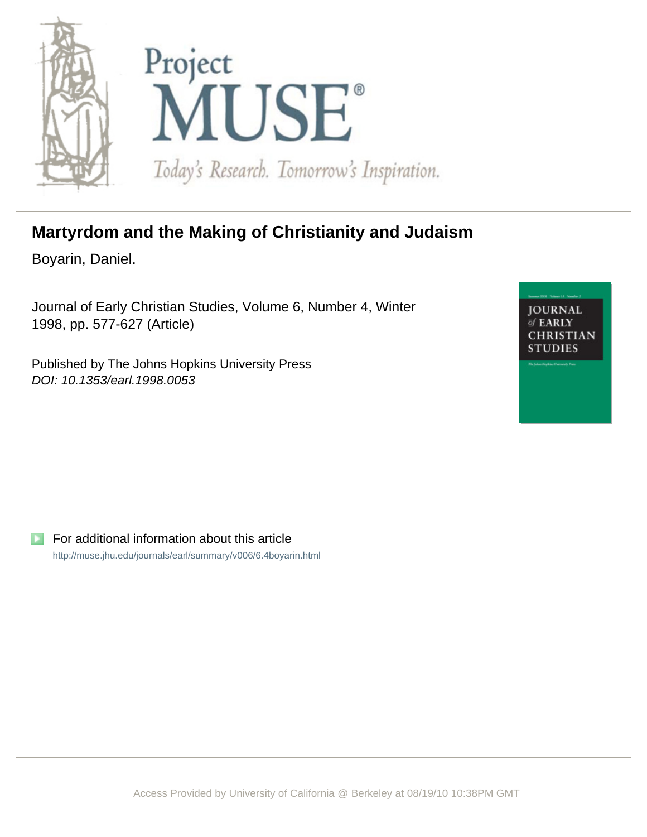

## **Martyrdom and the Making of Christianity and Judaism**

Boyarin, Daniel.

Journal of Early Christian Studies, Volume 6, Number 4, Winter 1998, pp. 577-627 (Article)

Published by The Johns Hopkins University Press DOI: 10.1353/earl.1998.0053



For additional information about this article <http://muse.jhu.edu/journals/earl/summary/v006/6.4boyarin.html>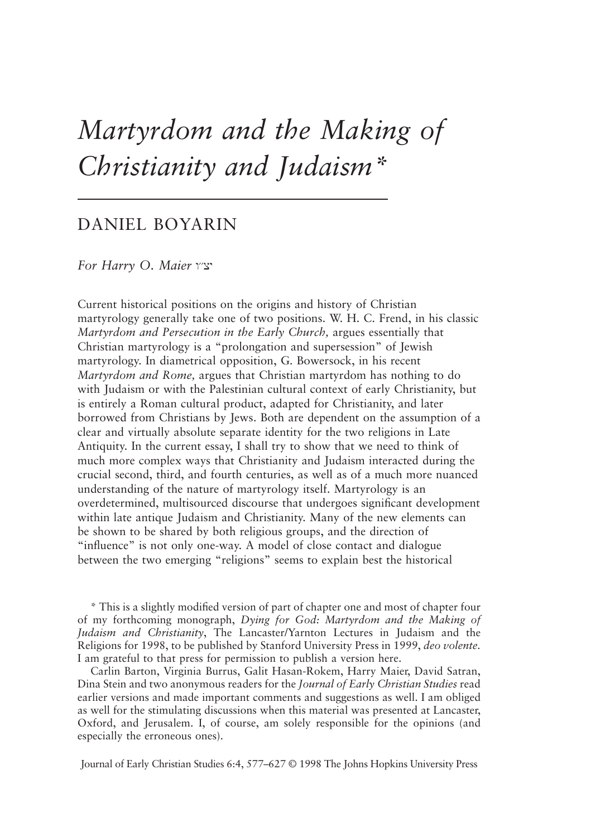# *Martyrdom and the Making of Christianity and Judaism\**

## DANIEL BOYARIN

*For Harry O. Maier צ״* 

Current historical positions on the origins and history of Christian martyrology generally take one of two positions. W. H. C. Frend, in his classic *Martyrdom and Persecution in the Early Church,* argues essentially that Christian martyrology is a "prolongation and supersession" of Jewish martyrology. In diametrical opposition, G. Bowersock, in his recent *Martyrdom and Rome,* argues that Christian martyrdom has nothing to do with Judaism or with the Palestinian cultural context of early Christianity, but is entirely a Roman cultural product, adapted for Christianity, and later borrowed from Christians by Jews. Both are dependent on the assumption of a clear and virtually absolute separate identity for the two religions in Late Antiquity. In the current essay, I shall try to show that we need to think of much more complex ways that Christianity and Judaism interacted during the crucial second, third, and fourth centuries, as well as of a much more nuanced understanding of the nature of martyrology itself. Martyrology is an overdetermined, multisourced discourse that undergoes significant development within late antique Judaism and Christianity. Many of the new elements can be shown to be shared by both religious groups, and the direction of "influence" is not only one-way. A model of close contact and dialogue between the two emerging "religions" seems to explain best the historical

\* This is a slightly modified version of part of chapter one and most of chapter four of my forthcoming monograph, *Dying for God: Martyrdom and the Making of Judaism and Christianity*, The Lancaster/Yarnton Lectures in Judaism and the Religions for 1998, to be published by Stanford University Press in 1999, *deo volente.* I am grateful to that press for permission to publish a version here.

Carlin Barton, Virginia Burrus, Galit Hasan-Rokem, Harry Maier, David Satran, Dina Stein and two anonymous readers for the *Journal of Early Christian Studies* read earlier versions and made important comments and suggestions as well. I am obliged as well for the stimulating discussions when this material was presented at Lancaster, Oxford, and Jerusalem. I, of course, am solely responsible for the opinions (and especially the erroneous ones).

Journal of Early Christian Studies 6:4, 577–627 © 1998 The Johns Hopkins University Press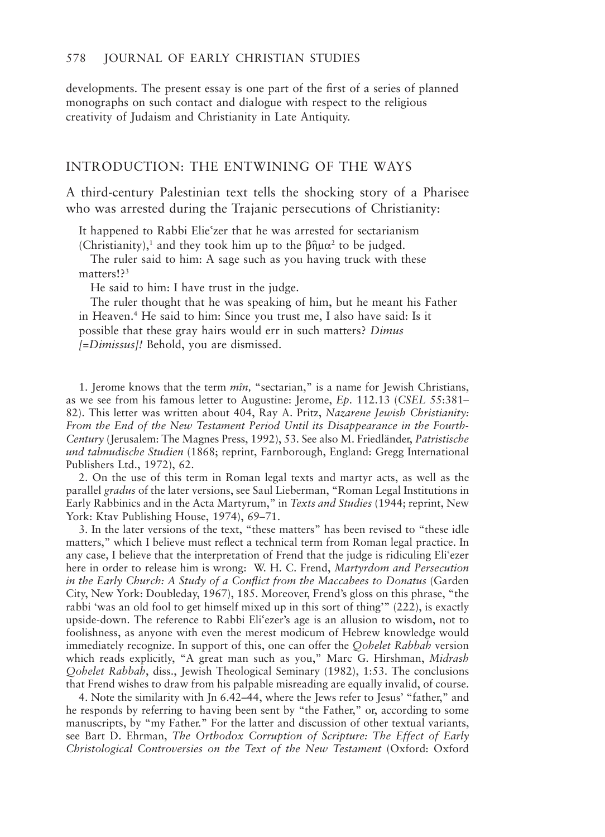developments. The present essay is one part of the first of a series of planned monographs on such contact and dialogue with respect to the religious creativity of Judaism and Christianity in Late Antiquity.

## INTRODUCTION: THE ENTWINING OF THE WAYS

A third-century Palestinian text tells the shocking story of a Pharisee who was arrested during the Trajanic persecutions of Christianity:

It happened to Rabbi Elie'zer that he was arrested for sectarianism

(Christianity),<sup>1</sup> and they took him up to the  $\beta\hat{\eta} \mu \alpha^2$  to be judged.

The ruler said to him: A sage such as you having truck with these matters!?<sup>3</sup>

He said to him: I have trust in the judge.

The ruler thought that he was speaking of him, but he meant his Father in Heaven.4 He said to him: Since you trust me, I also have said: Is it possible that these gray hairs would err in such matters? *Dimus [=Dimissus]!* Behold, you are dismissed.

1. Jerome knows that the term *mîn,* "sectarian," is a name for Jewish Christians, as we see from his famous letter to Augustine: Jerome, *Ep.* 112.13 (*CSEL* 55:381– 82). This letter was written about 404, Ray A. Pritz, *Nazarene Jewish Christianity: From the End of the New Testament Period Until its Disappearance in the Fourth-Century* (Jerusalem: The Magnes Press, 1992), 53. See also M. Friedländer, *Patristische und talmudische Studien* (1868; reprint, Farnborough, England: Gregg International Publishers Ltd., 1972), 62.

2. On the use of this term in Roman legal texts and martyr acts, as well as the parallel *gradus* of the later versions, see Saul Lieberman, "Roman Legal Institutions in Early Rabbinics and in the Acta Martyrum," in *Texts and Studies* (1944; reprint, New York: Ktav Publishing House, 1974), 69–71.

3. In the later versions of the text, "these matters" has been revised to "these idle matters," which I believe must reflect a technical term from Roman legal practice. In any case, I believe that the interpretation of Frend that the judge is ridiculing Eli<sup>c</sup>ezer here in order to release him is wrong: W. H. C. Frend, *Martyrdom and Persecution in the Early Church: A Study of a Conflict from the Maccabees to Donatus* (Garden City, New York: Doubleday, 1967), 185. Moreover, Frend's gloss on this phrase, "the rabbi 'was an old fool to get himself mixed up in this sort of thing'" (222), is exactly upside-down. The reference to Rabbi Eli<sup>c</sup>ezer's age is an allusion to wisdom, not to foolishness, as anyone with even the merest modicum of Hebrew knowledge would immediately recognize. In support of this, one can offer the *Qohelet Rabbah* version which reads explicitly, "A great man such as you," Marc G. Hirshman, *Midrash Qohelet Rabbah*, diss., Jewish Theological Seminary (1982), 1:53. The conclusions that Frend wishes to draw from his palpable misreading are equally invalid, of course.

4. Note the similarity with Jn 6.42–44, where the Jews refer to Jesus' "father," and he responds by referring to having been sent by "the Father," or, according to some manuscripts, by "my Father." For the latter and discussion of other textual variants, see Bart D. Ehrman, *The Orthodox Corruption of Scripture: The Effect of Early Christological Controversies on the Text of the New Testament* (Oxford: Oxford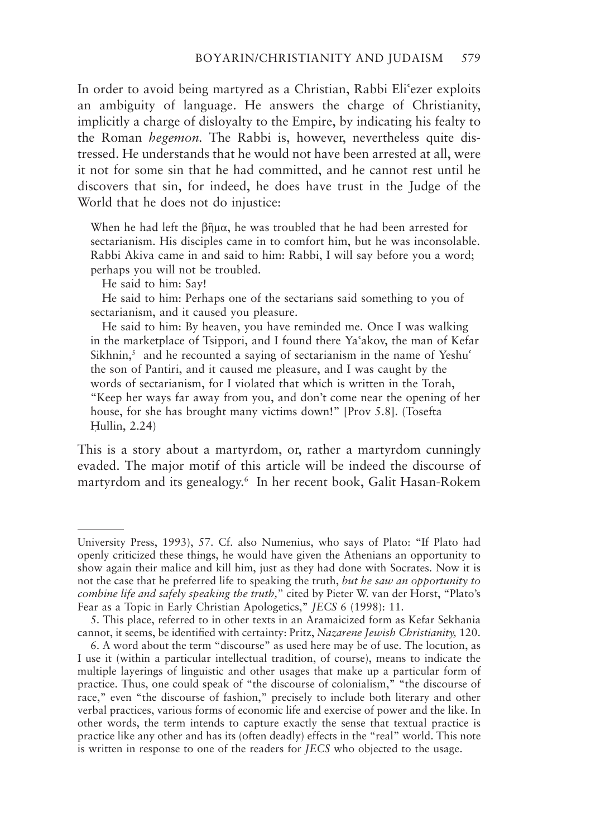In order to avoid being martyred as a Christian, Rabbi Eli<sup>c</sup>ezer exploits an ambiguity of language. He answers the charge of Christianity, implicitly a charge of disloyalty to the Empire, by indicating his fealty to the Roman *hegemon.* The Rabbi is, however, nevertheless quite distressed. He understands that he would not have been arrested at all, were it not for some sin that he had committed, and he cannot rest until he discovers that sin, for indeed, he does have trust in the Judge of the World that he does not do injustice:

When he had left the  $\beta\hat{n}$ u $\alpha$ , he was troubled that he had been arrested for sectarianism. His disciples came in to comfort him, but he was inconsolable. Rabbi Akiva came in and said to him: Rabbi, I will say before you a word; perhaps you will not be troubled.

He said to him: Say!

He said to him: Perhaps one of the sectarians said something to you of sectarianism, and it caused you pleasure.

He said to him: By heaven, you have reminded me. Once I was walking in the marketplace of Tsippori, and I found there Ya<sup>s</sup>akov, the man of Kefar Sikhnin,<sup>5</sup> and he recounted a saying of sectarianism in the name of Yeshu<sup>c</sup> the son of Pantiri, and it caused me pleasure, and I was caught by the words of sectarianism, for I violated that which is written in the Torah, "Keep her ways far away from you, and don't come near the opening of her house, for she has brought many victims down!" [Prov 5.8]. (Tosefta Hullin,  $2.24$ )

This is a story about a martyrdom, or, rather a martyrdom cunningly evaded. The major motif of this article will be indeed the discourse of martyrdom and its genealogy.6 In her recent book, Galit Hasan-Rokem

University Press, 1993), 57. Cf. also Numenius, who says of Plato: "If Plato had openly criticized these things, he would have given the Athenians an opportunity to show again their malice and kill him, just as they had done with Socrates. Now it is not the case that he preferred life to speaking the truth, *but he saw an opportunity to combine life and safely speaking the truth,*" cited by Pieter W. van der Horst, "Plato's Fear as a Topic in Early Christian Apologetics," *JECS* 6 (1998): 11.

<sup>5.</sup> This place, referred to in other texts in an Aramaicized form as Kefar Sekhania cannot, it seems, be identified with certainty: Pritz, *Nazarene Jewish Christianity,* 120.

<sup>6.</sup> A word about the term "discourse" as used here may be of use. The locution, as I use it (within a particular intellectual tradition, of course), means to indicate the multiple layerings of linguistic and other usages that make up a particular form of practice. Thus, one could speak of "the discourse of colonialism," "the discourse of race," even "the discourse of fashion," precisely to include both literary and other verbal practices, various forms of economic life and exercise of power and the like. In other words, the term intends to capture exactly the sense that textual practice is practice like any other and has its (often deadly) effects in the "real" world. This note is written in response to one of the readers for *JECS* who objected to the usage.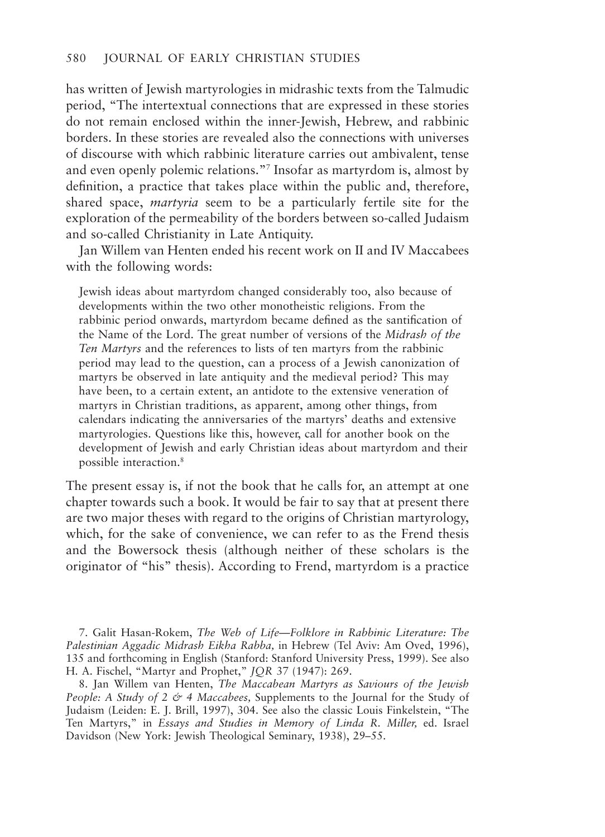has written of Jewish martyrologies in midrashic texts from the Talmudic period, "The intertextual connections that are expressed in these stories do not remain enclosed within the inner-Jewish, Hebrew, and rabbinic borders. In these stories are revealed also the connections with universes of discourse with which rabbinic literature carries out ambivalent, tense and even openly polemic relations."7 Insofar as martyrdom is, almost by definition, a practice that takes place within the public and, therefore, shared space, *martyria* seem to be a particularly fertile site for the exploration of the permeability of the borders between so-called Judaism and so-called Christianity in Late Antiquity.

Jan Willem van Henten ended his recent work on II and IV Maccabees with the following words:

Jewish ideas about martyrdom changed considerably too, also because of developments within the two other monotheistic religions. From the rabbinic period onwards, martyrdom became defined as the santification of the Name of the Lord. The great number of versions of the *Midrash of the Ten Martyrs* and the references to lists of ten martyrs from the rabbinic period may lead to the question, can a process of a Jewish canonization of martyrs be observed in late antiquity and the medieval period? This may have been, to a certain extent, an antidote to the extensive veneration of martyrs in Christian traditions, as apparent, among other things, from calendars indicating the anniversaries of the martyrs' deaths and extensive martyrologies. Questions like this, however, call for another book on the development of Jewish and early Christian ideas about martyrdom and their possible interaction.8

The present essay is, if not the book that he calls for, an attempt at one chapter towards such a book. It would be fair to say that at present there are two major theses with regard to the origins of Christian martyrology, which, for the sake of convenience, we can refer to as the Frend thesis and the Bowersock thesis (although neither of these scholars is the originator of "his" thesis). According to Frend, martyrdom is a practice

7. Galit Hasan-Rokem, *The Web of Life—Folklore in Rabbinic Literature: The Palestinian Aggadic Midrash Eikha Rabba,* in Hebrew (Tel Aviv: Am Oved, 1996), 135 and forthcoming in English (Stanford: Stanford University Press, 1999). See also H. A. Fischel, "Martyr and Prophet," *JQR* 37 (1947): 269.

8. Jan Willem van Henten, *The Maccabean Martyrs as Saviours of the Jewish People: A Study of 2 & 4 Maccabees,* Supplements to the Journal for the Study of Judaism (Leiden: E. J. Brill, 1997), 304. See also the classic Louis Finkelstein, "The Ten Martyrs," in *Essays and Studies in Memory of Linda R. Miller,* ed. Israel Davidson (New York: Jewish Theological Seminary, 1938), 29–55.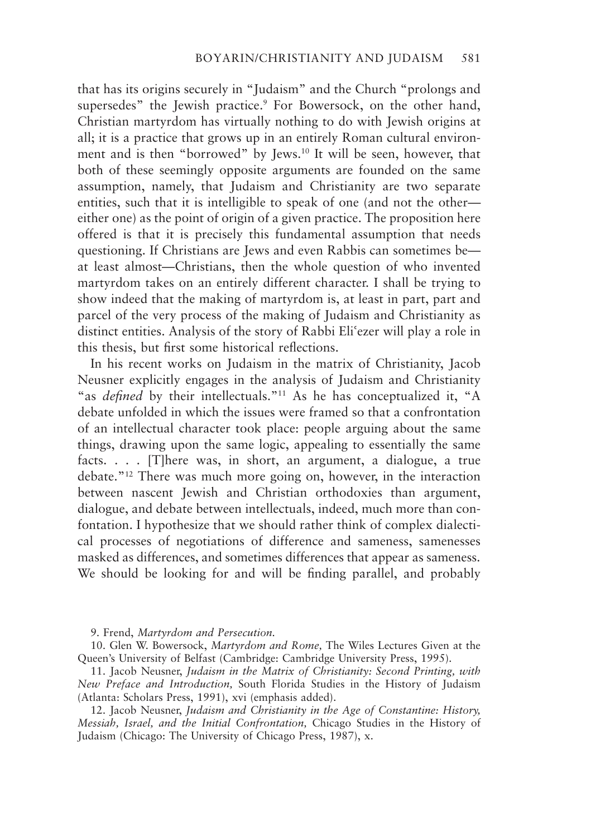that has its origins securely in "Judaism" and the Church "prolongs and supersedes" the Jewish practice.<sup>9</sup> For Bowersock, on the other hand, Christian martyrdom has virtually nothing to do with Jewish origins at all; it is a practice that grows up in an entirely Roman cultural environment and is then "borrowed" by Jews.10 It will be seen, however, that both of these seemingly opposite arguments are founded on the same assumption, namely, that Judaism and Christianity are two separate entities, such that it is intelligible to speak of one (and not the other either one) as the point of origin of a given practice. The proposition here offered is that it is precisely this fundamental assumption that needs questioning. If Christians are Jews and even Rabbis can sometimes be at least almost—Christians, then the whole question of who invented martyrdom takes on an entirely different character. I shall be trying to show indeed that the making of martyrdom is, at least in part, part and parcel of the very process of the making of Judaism and Christianity as distinct entities. Analysis of the story of Rabbi Eli<sup>c</sup>ezer will play a role in this thesis, but first some historical reflections.

In his recent works on Judaism in the matrix of Christianity, Jacob Neusner explicitly engages in the analysis of Judaism and Christianity "as *defined* by their intellectuals."11 As he has conceptualized it, "A debate unfolded in which the issues were framed so that a confrontation of an intellectual character took place: people arguing about the same things, drawing upon the same logic, appealing to essentially the same facts. . . . [T]here was, in short, an argument, a dialogue, a true debate."12 There was much more going on, however, in the interaction between nascent Jewish and Christian orthodoxies than argument, dialogue, and debate between intellectuals, indeed, much more than confontation. I hypothesize that we should rather think of complex dialectical processes of negotiations of difference and sameness, samenesses masked as differences, and sometimes differences that appear as sameness. We should be looking for and will be finding parallel, and probably

#### 9. Frend, *Martyrdom and Persecution.*

10. Glen W. Bowersock, *Martyrdom and Rome,* The Wiles Lectures Given at the Queen's University of Belfast (Cambridge: Cambridge University Press, 1995).

11. Jacob Neusner, *Judaism in the Matrix of Christianity: Second Printing, with New Preface and Introduction,* South Florida Studies in the History of Judaism (Atlanta: Scholars Press, 1991), xvi (emphasis added).

12. Jacob Neusner, *Judaism and Christianity in the Age of Constantine: History, Messiah, Israel, and the Initial Confrontation,* Chicago Studies in the History of Judaism (Chicago: The University of Chicago Press, 1987), x.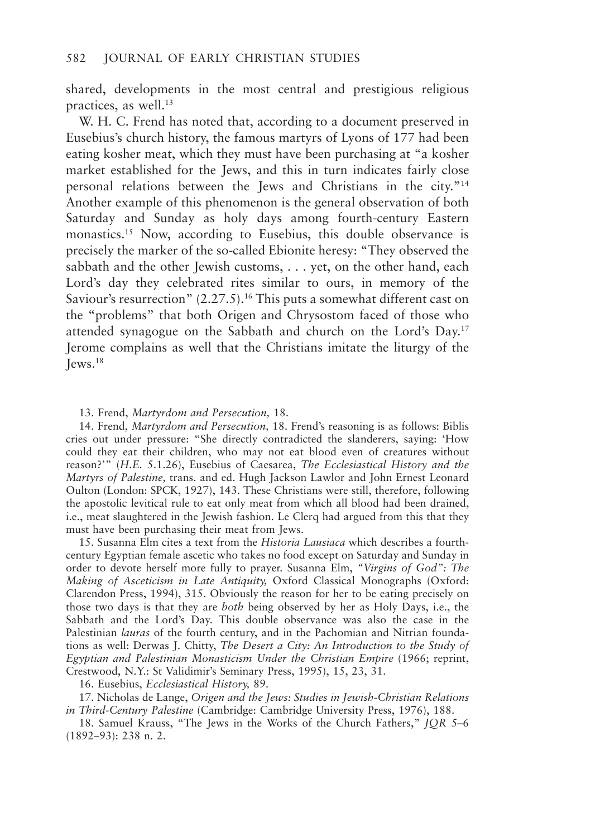shared, developments in the most central and prestigious religious practices, as well.<sup>13</sup>

W. H. C. Frend has noted that, according to a document preserved in Eusebius's church history, the famous martyrs of Lyons of 177 had been eating kosher meat, which they must have been purchasing at "a kosher market established for the Jews, and this in turn indicates fairly close personal relations between the Jews and Christians in the city."14 Another example of this phenomenon is the general observation of both Saturday and Sunday as holy days among fourth-century Eastern monastics.<sup>15</sup> Now, according to Eusebius, this double observance is precisely the marker of the so-called Ebionite heresy: "They observed the sabbath and the other Jewish customs, . . . yet, on the other hand, each Lord's day they celebrated rites similar to ours, in memory of the Saviour's resurrection"  $(2.27.5)$ .<sup>16</sup> This puts a somewhat different cast on the "problems" that both Origen and Chrysostom faced of those who attended synagogue on the Sabbath and church on the Lord's Day.17 Jerome complains as well that the Christians imitate the liturgy of the Jews.18

#### 13. Frend, *Martyrdom and Persecution,* 18.

14. Frend, *Martyrdom and Persecution,* 18. Frend's reasoning is as follows: Biblis cries out under pressure: "She directly contradicted the slanderers, saying: 'How could they eat their children, who may not eat blood even of creatures without reason?'" (*H.E.* 5.1.26), Eusebius of Caesarea, *The Ecclesiastical History and the Martyrs of Palestine,* trans. and ed. Hugh Jackson Lawlor and John Ernest Leonard Oulton (London: SPCK, 1927), 143. These Christians were still, therefore, following the apostolic levitical rule to eat only meat from which all blood had been drained, i.e., meat slaughtered in the Jewish fashion. Le Clerq had argued from this that they must have been purchasing their meat from Jews.

15. Susanna Elm cites a text from the *Historia Lausiaca* which describes a fourthcentury Egyptian female ascetic who takes no food except on Saturday and Sunday in order to devote herself more fully to prayer. Susanna Elm, *"Virgins of God": The Making of Asceticism in Late Antiquity,* Oxford Classical Monographs (Oxford: Clarendon Press, 1994), 315. Obviously the reason for her to be eating precisely on those two days is that they are *both* being observed by her as Holy Days, i.e., the Sabbath and the Lord's Day. This double observance was also the case in the Palestinian *lauras* of the fourth century, and in the Pachomian and Nitrian foundations as well: Derwas J. Chitty, *The Desert a City: An Introduction to the Study of Egyptian and Palestinian Monasticism Under the Christian Empire* (1966; reprint, Crestwood, N.Y.: St Validimir's Seminary Press, 1995), 15, 23, 31.

16. Eusebius, *Ecclesiastical History,* 89.

17. Nicholas de Lange, *Origen and the Jews: Studies in Jewish-Christian Relations in Third-Century Palestine* (Cambridge: Cambridge University Press, 1976), 188.

18. Samuel Krauss, "The Jews in the Works of the Church Fathers," *JQR* 5–6 (1892–93): 238 n. 2.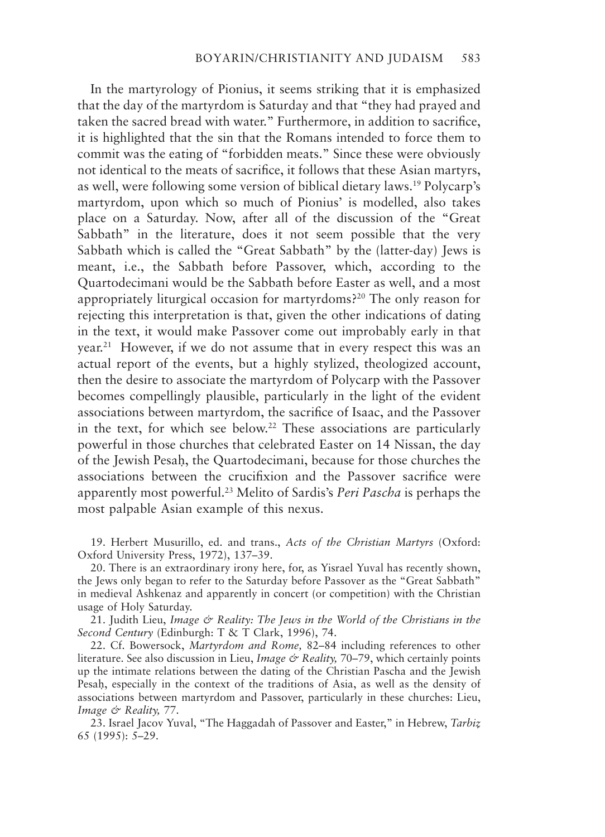In the martyrology of Pionius, it seems striking that it is emphasized that the day of the martyrdom is Saturday and that "they had prayed and taken the sacred bread with water." Furthermore, in addition to sacrifice, it is highlighted that the sin that the Romans intended to force them to commit was the eating of "forbidden meats." Since these were obviously not identical to the meats of sacrifice, it follows that these Asian martyrs, as well, were following some version of biblical dietary laws.19 Polycarp's martyrdom, upon which so much of Pionius' is modelled, also takes place on a Saturday. Now, after all of the discussion of the "Great Sabbath" in the literature, does it not seem possible that the very Sabbath which is called the "Great Sabbath" by the (latter-day) Jews is meant, i.e., the Sabbath before Passover, which, according to the Quartodecimani would be the Sabbath before Easter as well, and a most appropriately liturgical occasion for martyrdoms?20 The only reason for rejecting this interpretation is that, given the other indications of dating in the text, it would make Passover come out improbably early in that year.21 However, if we do not assume that in every respect this was an actual report of the events, but a highly stylized, theologized account, then the desire to associate the martyrdom of Polycarp with the Passover becomes compellingly plausible, particularly in the light of the evident associations between martyrdom, the sacrifice of Isaac, and the Passover in the text, for which see below.<sup>22</sup> These associations are particularly powerful in those churches that celebrated Easter on 14 Nissan, the day of the Jewish Pesah, the Quartodecimani, because for those churches the associations between the crucifixion and the Passover sacrifice were apparently most powerful.23 Melito of Sardis's *Peri Pascha* is perhaps the most palpable Asian example of this nexus.

19. Herbert Musurillo, ed. and trans., *Acts of the Christian Martyrs* (Oxford: Oxford University Press, 1972), 137–39.

20. There is an extraordinary irony here, for, as Yisrael Yuval has recently shown, the Jews only began to refer to the Saturday before Passover as the "Great Sabbath" in medieval Ashkenaz and apparently in concert (or competition) with the Christian usage of Holy Saturday.

21. Judith Lieu, *Image & Reality: The Jews in the World of the Christians in the Second Century* (Edinburgh: T & T Clark, 1996), 74.

22. Cf. Bowersock, *Martyrdom and Rome,* 82–84 including references to other literature. See also discussion in Lieu, *Image & Reality,* 70–79, which certainly points up the intimate relations between the dating of the Christian Pascha and the Jewish Pesah, especially in the context of the traditions of Asia, as well as the density of associations between martyrdom and Passover, particularly in these churches: Lieu, *Image & Reality,* 77.

23. Israel Jacov Yuval, "The Haggadah of Passover and Easter," in Hebrew, *Tarbiz*≥ 65 (1995): 5–29.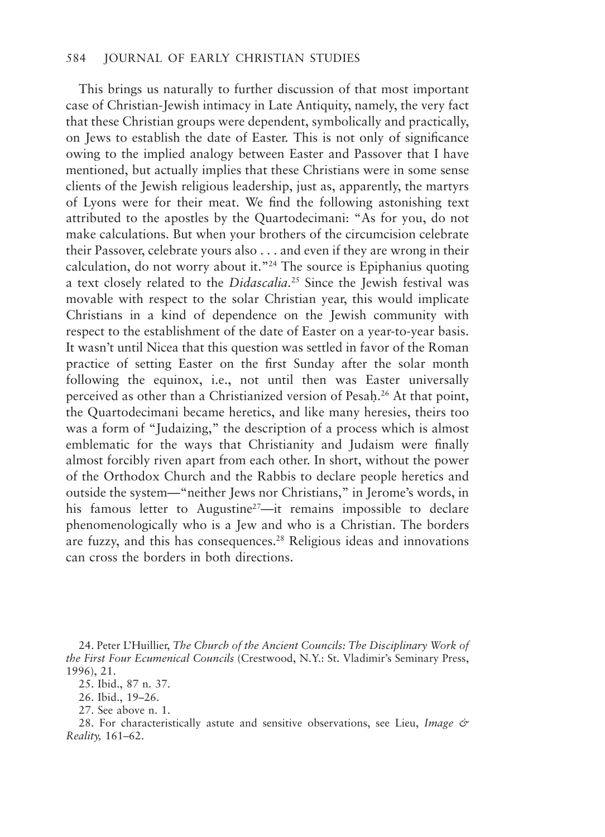This brings us naturally to further discussion of that most important case of Christian-Jewish intimacy in Late Antiquity, namely, the very fact that these Christian groups were dependent, symbolically and practically, on Jews to establish the date of Easter. This is not only of significance owing to the implied analogy between Easter and Passover that I have mentioned, but actually implies that these Christians were in some sense clients of the Jewish religious leadership, just as, apparently, the martyrs of Lyons were for their meat. We find the following astonishing text attributed to the apostles by the Quartodecimani: "As for you, do not make calculations. But when your brothers of the circumcision celebrate their Passover, celebrate yours also . . . and even if they are wrong in their calculation, do not worry about it."24 The source is Epiphanius quoting a text closely related to the *Didascalia.*25 Since the Jewish festival was movable with respect to the solar Christian year, this would implicate Christians in a kind of dependence on the Jewish community with respect to the establishment of the date of Easter on a year-to-year basis. It wasn't until Nicea that this question was settled in favor of the Roman practice of setting Easter on the first Sunday after the solar month following the equinox, i.e., not until then was Easter universally perceived as other than a Christianized version of Pesaḥ.<sup>26</sup> At that point, the Quartodecimani became heretics, and like many heresies, theirs too was a form of "Judaizing," the description of a process which is almost emblematic for the ways that Christianity and Judaism were finally almost forcibly riven apart from each other. In short, without the power of the Orthodox Church and the Rabbis to declare people heretics and outside the system—"neither Jews nor Christians," in Jerome's words, in his famous letter to Augustine<sup>27</sup>—it remains impossible to declare phenomenologically who is a Jew and who is a Christian. The borders are fuzzy, and this has consequences.<sup>28</sup> Religious ideas and innovations can cross the borders in both directions.

<sup>24.</sup> Peter L'Huillier, *The Church of the Ancient Councils: The Disciplinary Work of the First Four Ecumenical Councils* (Crestwood, N.Y.: St. Vladimir's Seminary Press, 1996), 21.

<sup>25.</sup> Ibid., 87 n. 37.

<sup>26.</sup> Ibid., 19–26.

<sup>27.</sup> See above n. 1.

<sup>28.</sup> For characteristically astute and sensitive observations, see Lieu, *Image & Reality,* 161–62.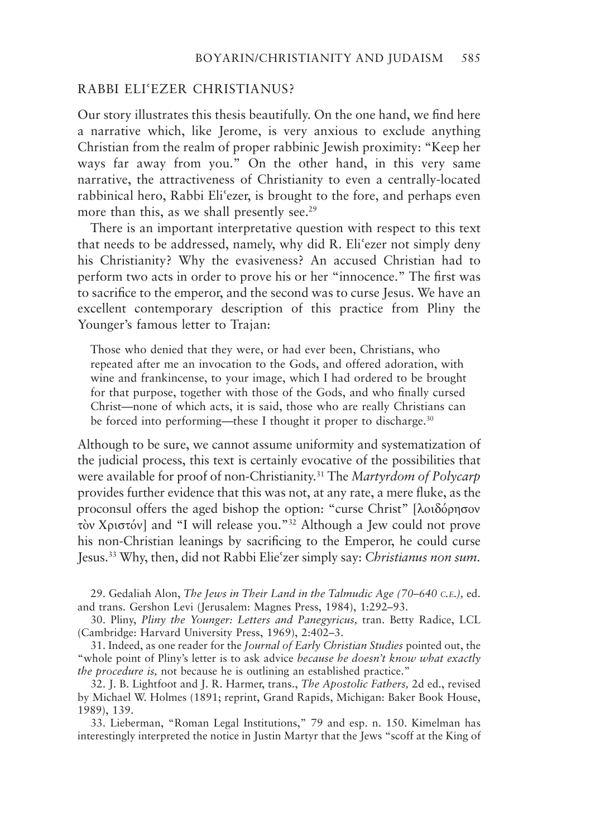#### RABBI ELI'EZER CHRISTIANUS?

Our story illustrates this thesis beautifully. On the one hand, we find here a narrative which, like Jerome, is very anxious to exclude anything Christian from the realm of proper rabbinic Jewish proximity: "Keep her ways far away from you." On the other hand, in this very same narrative, the attractiveness of Christianity to even a centrally-located rabbinical hero, Rabbi Eli'ezer, is brought to the fore, and perhaps even more than this, as we shall presently see.<sup>29</sup>

There is an important interpretative question with respect to this text that needs to be addressed, namely, why did R. Eli<sup>t</sup>ezer not simply deny his Christianity? Why the evasiveness? An accused Christian had to perform two acts in order to prove his or her "innocence." The first was to sacrifice to the emperor, and the second was to curse Jesus. We have an excellent contemporary description of this practice from Pliny the Younger's famous letter to Trajan:

Those who denied that they were, or had ever been, Christians, who repeated after me an invocation to the Gods, and offered adoration, with wine and frankincense, to your image, which I had ordered to be brought for that purpose, together with those of the Gods, and who finally cursed Christ—none of which acts, it is said, those who are really Christians can be forced into performing—these I thought it proper to discharge.<sup>30</sup>

Although to be sure, we cannot assume uniformity and systematization of the judicial process, this text is certainly evocative of the possibilities that were available for proof of non-Christianity.31 The *Martyrdom of Polycarp* provides further evidence that this was not, at any rate, a mere fluke, as the proconsul offers the aged bishop the option: "curse Christ" [loidÒrhson τὸν Χριστόν] and "I will release you."<sup>32</sup> Although a Jew could not prove his non-Christian leanings by sacrificing to the Emperor, he could curse Jesus.<sup>33</sup> Why, then, did not Rabbi Elie'zer simply say: *Christianus non sum*.

29. Gedaliah Alon, *The Jews in Their Land in the Talmudic Age (70–640 C.E.),* ed. and trans. Gershon Levi (Jerusalem: Magnes Press, 1984), 1:292–93.

30. Pliny, *Pliny the Younger: Letters and Panegyricus,* tran. Betty Radice, LCL (Cambridge: Harvard University Press, 1969), 2:402–3.

31. Indeed, as one reader for the *Journal of Early Christian Studies* pointed out, the "whole point of Pliny's letter is to ask advice *because he doesn't know what exactly the procedure is,* not because he is outlining an established practice."

32. J. B. Lightfoot and J. R. Harmer, trans., *The Apostolic Fathers,* 2d ed., revised by Michael W. Holmes (1891; reprint, Grand Rapids, Michigan: Baker Book House, 1989), 139.

33. Lieberman, "Roman Legal Institutions," 79 and esp. n. 150. Kimelman has interestingly interpreted the notice in Justin Martyr that the Jews "scoff at the King of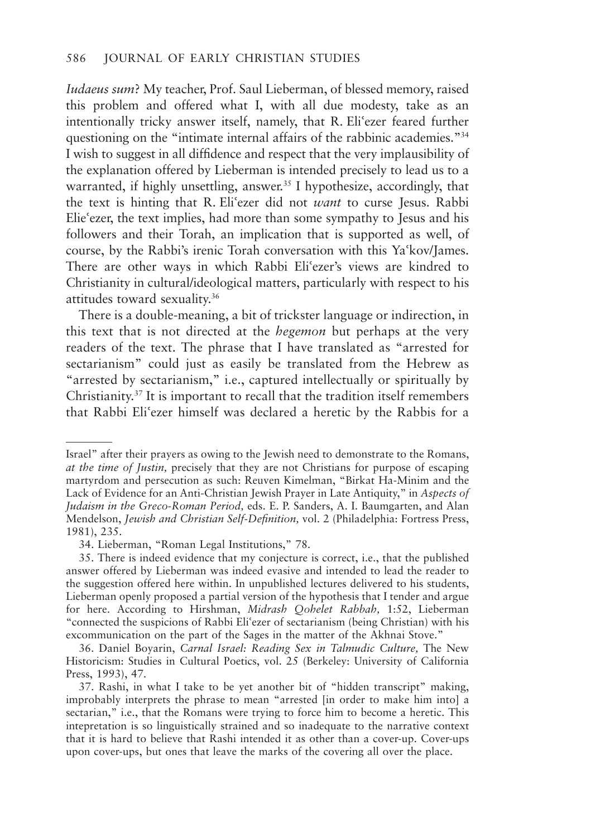*Iudaeus sum*? My teacher, Prof. Saul Lieberman, of blessed memory, raised this problem and offered what I, with all due modesty, take as an intentionally tricky answer itself, namely, that R. Eli<sup>c</sup>ezer feared further questioning on the "intimate internal affairs of the rabbinic academies."34 I wish to suggest in all diffidence and respect that the very implausibility of the explanation offered by Lieberman is intended precisely to lead us to a warranted, if highly unsettling, answer.<sup>35</sup> I hypothesize, accordingly, that the text is hinting that R. Eli<sup>c</sup>ezer did not *want* to curse Jesus. Rabbi Elie<sup>s</sup> ezer, the text implies, had more than some sympathy to Jesus and his followers and their Torah, an implication that is supported as well, of course, by the Rabbi's irenic Torah conversation with this Ya'kov/James. There are other ways in which Rabbi Eli'ezer's views are kindred to Christianity in cultural/ideological matters, particularly with respect to his attitudes toward sexuality.36

There is a double-meaning, a bit of trickster language or indirection, in this text that is not directed at the *hegemon* but perhaps at the very readers of the text. The phrase that I have translated as "arrested for sectarianism" could just as easily be translated from the Hebrew as "arrested by sectarianism," i.e., captured intellectually or spiritually by Christianity.37 It is important to recall that the tradition itself remembers that Rabbi Eli'ezer himself was declared a heretic by the Rabbis for a

Israel" after their prayers as owing to the Jewish need to demonstrate to the Romans, *at the time of Justin,* precisely that they are not Christians for purpose of escaping martyrdom and persecution as such: Reuven Kimelman, "Birkat Ha-Minim and the Lack of Evidence for an Anti-Christian Jewish Prayer in Late Antiquity," in *Aspects of Judaism in the Greco-Roman Period,* eds. E. P. Sanders, A. I. Baumgarten, and Alan Mendelson, *Jewish and Christian Self-Definition,* vol. 2 (Philadelphia: Fortress Press, 1981), 235.

<sup>34.</sup> Lieberman, "Roman Legal Institutions," 78.

<sup>35.</sup> There is indeed evidence that my conjecture is correct, i.e., that the published answer offered by Lieberman was indeed evasive and intended to lead the reader to the suggestion offered here within. In unpublished lectures delivered to his students, Lieberman openly proposed a partial version of the hypothesis that I tender and argue for here. According to Hirshman, *Midrash Qohelet Rabbah,* 1:52, Lieberman "connected the suspicions of Rabbi Eli'ezer of sectarianism (being Christian) with his excommunication on the part of the Sages in the matter of the Akhnai Stove."

<sup>36.</sup> Daniel Boyarin, *Carnal Israel: Reading Sex in Talmudic Culture,* The New Historicism: Studies in Cultural Poetics, vol. 25 (Berkeley: University of California Press, 1993), 47.

<sup>37.</sup> Rashi, in what I take to be yet another bit of "hidden transcript" making, improbably interprets the phrase to mean "arrested [in order to make him into] a sectarian," i.e., that the Romans were trying to force him to become a heretic. This intepretation is so linguistically strained and so inadequate to the narrative context that it is hard to believe that Rashi intended it as other than a cover-up. Cover-ups upon cover-ups, but ones that leave the marks of the covering all over the place.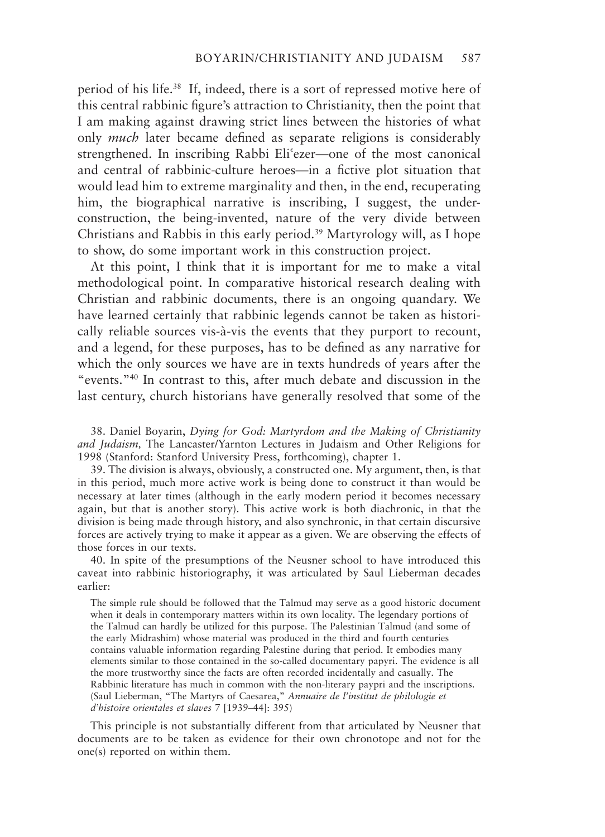period of his life.38 If, indeed, there is a sort of repressed motive here of this central rabbinic figure's attraction to Christianity, then the point that I am making against drawing strict lines between the histories of what only *much* later became defined as separate religions is considerably strengthened. In inscribing Rabbi Eli<sup>'</sup>ezer—one of the most canonical and central of rabbinic-culture heroes—in a fictive plot situation that would lead him to extreme marginality and then, in the end, recuperating him, the biographical narrative is inscribing, I suggest, the underconstruction, the being-invented, nature of the very divide between Christians and Rabbis in this early period.39 Martyrology will, as I hope to show, do some important work in this construction project.

At this point, I think that it is important for me to make a vital methodological point. In comparative historical research dealing with Christian and rabbinic documents, there is an ongoing quandary. We have learned certainly that rabbinic legends cannot be taken as historically reliable sources vis-à-vis the events that they purport to recount, and a legend, for these purposes, has to be defined as any narrative for which the only sources we have are in texts hundreds of years after the "events."40 In contrast to this, after much debate and discussion in the last century, church historians have generally resolved that some of the

38. Daniel Boyarin, *Dying for God: Martyrdom and the Making of Christianity and Judaism,* The Lancaster/Yarnton Lectures in Judaism and Other Religions for 1998 (Stanford: Stanford University Press, forthcoming), chapter 1.

39. The division is always, obviously, a constructed one. My argument, then, is that in this period, much more active work is being done to construct it than would be necessary at later times (although in the early modern period it becomes necessary again, but that is another story). This active work is both diachronic, in that the division is being made through history, and also synchronic, in that certain discursive forces are actively trying to make it appear as a given. We are observing the effects of those forces in our texts.

40. In spite of the presumptions of the Neusner school to have introduced this caveat into rabbinic historiography, it was articulated by Saul Lieberman decades earlier:

The simple rule should be followed that the Talmud may serve as a good historic document when it deals in contemporary matters within its own locality. The legendary portions of the Talmud can hardly be utilized for this purpose. The Palestinian Talmud (and some of the early Midrashim) whose material was produced in the third and fourth centuries contains valuable information regarding Palestine during that period. It embodies many elements similar to those contained in the so-called documentary papyri. The evidence is all the more trustworthy since the facts are often recorded incidentally and casually. The Rabbinic literature has much in common with the non-literary paypri and the inscriptions. (Saul Lieberman, "The Martyrs of Caesarea," *Annuaire de l'institut de philologie et d'histoire orientales et slaves* 7 [1939–44]: 395)

This principle is not substantially different from that articulated by Neusner that documents are to be taken as evidence for their own chronotope and not for the one(s) reported on within them.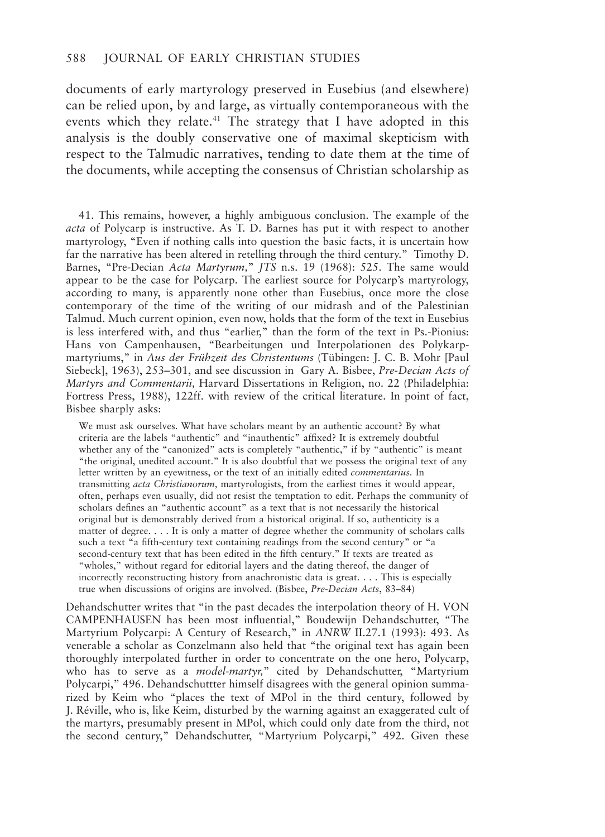documents of early martyrology preserved in Eusebius (and elsewhere) can be relied upon, by and large, as virtually contemporaneous with the events which they relate.<sup>41</sup> The strategy that I have adopted in this analysis is the doubly conservative one of maximal skepticism with respect to the Talmudic narratives, tending to date them at the time of the documents, while accepting the consensus of Christian scholarship as

41. This remains, however, a highly ambiguous conclusion. The example of the *acta* of Polycarp is instructive. As T. D. Barnes has put it with respect to another martyrology, "Even if nothing calls into question the basic facts, it is uncertain how far the narrative has been altered in retelling through the third century." Timothy D. Barnes, "Pre-Decian *Acta Martyrum,*" *JTS* n.s. 19 (1968): 525. The same would appear to be the case for Polycarp. The earliest source for Polycarp's martyrology, according to many, is apparently none other than Eusebius, once more the close contemporary of the time of the writing of our midrash and of the Palestinian Talmud. Much current opinion, even now, holds that the form of the text in Eusebius is less interfered with, and thus "earlier," than the form of the text in Ps.-Pionius: Hans von Campenhausen, "Bearbeitungen und Interpolationen des Polykarpmartyriums," in *Aus der Frühzeit des Christentums* (Tübingen: J. C. B. Mohr [Paul Siebeck], 1963), 253–301, and see discussion in Gary A. Bisbee, *Pre-Decian Acts of Martyrs and Commentarii,* Harvard Dissertations in Religion, no. 22 (Philadelphia: Fortress Press, 1988), 122ff. with review of the critical literature. In point of fact, Bisbee sharply asks:

We must ask ourselves. What have scholars meant by an authentic account? By what criteria are the labels "authentic" and "inauthentic" affixed? It is extremely doubtful whether any of the "canonized" acts is completely "authentic," if by "authentic" is meant "the original, unedited account." It is also doubtful that we possess the original text of any letter written by an eyewitness, or the text of an initially edited *commentarius.* In transmitting *acta Christianorum,* martyrologists, from the earliest times it would appear, often, perhaps even usually, did not resist the temptation to edit. Perhaps the community of scholars defines an "authentic account" as a text that is not necessarily the historical original but is demonstrably derived from a historical original. If so, authenticity is a matter of degree. . . . It is only a matter of degree whether the community of scholars calls such a text "a fifth-century text containing readings from the second century" or "a second-century text that has been edited in the fifth century." If texts are treated as "wholes," without regard for editorial layers and the dating thereof, the danger of incorrectly reconstructing history from anachronistic data is great. . . . This is especially true when discussions of origins are involved. (Bisbee, *Pre-Decian Acts*, 83–84)

Dehandschutter writes that "in the past decades the interpolation theory of H. VON CAMPENHAUSEN has been most influential," Boudewijn Dehandschutter, "The Martyrium Polycarpi: A Century of Research," in *ANRW* II.27.1 (1993): 493. As venerable a scholar as Conzelmann also held that "the original text has again been thoroughly interpolated further in order to concentrate on the one hero, Polycarp, who has to serve as a *model-martyr,*" cited by Dehandschutter, "Martyrium Polycarpi," 496. Dehandschuttter himself disagrees with the general opinion summarized by Keim who "places the text of MPol in the third century, followed by J.␣ Réville, who is, like Keim, disturbed by the warning against an exaggerated cult of the martyrs, presumably present in MPol, which could only date from the third, not the second century," Dehandschutter, "Martyrium Polycarpi," 492. Given these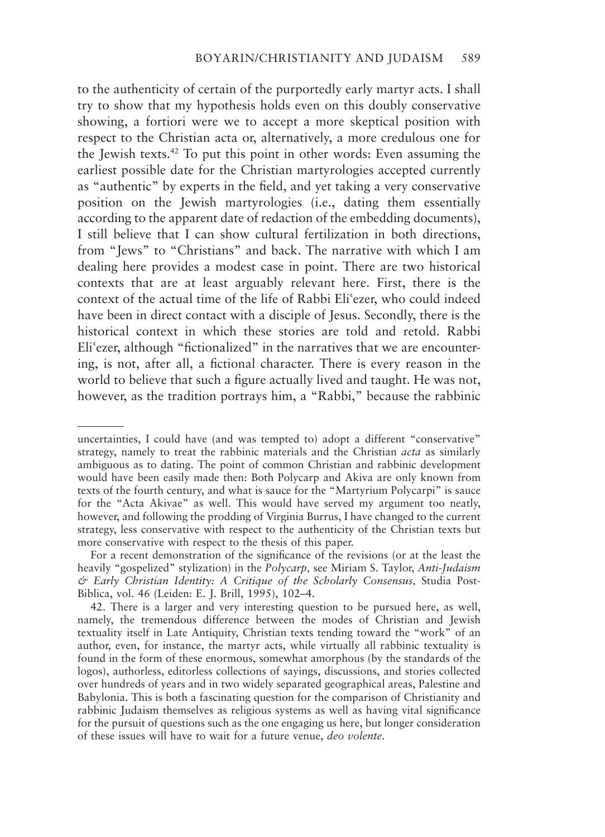to the authenticity of certain of the purportedly early martyr acts. I shall try to show that my hypothesis holds even on this doubly conservative showing, a fortiori were we to accept a more skeptical position with respect to the Christian acta or, alternatively, a more credulous one for the Jewish texts.42 To put this point in other words: Even assuming the earliest possible date for the Christian martyrologies accepted currently as "authentic" by experts in the field, and yet taking a very conservative position on the Jewish martyrologies (i.e., dating them essentially according to the apparent date of redaction of the embedding documents), I still believe that I can show cultural fertilization in both directions, from "Jews" to "Christians" and back. The narrative with which I am dealing here provides a modest case in point. There are two historical contexts that are at least arguably relevant here. First, there is the context of the actual time of the life of Rabbi Eli<sup>s</sup>ezer, who could indeed have been in direct contact with a disciple of Jesus. Secondly, there is the historical context in which these stories are told and retold. Rabbi Eli'ezer, although "fictionalized" in the narratives that we are encountering, is not, after all, a fictional character. There is every reason in the world to believe that such a figure actually lived and taught. He was not, however, as the tradition portrays him, a "Rabbi," because the rabbinic

uncertainties, I could have (and was tempted to) adopt a different "conservative" strategy, namely to treat the rabbinic materials and the Christian *acta* as similarly ambiguous as to dating. The point of common Christian and rabbinic development would have been easily made then: Both Polycarp and Akiva are only known from texts of the fourth century, and what is sauce for the "Martyrium Polycarpi" is sauce for the "Acta Akivae" as well. This would have served my argument too neatly, however, and following the prodding of Virginia Burrus, I have changed to the current strategy, less conservative with respect to the authenticity of the Christian texts but more conservative with respect to the thesis of this paper.

For a recent demonstration of the significance of the revisions (or at the least the heavily "gospelized" stylization) in the *Polycarp,* see Miriam S. Taylor, *Anti-Judaism & Early Christian Identity: A Critique of the Scholarly Consensus,* Studia Post-Biblica, vol. 46 (Leiden: E. J. Brill, 1995), 102–4.

<sup>42.</sup> There is a larger and very interesting question to be pursued here, as well, namely, the tremendous difference between the modes of Christian and Jewish textuality itself in Late Antiquity, Christian texts tending toward the "work" of an author, even, for instance, the martyr acts, while virtually all rabbinic textuality is found in the form of these enormous, somewhat amorphous (by the standards of the logos), authorless, editorless collections of sayings, discussions, and stories collected over hundreds of years and in two widely separated geographical areas, Palestine and Babylonia. This is both a fascinating question for the comparison of Christianity and rabbinic Judaism themselves as religious systems as well as having vital significance for the pursuit of questions such as the one engaging us here, but longer consideration of these issues will have to wait for a future venue, *deo volente.*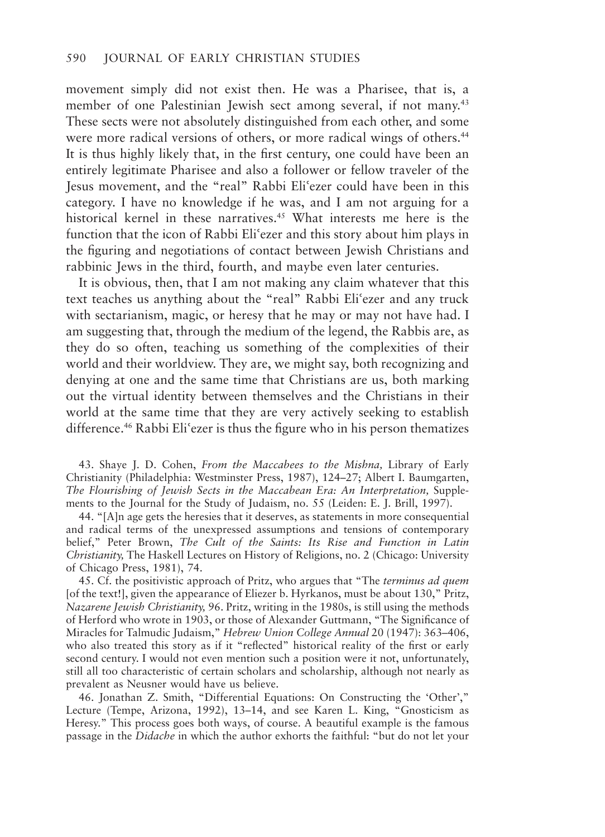movement simply did not exist then. He was a Pharisee, that is, a member of one Palestinian Jewish sect among several, if not many.<sup>43</sup> These sects were not absolutely distinguished from each other, and some were more radical versions of others, or more radical wings of others.<sup>44</sup> It is thus highly likely that, in the first century, one could have been an entirely legitimate Pharisee and also a follower or fellow traveler of the Jesus movement, and the "real" Rabbi Eli'ezer could have been in this category. I have no knowledge if he was, and I am not arguing for a historical kernel in these narratives.<sup>45</sup> What interests me here is the function that the icon of Rabbi Eli<sup>'</sup>ezer and this story about him plays in the figuring and negotiations of contact between Jewish Christians and rabbinic Jews in the third, fourth, and maybe even later centuries.

It is obvious, then, that I am not making any claim whatever that this text teaches us anything about the "real" Rabbi Eli'ezer and any truck with sectarianism, magic, or heresy that he may or may not have had. I am suggesting that, through the medium of the legend, the Rabbis are, as they do so often, teaching us something of the complexities of their world and their worldview. They are, we might say, both recognizing and denying at one and the same time that Christians are us, both marking out the virtual identity between themselves and the Christians in their world at the same time that they are very actively seeking to establish difference.<sup>46</sup> Rabbi Eli<sup>c</sup>ezer is thus the figure who in his person thematizes

43. Shaye J. D. Cohen, *From the Maccabees to the Mishna,* Library of Early Christianity (Philadelphia: Westminster Press, 1987), 124–27; Albert I. Baumgarten, *The Flourishing of Jewish Sects in the Maccabean Era: An Interpretation,* Supplements to the Journal for the Study of Judaism, no. 55 (Leiden: E. J. Brill, 1997).

44. "[A]n age gets the heresies that it deserves, as statements in more consequential and radical terms of the unexpressed assumptions and tensions of contemporary belief," Peter Brown, *The Cult of the Saints: Its Rise and Function in Latin Christianity,* The Haskell Lectures on History of Religions, no. 2 (Chicago: University of Chicago Press, 1981), 74.

45. Cf. the positivistic approach of Pritz, who argues that "The *terminus ad quem* [of the text!], given the appearance of Eliezer b. Hyrkanos, must be about 130," Pritz, *Nazarene Jewish Christianity,* 96. Pritz, writing in the 1980s, is still using the methods of Herford who wrote in 1903, or those of Alexander Guttmann, "The Significance of Miracles for Talmudic Judaism," *Hebrew Union College Annual* 20 (1947): 363–406, who also treated this story as if it "reflected" historical reality of the first or early second century. I would not even mention such a position were it not, unfortunately, still all too characteristic of certain scholars and scholarship, although not nearly as prevalent as Neusner would have us believe.

46. Jonathan Z. Smith, "Differential Equations: On Constructing the 'Other'," Lecture (Tempe, Arizona, 1992), 13–14, and see Karen L. King, "Gnosticism as Heresy." This process goes both ways, of course. A beautiful example is the famous passage in the *Didache* in which the author exhorts the faithful: "but do not let your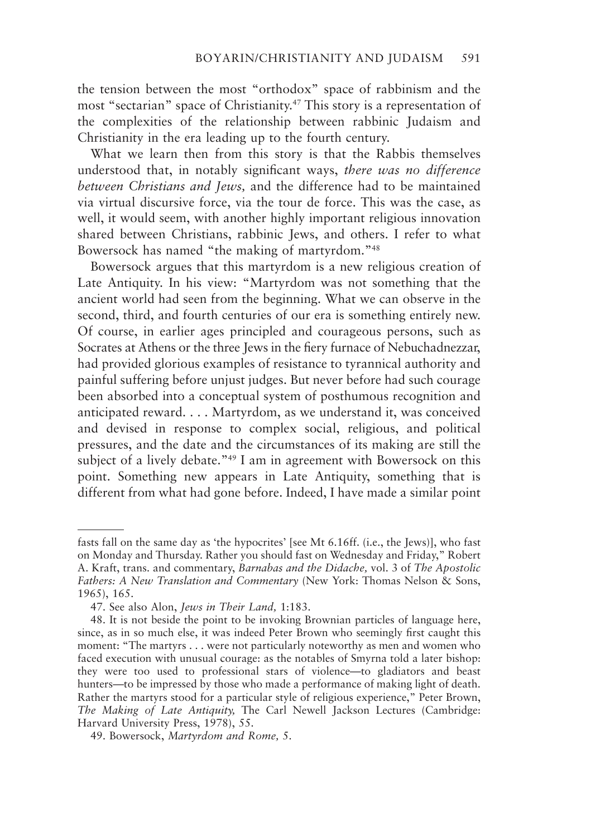the tension between the most "orthodox" space of rabbinism and the most "sectarian" space of Christianity.47 This story is a representation of the complexities of the relationship between rabbinic Judaism and Christianity in the era leading up to the fourth century.

What we learn then from this story is that the Rabbis themselves understood that, in notably significant ways, *there was no difference between Christians and Jews,* and the difference had to be maintained via virtual discursive force, via the tour de force. This was the case, as well, it would seem, with another highly important religious innovation shared between Christians, rabbinic Jews, and others. I refer to what Bowersock has named "the making of martyrdom."48

Bowersock argues that this martyrdom is a new religious creation of Late Antiquity. In his view: "Martyrdom was not something that the ancient world had seen from the beginning. What we can observe in the second, third, and fourth centuries of our era is something entirely new. Of course, in earlier ages principled and courageous persons, such as Socrates at Athens or the three Jews in the fiery furnace of Nebuchadnezzar, had provided glorious examples of resistance to tyrannical authority and painful suffering before unjust judges. But never before had such courage been absorbed into a conceptual system of posthumous recognition and anticipated reward. . . . Martyrdom, as we understand it, was conceived and devised in response to complex social, religious, and political pressures, and the date and the circumstances of its making are still the subject of a lively debate."<sup>49</sup> I am in agreement with Bowersock on this point. Something new appears in Late Antiquity, something that is different from what had gone before. Indeed, I have made a similar point

fasts fall on the same day as 'the hypocrites' [see Mt 6.16ff. (i.e., the Jews)], who fast on Monday and Thursday. Rather you should fast on Wednesday and Friday," Robert A. Kraft, trans. and commentary, *Barnabas and the Didache,* vol. 3 of *The Apostolic Fathers: A New Translation and Commentary* (New York: Thomas Nelson & Sons, 1965), 165.

<sup>47.</sup> See also Alon, *Jews in Their Land,* 1:183.

<sup>48.</sup> It is not beside the point to be invoking Brownian particles of language here, since, as in so much else, it was indeed Peter Brown who seemingly first caught this moment: "The martyrs . . . were not particularly noteworthy as men and women who faced execution with unusual courage: as the notables of Smyrna told a later bishop: they were too used to professional stars of violence—to gladiators and beast hunters—to be impressed by those who made a performance of making light of death. Rather the martyrs stood for a particular style of religious experience," Peter Brown, *The Making of Late Antiquity,* The Carl Newell Jackson Lectures (Cambridge: Harvard University Press, 1978), 55.

<sup>49.</sup> Bowersock, *Martyrdom and Rome,* 5.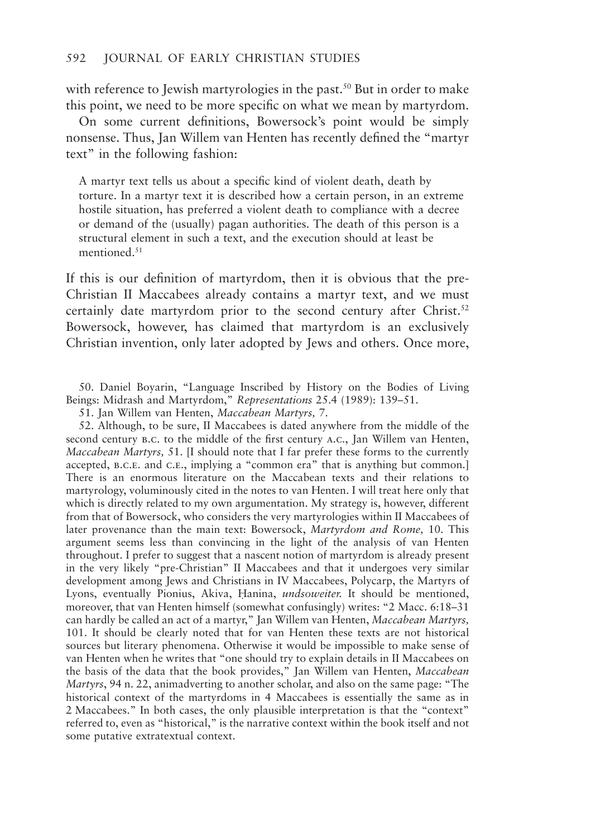with reference to Jewish martyrologies in the past.<sup>50</sup> But in order to make this point, we need to be more specific on what we mean by martyrdom.

On some current definitions, Bowersock's point would be simply nonsense. Thus, Jan Willem van Henten has recently defined the "martyr text" in the following fashion:

A martyr text tells us about a specific kind of violent death, death by torture. In a martyr text it is described how a certain person, in an extreme hostile situation, has preferred a violent death to compliance with a decree or demand of the (usually) pagan authorities. The death of this person is a structural element in such a text, and the execution should at least be mentioned<sup>51</sup>

If this is our definition of martyrdom, then it is obvious that the pre-Christian II Maccabees already contains a martyr text, and we must certainly date martyrdom prior to the second century after Christ.<sup>52</sup> Bowersock, however, has claimed that martyrdom is an exclusively Christian invention, only later adopted by Jews and others. Once more,

50. Daniel Boyarin, "Language Inscribed by History on the Bodies of Living Beings: Midrash and Martyrdom," *Representations* 25.4 (1989): 139–51.

51. Jan Willem van Henten, *Maccabean Martyrs,* 7.

52. Although, to be sure, II Maccabees is dated anywhere from the middle of the second century b.c. to the middle of the first century a.c., Jan Willem van Henten, *Maccabean Martyrs,* 51. [I should note that I far prefer these forms to the currently accepted, b.c.e. and c.e., implying a "common era" that is anything but common.] There is an enormous literature on the Maccabean texts and their relations to martyrology, voluminously cited in the notes to van Henten. I will treat here only that which is directly related to my own argumentation. My strategy is, however, different from that of Bowersock, who considers the very martyrologies within II Maccabees of later provenance than the main text: Bowersock, *Martyrdom and Rome,* 10. This argument seems less than convincing in the light of the analysis of van Henten throughout. I prefer to suggest that a nascent notion of martyrdom is already present in the very likely "pre-Christian" II Maccabees and that it undergoes very similar development among Jews and Christians in IV Maccabees, Polycarp, the Martyrs of Lyons, eventually Pionius, Akiva, Hanina, *undsoweiter*. It should be mentioned, moreover, that van Henten himself (somewhat confusingly) writes: "2 Macc. 6:18–31 can hardly be called an act of a martyr," Jan Willem van Henten, *Maccabean Martyrs,* 101. It should be clearly noted that for van Henten these texts are not historical sources but literary phenomena. Otherwise it would be impossible to make sense of van Henten when he writes that "one should try to explain details in II Maccabees on the basis of the data that the book provides," Jan Willem van Henten, *Maccabean Martyrs*, 94 n. 22, animadverting to another scholar, and also on the same page: "The historical context of the martyrdoms in 4 Maccabees is essentially the same as in 2␣ Maccabees." In both cases, the only plausible interpretation is that the "context" referred to, even as "historical," is the narrative context within the book itself and not some putative extratextual context.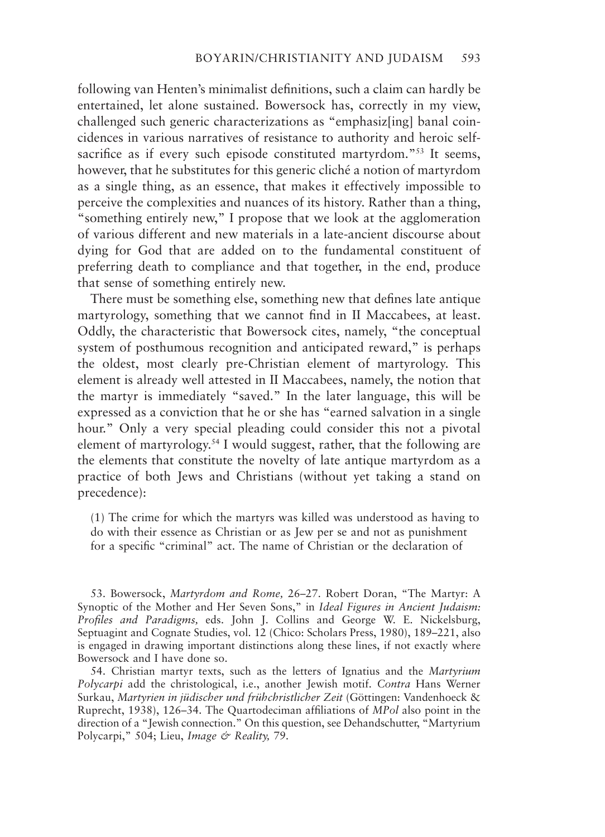following van Henten's minimalist definitions, such a claim can hardly be entertained, let alone sustained. Bowersock has, correctly in my view, challenged such generic characterizations as "emphasiz[ing] banal coincidences in various narratives of resistance to authority and heroic selfsacrifice as if every such episode constituted martyrdom."<sup>53</sup> It seems, however, that he substitutes for this generic cliché a notion of martyrdom as a single thing, as an essence, that makes it effectively impossible to perceive the complexities and nuances of its history. Rather than a thing, "something entirely new," I propose that we look at the agglomeration of various different and new materials in a late-ancient discourse about dying for God that are added on to the fundamental constituent of preferring death to compliance and that together, in the end, produce that sense of something entirely new.

There must be something else, something new that defines late antique martyrology, something that we cannot find in II Maccabees, at least. Oddly, the characteristic that Bowersock cites, namely, "the conceptual system of posthumous recognition and anticipated reward," is perhaps the oldest, most clearly pre-Christian element of martyrology. This element is already well attested in II Maccabees, namely, the notion that the martyr is immediately "saved." In the later language, this will be expressed as a conviction that he or she has "earned salvation in a single hour." Only a very special pleading could consider this not a pivotal element of martyrology.<sup>54</sup> I would suggest, rather, that the following are the elements that constitute the novelty of late antique martyrdom as a practice of both Jews and Christians (without yet taking a stand on precedence):

(1) The crime for which the martyrs was killed was understood as having to do with their essence as Christian or as Jew per se and not as punishment for a specific "criminal" act. The name of Christian or the declaration of

53. Bowersock, *Martyrdom and Rome,* 26–27. Robert Doran, "The Martyr: A Synoptic of the Mother and Her Seven Sons," in *Ideal Figures in Ancient Judaism: Profiles and Paradigms,* eds. John J. Collins and George W. E. Nickelsburg, Septuagint and Cognate Studies, vol. 12 (Chico: Scholars Press, 1980), 189–221, also is engaged in drawing important distinctions along these lines, if not exactly where Bowersock and I have done so.

54. Christian martyr texts, such as the letters of Ignatius and the *Martyrium Polycarpi* add the christological, i.e., another Jewish motif. *Contra* Hans Werner Surkau, *Martyrien in jüdischer und frühchristlicher Zeit* (Göttingen: Vandenhoeck & Ruprecht, 1938), 126–34. The Quartodeciman affiliations of *MPol* also point in the direction of a "Jewish connection." On this question, see Dehandschutter, "Martyrium Polycarpi," 504; Lieu, *Image & Reality,* 79.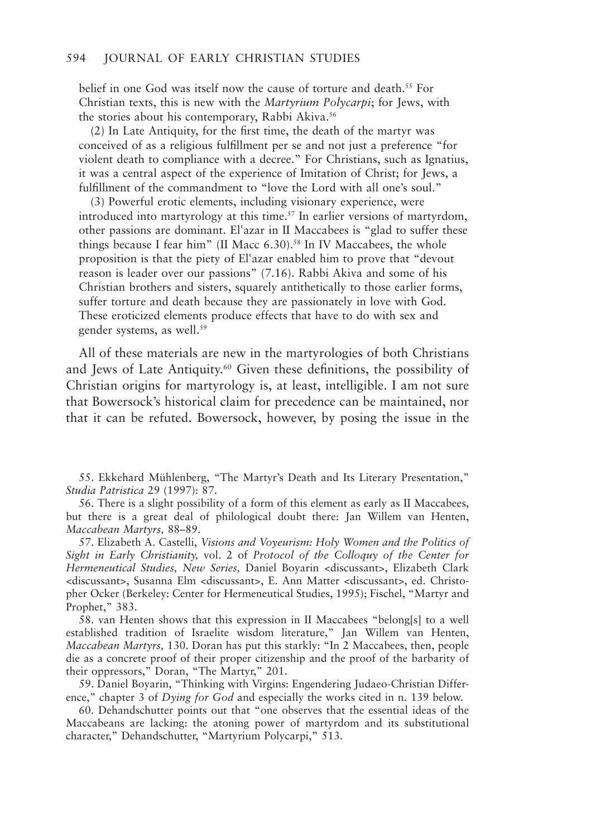belief in one God was itself now the cause of torture and death.<sup>55</sup> For Christian texts, this is new with the *Martyrium Polycarpi*; for Jews, with the stories about his contemporary, Rabbi Akiva.<sup>56</sup>

(2) In Late Antiquity, for the first time, the death of the martyr was conceived of as a religious fulfillment per se and not just a preference "for violent death to compliance with a decree." For Christians, such as Ignatius, it was a central aspect of the experience of Imitation of Christ; for Jews, a fulfillment of the commandment to "love the Lord with all one's soul."

(3) Powerful erotic elements, including visionary experience, were introduced into martyrology at this time.<sup>57</sup> In earlier versions of martyrdom, other passions are dominant. El'azar in II Maccabees is "glad to suffer these things because I fear him" (II Macc  $6.30$ ).<sup>58</sup> In IV Maccabees, the whole proposition is that the piety of El<sup>s</sup>azar enabled him to prove that "devout reason is leader over our passions" (7.16). Rabbi Akiva and some of his Christian brothers and sisters, squarely antithetically to those earlier forms, suffer torture and death because they are passionately in love with God. These eroticized elements produce effects that have to do with sex and gender systems, as well.<sup>59</sup>

All of these materials are new in the martyrologies of both Christians and Jews of Late Antiquity.<sup>60</sup> Given these definitions, the possibility of Christian origins for martyrology is, at least, intelligible. I am not sure that Bowersock's historical claim for precedence can be maintained, nor that it can be refuted. Bowersock, however, by posing the issue in the

55. Ekkehard Mühlenberg, "The Martyr's Death and Its Literary Presentation," *Studia Patristica* 29 (1997): 87.

56. There is a slight possibility of a form of this element as early as II Maccabees, but there is a great deal of philological doubt there: Jan Willem van Henten, *Maccabean Martyrs,* 88–89.

57. Elizabeth A. Castelli, *Visions and Voyeurism: Holy Women and the Politics of Sight in Early Christianity,* vol. 2 of *Protocol of the Colloquy of the Center for Hermeneutical Studies, New Series,* Daniel Boyarin <discussant>, Elizabeth Clark <discussant>, Susanna Elm <discussant>, E. Ann Matter <discussant>, ed. Christopher Ocker (Berkeley: Center for Hermeneutical Studies, 1995); Fischel, "Martyr and Prophet," 383.

58. van Henten shows that this expression in II Maccabees "belong[s] to a well established tradition of Israelite wisdom literature," Jan Willem van Henten, *Maccabean Martyrs,* 130. Doran has put this starkly: "In 2 Maccabees, then, people die as a concrete proof of their proper citizenship and the proof of the barbarity of their oppressors," Doran, "The Martyr," 201.

59. Daniel Boyarin, "Thinking with Virgins: Engendering Judaeo-Christian Difference," chapter 3 of *Dying for God* and especially the works cited in n. 139 below.

60. Dehandschutter points out that "one observes that the essential ideas of the Maccabeans are lacking: the atoning power of martyrdom and its substitutional character," Dehandschutter, "Martyrium Polycarpi," 513.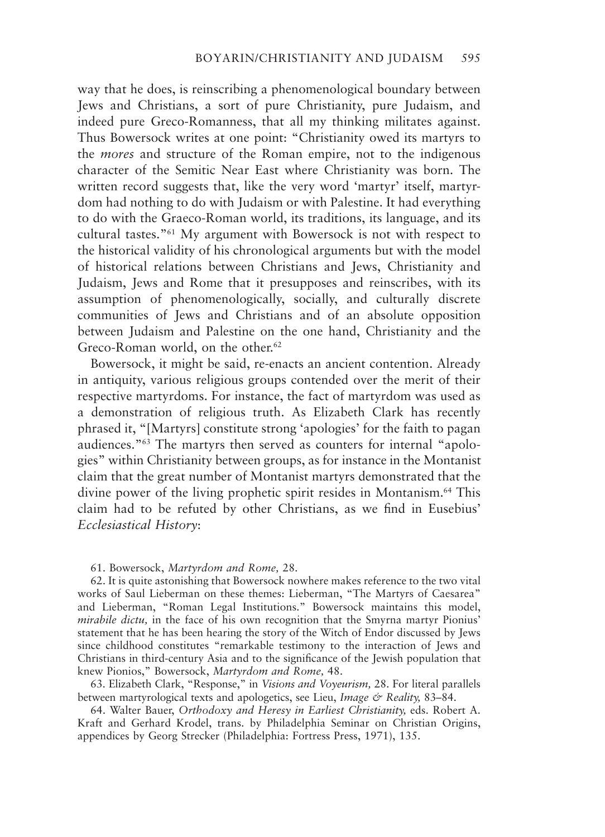way that he does, is reinscribing a phenomenological boundary between Jews and Christians, a sort of pure Christianity, pure Judaism, and indeed pure Greco-Romanness, that all my thinking militates against. Thus Bowersock writes at one point: "Christianity owed its martyrs to the *mores* and structure of the Roman empire, not to the indigenous character of the Semitic Near East where Christianity was born. The written record suggests that, like the very word 'martyr' itself, martyrdom had nothing to do with Judaism or with Palestine. It had everything to do with the Graeco-Roman world, its traditions, its language, and its cultural tastes."61 My argument with Bowersock is not with respect to the historical validity of his chronological arguments but with the model of historical relations between Christians and Jews, Christianity and Judaism, Jews and Rome that it presupposes and reinscribes, with its assumption of phenomenologically, socially, and culturally discrete communities of Jews and Christians and of an absolute opposition between Judaism and Palestine on the one hand, Christianity and the Greco-Roman world, on the other.<sup>62</sup>

Bowersock, it might be said, re-enacts an ancient contention. Already in antiquity, various religious groups contended over the merit of their respective martyrdoms. For instance, the fact of martyrdom was used as a demonstration of religious truth. As Elizabeth Clark has recently phrased it, "[Martyrs] constitute strong 'apologies' for the faith to pagan audiences."63 The martyrs then served as counters for internal "apologies" within Christianity between groups, as for instance in the Montanist claim that the great number of Montanist martyrs demonstrated that the divine power of the living prophetic spirit resides in Montanism.64 This claim had to be refuted by other Christians, as we find in Eusebius' *Ecclesiastical History*:

#### 61. Bowersock, *Martyrdom and Rome,* 28.

62. It is quite astonishing that Bowersock nowhere makes reference to the two vital works of Saul Lieberman on these themes: Lieberman, "The Martyrs of Caesarea" and Lieberman, "Roman Legal Institutions." Bowersock maintains this model, *mirabile dictu,* in the face of his own recognition that the Smyrna martyr Pionius' statement that he has been hearing the story of the Witch of Endor discussed by Jews since childhood constitutes "remarkable testimony to the interaction of Jews and Christians in third-century Asia and to the significance of the Jewish population that knew Pionios," Bowersock, *Martyrdom and Rome,* 48.

63. Elizabeth Clark, "Response," in *Visions and Voyeurism,* 28. For literal parallels between martyrological texts and apologetics, see Lieu, *Image & Reality,* 83–84.

64. Walter Bauer, *Orthodoxy and Heresy in Earliest Christianity,* eds. Robert A. Kraft and Gerhard Krodel, trans. by Philadelphia Seminar on Christian Origins, appendices by Georg Strecker (Philadelphia: Fortress Press, 1971), 135.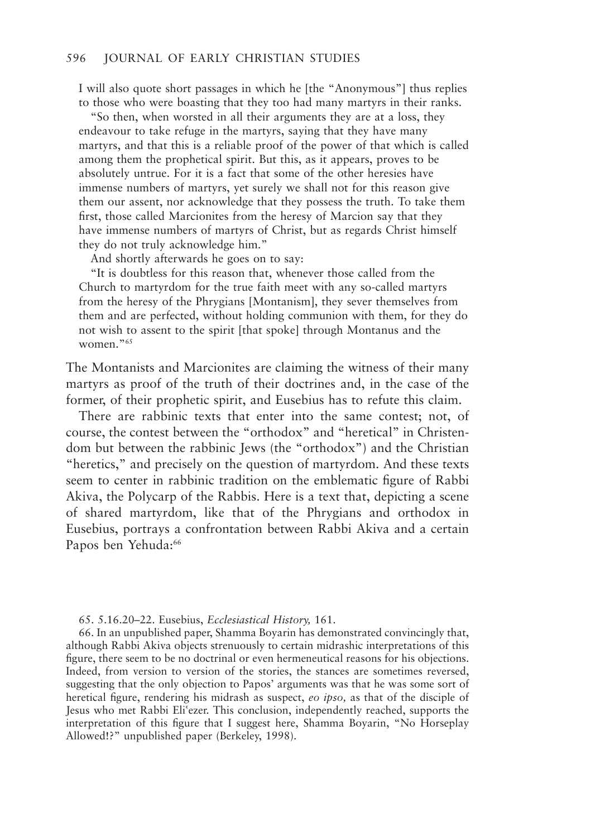I will also quote short passages in which he [the "Anonymous"] thus replies to those who were boasting that they too had many martyrs in their ranks.

"So then, when worsted in all their arguments they are at a loss, they endeavour to take refuge in the martyrs, saying that they have many martyrs, and that this is a reliable proof of the power of that which is called among them the prophetical spirit. But this, as it appears, proves to be absolutely untrue. For it is a fact that some of the other heresies have immense numbers of martyrs, yet surely we shall not for this reason give them our assent, nor acknowledge that they possess the truth. To take them first, those called Marcionites from the heresy of Marcion say that they have immense numbers of martyrs of Christ, but as regards Christ himself they do not truly acknowledge him."

And shortly afterwards he goes on to say:

"It is doubtless for this reason that, whenever those called from the Church to martyrdom for the true faith meet with any so-called martyrs from the heresy of the Phrygians [Montanism], they sever themselves from them and are perfected, without holding communion with them, for they do not wish to assent to the spirit [that spoke] through Montanus and the women."65

The Montanists and Marcionites are claiming the witness of their many martyrs as proof of the truth of their doctrines and, in the case of the former, of their prophetic spirit, and Eusebius has to refute this claim.

There are rabbinic texts that enter into the same contest; not, of course, the contest between the "orthodox" and "heretical" in Christendom but between the rabbinic Jews (the "orthodox") and the Christian "heretics," and precisely on the question of martyrdom. And these texts seem to center in rabbinic tradition on the emblematic figure of Rabbi Akiva, the Polycarp of the Rabbis. Here is a text that, depicting a scene of shared martyrdom, like that of the Phrygians and orthodox in Eusebius, portrays a confrontation between Rabbi Akiva and a certain Papos ben Yehuda:<sup>66</sup>

#### 65. 5.16.20–22. Eusebius, *Ecclesiastical History,* 161.

66. In an unpublished paper, Shamma Boyarin has demonstrated convincingly that, although Rabbi Akiva objects strenuously to certain midrashic interpretations of this figure, there seem to be no doctrinal or even hermeneutical reasons for his objections. Indeed, from version to version of the stories, the stances are sometimes reversed, suggesting that the only objection to Papos' arguments was that he was some sort of heretical figure, rendering his midrash as suspect, *eo ipso,* as that of the disciple of Jesus who met Rabbi Eli<sup>s</sup>ezer. This conclusion, independently reached, supports the interpretation of this figure that I suggest here, Shamma Boyarin, "No Horseplay Allowed!?" unpublished paper (Berkeley, 1998).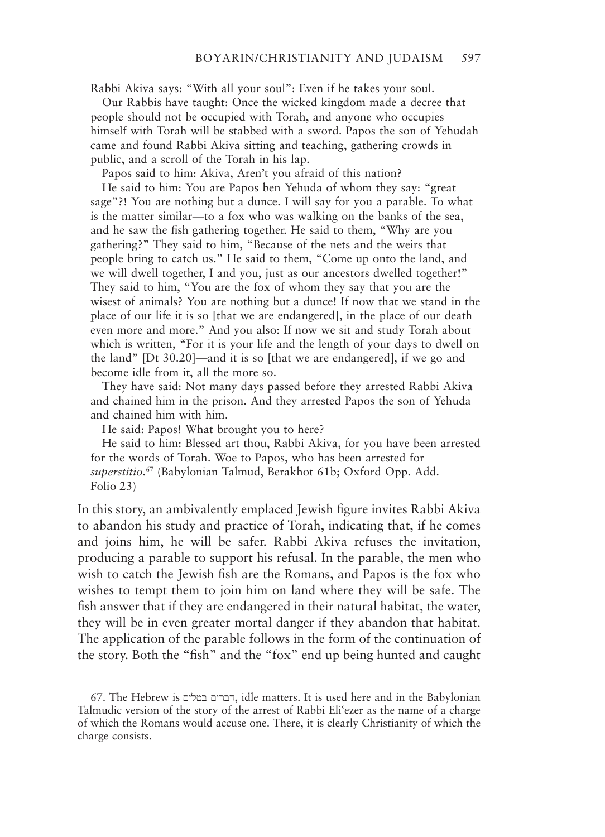Rabbi Akiva says: "With all your soul": Even if he takes your soul.

Our Rabbis have taught: Once the wicked kingdom made a decree that people should not be occupied with Torah, and anyone who occupies himself with Torah will be stabbed with a sword. Papos the son of Yehudah came and found Rabbi Akiva sitting and teaching, gathering crowds in public, and a scroll of the Torah in his lap.

Papos said to him: Akiva, Aren't you afraid of this nation?

He said to him: You are Papos ben Yehuda of whom they say: "great sage"?! You are nothing but a dunce. I will say for you a parable. To what is the matter similar—to a fox who was walking on the banks of the sea, and he saw the fish gathering together. He said to them, "Why are you gathering?" They said to him, "Because of the nets and the weirs that people bring to catch us." He said to them, "Come up onto the land, and we will dwell together, I and you, just as our ancestors dwelled together!" They said to him, "You are the fox of whom they say that you are the wisest of animals? You are nothing but a dunce! If now that we stand in the place of our life it is so [that we are endangered], in the place of our death even more and more." And you also: If now we sit and study Torah about which is written, "For it is your life and the length of your days to dwell on the land" [Dt 30.20]—and it is so [that we are endangered], if we go and become idle from it, all the more so.

They have said: Not many days passed before they arrested Rabbi Akiva and chained him in the prison. And they arrested Papos the son of Yehuda and chained him with him.

He said: Papos! What brought you to here?

He said to him: Blessed art thou, Rabbi Akiva, for you have been arrested for the words of Torah. Woe to Papos, who has been arrested for *superstitio.*67 (Babylonian Talmud, Berakhot 61b; Oxford Opp. Add. Folio 23)

In this story, an ambivalently emplaced Jewish figure invites Rabbi Akiva to abandon his study and practice of Torah, indicating that, if he comes and joins him, he will be safer. Rabbi Akiva refuses the invitation, producing a parable to support his refusal. In the parable, the men who wish to catch the Jewish fish are the Romans, and Papos is the fox who wishes to tempt them to join him on land where they will be safe. The fish answer that if they are endangered in their natural habitat, the water, they will be in even greater mortal danger if they abandon that habitat. The application of the parable follows in the form of the continuation of the story. Both the "fish" and the "fox" end up being hunted and caught

67. The Hebrew is רברים בטלים, idle matters. It is used here and in the Babylonian Talmudic version of the story of the arrest of Rabbi Eli'ezer as the name of a charge of which the Romans would accuse one. There, it is clearly Christianity of which the charge consists.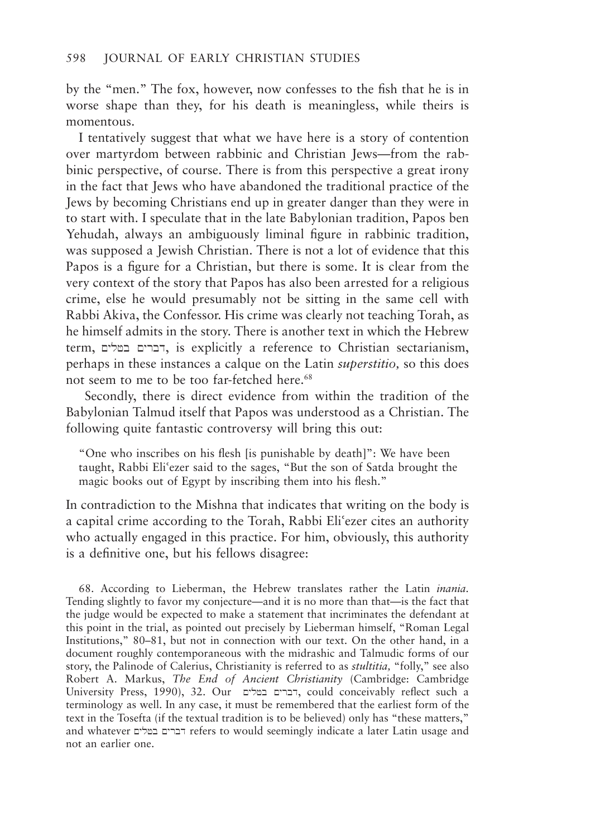by the "men." The fox, however, now confesses to the fish that he is in worse shape than they, for his death is meaningless, while theirs is momentous.

I tentatively suggest that what we have here is a story of contention over martyrdom between rabbinic and Christian Jews—from the rabbinic perspective, of course. There is from this perspective a great irony in the fact that Jews who have abandoned the traditional practice of the Jews by becoming Christians end up in greater danger than they were in to start with. I speculate that in the late Babylonian tradition, Papos ben Yehudah, always an ambiguously liminal figure in rabbinic tradition, was supposed a Jewish Christian. There is not a lot of evidence that this Papos is a figure for a Christian, but there is some. It is clear from the very context of the story that Papos has also been arrested for a religious crime, else he would presumably not be sitting in the same cell with Rabbi Akiva, the Confessor. His crime was clearly not teaching Torah, as he himself admits in the story. There is another text in which the Hebrew term, דברים בטלים, is explicitly a reference to Christian sectarianism, perhaps in these instances a calque on the Latin *superstitio,* so this does not seem to me to be too far-fetched here.<sup>68</sup>

 Secondly, there is direct evidence from within the tradition of the Babylonian Talmud itself that Papos was understood as a Christian. The following quite fantastic controversy will bring this out:

"One who inscribes on his flesh [is punishable by death]": We have been taught, Rabbi Eli'ezer said to the sages, "But the son of Satda brought the magic books out of Egypt by inscribing them into his flesh."

In contradiction to the Mishna that indicates that writing on the body is a capital crime according to the Torah, Rabbi Eli<sup>s</sup>ezer cites an authority who actually engaged in this practice. For him, obviously, this authority is a definitive one, but his fellows disagree:

68. According to Lieberman, the Hebrew translates rather the Latin *inania.* Tending slightly to favor my conjecture—and it is no more than that—is the fact that the judge would be expected to make a statement that incriminates the defendant at this point in the trial, as pointed out precisely by Lieberman himself, "Roman Legal Institutions," 80–81, but not in connection with our text. On the other hand, in a document roughly contemporaneous with the midrashic and Talmudic forms of our story, the Palinode of Calerius, Christianity is referred to as *stultitia,* "folly," see also Robert A. Markus, *The End of Ancient Christianity* (Cambridge: Cambridge University Press, 1990), 32. Our רברים בטלים, could conceivably reflect such a terminology as well. In any case, it must be remembered that the earliest form of the text in the Tosefta (if the textual tradition is to be believed) only has "these matters," and whatever דברים בטלים refers to would seemingly indicate a later Latin usage and not an earlier one.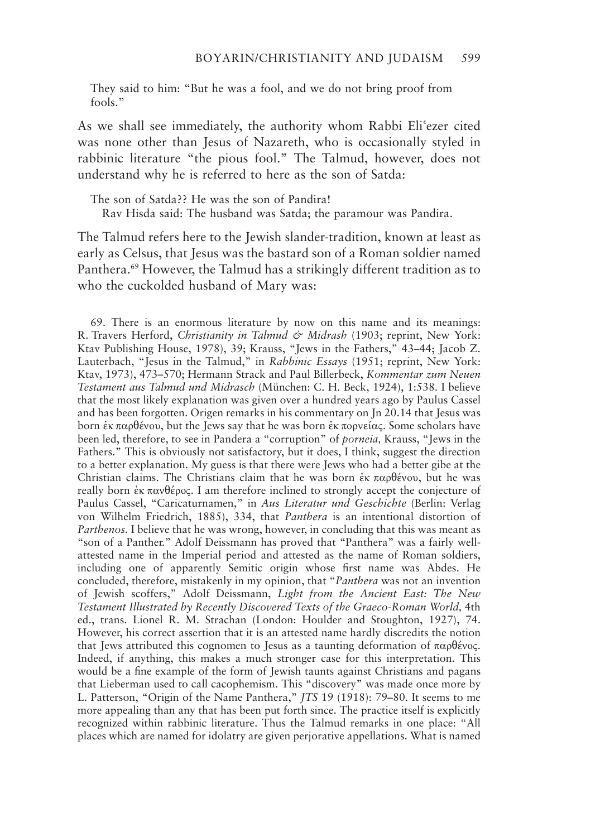They said to him: "But he was a fool, and we do not bring proof from fools."

As we shall see immediately, the authority whom Rabbi Eli'ezer cited was none other than Jesus of Nazareth, who is occasionally styled in rabbinic literature "the pious fool." The Talmud, however, does not understand why he is referred to here as the son of Satda:

The son of Satda?? He was the son of Pandira! Rav Hisda said: The husband was Satda; the paramour was Pandira.

The Talmud refers here to the Jewish slander-tradition, known at least as early as Celsus, that Jesus was the bastard son of a Roman soldier named Panthera.69 However, the Talmud has a strikingly different tradition as to who the cuckolded husband of Mary was:

69. There is an enormous literature by now on this name and its meanings: R. Travers Herford, *Christianity in Talmud & Midrash* (1903; reprint, New York: Ktav Publishing House, 1978), 39; Krauss, "Jews in the Fathers," 43–44; Jacob Z. Lauterbach, "Jesus in the Talmud," in *Rabbinic Essays* (1951; reprint, New York: Ktav, 1973), 473–570; Hermann Strack and Paul Billerbeck, *Kommentar zum Neuen Testament aus Talmud und Midrasch* (München: C. H. Beck, 1924), 1:538. I believe that the most likely explanation was given over a hundred years ago by Paulus Cassel and has been forgotten. Origen remarks in his commentary on Jn 20.14 that Jesus was born  $\dot{\epsilon}$ κ παρθένου, but the Jews say that he was born  $\dot{\epsilon}$ κ πορνείας. Some scholars have been led, therefore, to see in Pandera a "corruption" of *porneia,* Krauss, "Jews in the Fathers." This is obviously not satisfactory, but it does, I think, suggest the direction to a better explanation. My guess is that there were Jews who had a better gibe at the Christian claims. The Christians claim that he was born  $\dot{\epsilon}$   $\kappa \pi \alpha \rho \theta \dot{\epsilon}$ vov, but he was really born  $\dot{\epsilon}$   $\kappa \pi \alpha v \theta \acute{\epsilon} \rho o \varsigma$ . I am therefore inclined to strongly accept the conjecture of Paulus Cassel, "Caricaturnamen," in *Aus Literatur und Geschichte* (Berlin: Verlag von Wilhelm Friedrich, 1885), 334, that *Panthera* is an intentional distortion of *Parthenos.* I believe that he was wrong, however, in concluding that this was meant as "son of a Panther." Adolf Deissmann has proved that "Panthera" was a fairly wellattested name in the Imperial period and attested as the name of Roman soldiers, including one of apparently Semitic origin whose first name was Abdes. He concluded, therefore, mistakenly in my opinion, that "*Panthera* was not an invention of Jewish scoffers," Adolf Deissmann, *Light from the Ancient East: The New Testament Illustrated by Recently Discovered Texts of the Graeco-Roman World,* 4th ed., trans. Lionel R. M. Strachan (London: Houlder and Stoughton, 1927), 74. However, his correct assertion that it is an attested name hardly discredits the notion that Jews attributed this cognomen to Jesus as a taunting deformation of  $\pi \alpha \rho \theta \acute{\epsilon} \nu$ og. Indeed, if anything, this makes a much stronger case for this interpretation. This would be a fine example of the form of Jewish taunts against Christians and pagans that Lieberman used to call cacophemism. This "discovery" was made once more by L. Patterson, "Origin of the Name Panthera," *JTS* 19 (1918): 79–80. It seems to me more appealing than any that has been put forth since. The practice itself is explicitly recognized within rabbinic literature. Thus the Talmud remarks in one place: "All places which are named for idolatry are given perjorative appellations. What is named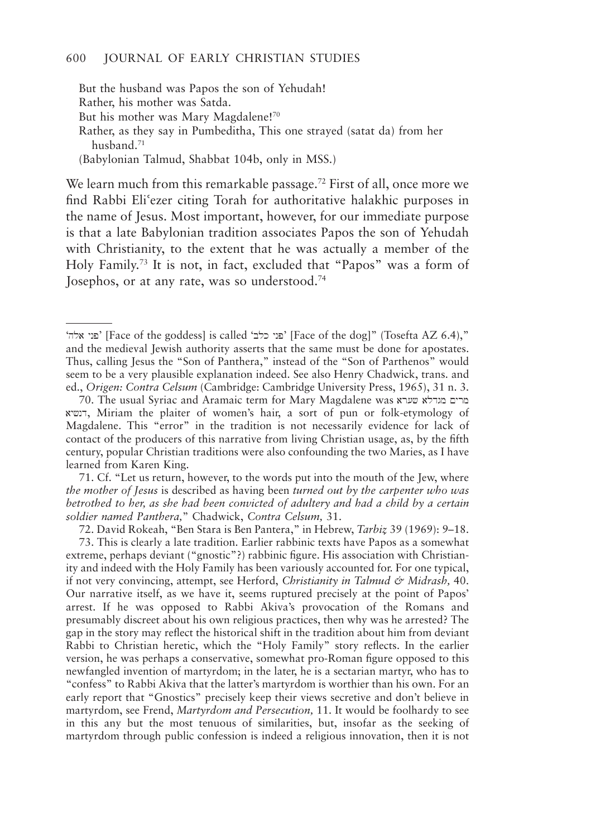But the husband was Papos the son of Yehudah! Rather, his mother was Satda. But his mother was Mary Magdalene!<sup>70</sup> Rather, as they say in Pumbeditha, This one strayed (satat da) from her husband.<sup>71</sup> (Babylonian Talmud, Shabbat 104b, only in MSS.)

We learn much from this remarkable passage.<sup>72</sup> First of all, once more we find Rabbi Eli'ezer citing Torah for authoritative halakhic purposes in the name of Jesus. Most important, however, for our immediate purpose is that a late Babylonian tradition associates Papos the son of Yehudah with Christianity, to the extent that he was actually a member of the Holy Family.73 It is not, in fact, excluded that "Papos" was a form of Josephos, or at any rate, was so understood.74

71. Cf. "Let us return, however, to the words put into the mouth of the Jew, where *the mother of Jesus* is described as having been *turned out by the carpenter who was betrothed to her, as she had been convicted of adultery and had a child by a certain soldier named Panthera,*" Chadwick, *Contra Celsum,* 31.

72. David Rokeah, "Ben Stara is Ben Pantera," in Hebrew, *Tarbiz*≥ 39 (1969): 9–18.

73. This is clearly a late tradition. Earlier rabbinic texts have Papos as a somewhat extreme, perhaps deviant ("gnostic"?) rabbinic figure. His association with Christianity and indeed with the Holy Family has been variously accounted for. For one typical, if not very convincing, attempt, see Herford, *Christianity in Talmud & Midrash,* 40. Our narrative itself, as we have it, seems ruptured precisely at the point of Papos' arrest. If he was opposed to Rabbi Akiva's provocation of the Romans and presumably discreet about his own religious practices, then why was he arrested? The gap in the story may reflect the historical shift in the tradition about him from deviant Rabbi to Christian heretic, which the "Holy Family" story reflects. In the earlier version, he was perhaps a conservative, somewhat pro-Roman figure opposed to this newfangled invention of martyrdom; in the later, he is a sectarian martyr, who has to "confess" to Rabbi Akiva that the latter's martyrdom is worthier than his own. For an early report that "Gnostics" precisely keep their views secretive and don't believe in martyrdom, see Frend, *Martyrdom and Persecution,* 11. It would be foolhardy to see in this any but the most tenuous of similarities, but, insofar as the seeking of martyrdom through public confession is indeed a religious innovation, then it is not

<sup>&#</sup>x27;er אלה' [Face of the goddess] is called 'פון כלב' [Face of the dog]" (Tosefta AZ 6.4)," and the medieval Jewish authority asserts that the same must be done for apostates. Thus, calling Jesus the "Son of Panthera," instead of the "Son of Parthenos" would seem to be a very plausible explanation indeed. See also Henry Chadwick, trans. and ed., *Origen: Contra Celsum* (Cambridge: Cambridge University Press, 1965), 31 n. 3.

<sup>70.</sup> The usual Syriac and Aramaic term for Mary Magdalene was מרים מגדלא שערא ayçnd, Miriam the plaiter of women's hair, a sort of pun or folk-etymology of Magdalene. This "error" in the tradition is not necessarily evidence for lack of contact of the producers of this narrative from living Christian usage, as, by the fifth century, popular Christian traditions were also confounding the two Maries, as I have learned from Karen King.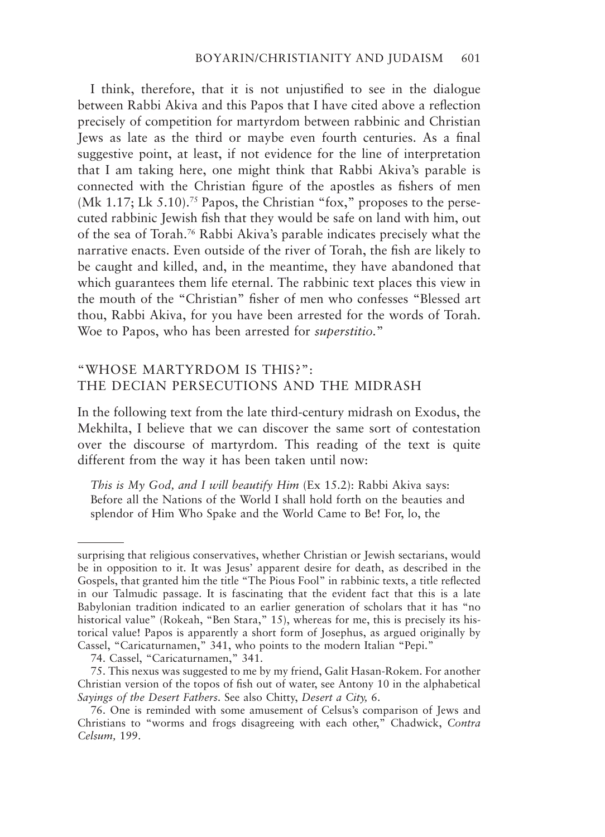I think, therefore, that it is not unjustified to see in the dialogue between Rabbi Akiva and this Papos that I have cited above a reflection precisely of competition for martyrdom between rabbinic and Christian Jews as late as the third or maybe even fourth centuries. As a final suggestive point, at least, if not evidence for the line of interpretation that I am taking here, one might think that Rabbi Akiva's parable is connected with the Christian figure of the apostles as fishers of men (Mk 1.17; Lk 5.10).<sup>75</sup> Papos, the Christian "fox," proposes to the persecuted rabbinic Jewish fish that they would be safe on land with him, out of the sea of Torah.76 Rabbi Akiva's parable indicates precisely what the narrative enacts. Even outside of the river of Torah, the fish are likely to be caught and killed, and, in the meantime, they have abandoned that which guarantees them life eternal. The rabbinic text places this view in the mouth of the "Christian" fisher of men who confesses "Blessed art thou, Rabbi Akiva, for you have been arrested for the words of Torah. Woe to Papos, who has been arrested for *superstitio.*"

## "WHOSE MARTYRDOM IS THIS?": THE DECIAN PERSECUTIONS AND THE MIDRASH

In the following text from the late third-century midrash on Exodus, the Mekhilta, I believe that we can discover the same sort of contestation over the discourse of martyrdom. This reading of the text is quite different from the way it has been taken until now:

*This is My God, and I will beautify Him* (Ex 15.2): Rabbi Akiva says: Before all the Nations of the World I shall hold forth on the beauties and splendor of Him Who Spake and the World Came to Be! For, lo, the

74. Cassel, "Caricaturnamen," 341.

75. This nexus was suggested to me by my friend, Galit Hasan-Rokem. For another Christian version of the topos of fish out of water, see Antony 10 in the alphabetical *Sayings of the Desert Fathers.* See also Chitty, *Desert a City,* 6.

surprising that religious conservatives, whether Christian or Jewish sectarians, would be in opposition to it. It was Jesus' apparent desire for death, as described in the Gospels, that granted him the title "The Pious Fool" in rabbinic texts, a title reflected in our Talmudic passage. It is fascinating that the evident fact that this is a late Babylonian tradition indicated to an earlier generation of scholars that it has "no historical value" (Rokeah, "Ben Stara," 15), whereas for me, this is precisely its historical value! Papos is apparently a short form of Josephus, as argued originally by Cassel, "Caricaturnamen," 341, who points to the modern Italian "Pepi."

<sup>76.</sup> One is reminded with some amusement of Celsus's comparison of Jews and Christians to "worms and frogs disagreeing with each other," Chadwick, *Contra Celsum,* 199.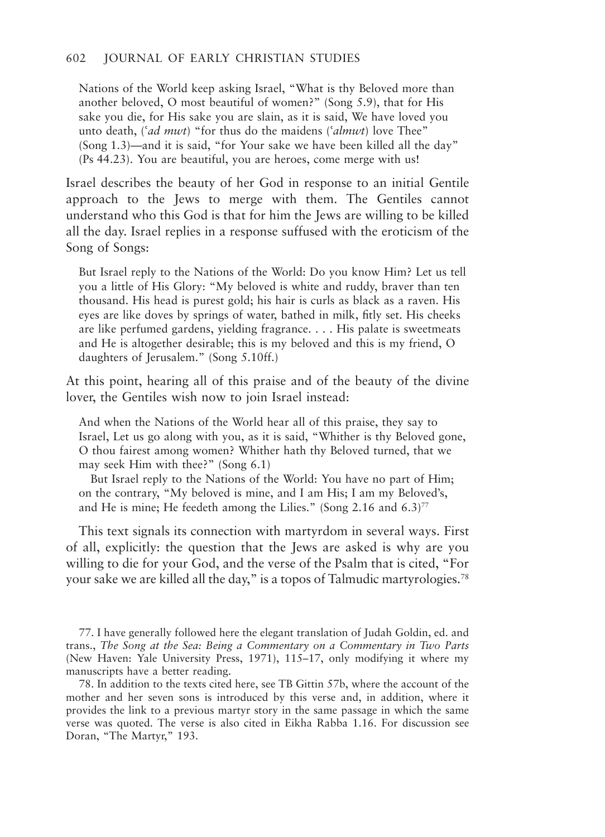Nations of the World keep asking Israel, "What is thy Beloved more than another beloved, O most beautiful of women?" (Song 5.9), that for His sake you die, for His sake you are slain, as it is said, We have loved you unto death, ('*ad mwt*) "for thus do the maidens ('*almwt*) love Thee" (Song 1.3)—and it is said, "for Your sake we have been killed all the day" (Ps 44.23). You are beautiful, you are heroes, come merge with us!

Israel describes the beauty of her God in response to an initial Gentile approach to the Jews to merge with them. The Gentiles cannot understand who this God is that for him the Jews are willing to be killed all the day. Israel replies in a response suffused with the eroticism of the Song of Songs:

But Israel reply to the Nations of the World: Do you know Him? Let us tell you a little of His Glory: "My beloved is white and ruddy, braver than ten thousand. His head is purest gold; his hair is curls as black as a raven. His eyes are like doves by springs of water, bathed in milk, fitly set. His cheeks are like perfumed gardens, yielding fragrance. . . . His palate is sweetmeats and He is altogether desirable; this is my beloved and this is my friend, O daughters of Jerusalem." (Song 5.10ff.)

At this point, hearing all of this praise and of the beauty of the divine lover, the Gentiles wish now to join Israel instead:

And when the Nations of the World hear all of this praise, they say to Israel, Let us go along with you, as it is said, "Whither is thy Beloved gone, O thou fairest among women? Whither hath thy Beloved turned, that we may seek Him with thee?" (Song 6.1)

But Israel reply to the Nations of the World: You have no part of Him; on the contrary, "My beloved is mine, and I am His; I am my Beloved's, and He is mine; He feedeth among the Lilies." (Song 2.16 and  $6.3$ )<sup>77</sup>

This text signals its connection with martyrdom in several ways. First of all, explicitly: the question that the Jews are asked is why are you willing to die for your God, and the verse of the Psalm that is cited, "For your sake we are killed all the day," is a topos of Talmudic martyrologies.78

77. I have generally followed here the elegant translation of Judah Goldin, ed. and trans., *The Song at the Sea: Being a Commentary on a Commentary in Two Parts* (New Haven: Yale University Press, 1971), 115–17, only modifying it where my manuscripts have a better reading.

78. In addition to the texts cited here, see TB Gittin 57b, where the account of the mother and her seven sons is introduced by this verse and, in addition, where it provides the link to a previous martyr story in the same passage in which the same verse was quoted. The verse is also cited in Eikha Rabba 1.16. For discussion see Doran, "The Martyr," 193.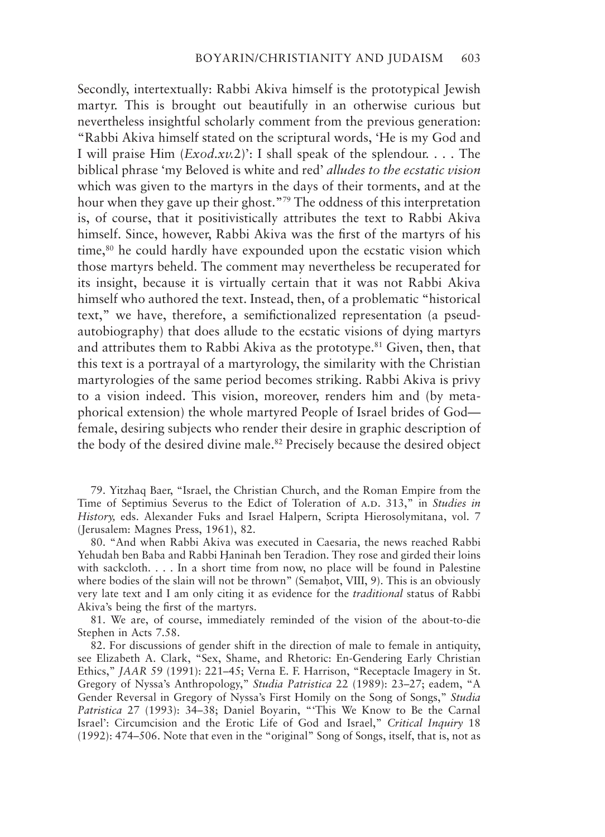Secondly, intertextually: Rabbi Akiva himself is the prototypical Jewish martyr. This is brought out beautifully in an otherwise curious but nevertheless insightful scholarly comment from the previous generation: "Rabbi Akiva himself stated on the scriptural words, 'He is my God and I will praise Him (*Exod.xv.*2)': I shall speak of the splendour. . . . The biblical phrase 'my Beloved is white and red' *alludes to the ecstatic vision* which was given to the martyrs in the days of their torments, and at the hour when they gave up their ghost."79 The oddness of this interpretation is, of course, that it positivistically attributes the text to Rabbi Akiva himself. Since, however, Rabbi Akiva was the first of the martyrs of his time,<sup>80</sup> he could hardly have expounded upon the ecstatic vision which those martyrs beheld. The comment may nevertheless be recuperated for its insight, because it is virtually certain that it was not Rabbi Akiva himself who authored the text. Instead, then, of a problematic "historical text," we have, therefore, a semifictionalized representation (a pseudautobiography) that does allude to the ecstatic visions of dying martyrs and attributes them to Rabbi Akiva as the prototype.<sup>81</sup> Given, then, that this text is a portrayal of a martyrology, the similarity with the Christian martyrologies of the same period becomes striking. Rabbi Akiva is privy to a vision indeed. This vision, moreover, renders him and (by metaphorical extension) the whole martyred People of Israel brides of God female, desiring subjects who render their desire in graphic description of the body of the desired divine male.82 Precisely because the desired object

79. Yitzhaq Baer, "Israel, the Christian Church, and the Roman Empire from the Time of Septimius Severus to the Edict of Toleration of A.D. 313," in *Studies in History,* eds. Alexander Fuks and Israel Halpern, Scripta Hierosolymitana, vol. 7 (Jerusalem: Magnes Press, 1961), 82.

80. "And when Rabbi Akiva was executed in Caesaria, the news reached Rabbi Yehudah ben Baba and Rabbi Haninah ben Teradion. They rose and girded their loins with sackcloth. . . . In a short time from now, no place will be found in Palestine where bodies of the slain will not be thrown" (Semahot, VIII, 9). This is an obviously very late text and I am only citing it as evidence for the *traditional* status of Rabbi Akiva's being the first of the martyrs.

81. We are, of course, immediately reminded of the vision of the about-to-die Stephen in Acts 7.58.

82. For discussions of gender shift in the direction of male to female in antiquity, see Elizabeth A. Clark, "Sex, Shame, and Rhetoric: En-Gendering Early Christian Ethics," *JAAR* 59 (1991): 221–45; Verna E. F. Harrison, "Receptacle Imagery in St. Gregory of Nyssa's Anthropology," *Studia Patristica* 22 (1989): 23–27; eadem, "A Gender Reversal in Gregory of Nyssa's First Homily on the Song of Songs," *Studia* Patristica 27 (1993): 34-38; Daniel Boyarin, "This We Know to Be the Carnal Israel': Circumcision and the Erotic Life of God and Israel," *Critical Inquiry* 18 (1992): 474–506. Note that even in the "original" Song of Songs, itself, that is, not as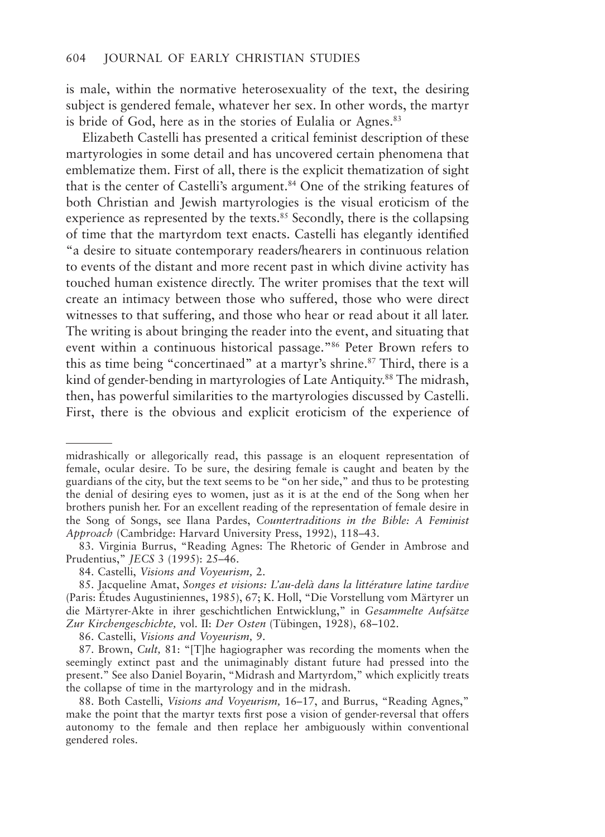is male, within the normative heterosexuality of the text, the desiring subject is gendered female, whatever her sex. In other words, the martyr is bride of God, here as in the stories of Eulalia or Agnes.<sup>83</sup>

 Elizabeth Castelli has presented a critical feminist description of these martyrologies in some detail and has uncovered certain phenomena that emblematize them. First of all, there is the explicit thematization of sight that is the center of Castelli's argument.<sup>84</sup> One of the striking features of both Christian and Jewish martyrologies is the visual eroticism of the experience as represented by the texts.<sup>85</sup> Secondly, there is the collapsing of time that the martyrdom text enacts. Castelli has elegantly identified "a desire to situate contemporary readers/hearers in continuous relation to events of the distant and more recent past in which divine activity has touched human existence directly. The writer promises that the text will create an intimacy between those who suffered, those who were direct witnesses to that suffering, and those who hear or read about it all later. The writing is about bringing the reader into the event, and situating that event within a continuous historical passage."86 Peter Brown refers to this as time being "concertinaed" at a martyr's shrine.<sup>87</sup> Third, there is a kind of gender-bending in martyrologies of Late Antiquity.<sup>88</sup> The midrash, then, has powerful similarities to the martyrologies discussed by Castelli. First, there is the obvious and explicit eroticism of the experience of

86. Castelli, *Visions and Voyeurism,* 9.

87. Brown, *Cult,* 81: "[T]he hagiographer was recording the moments when the seemingly extinct past and the unimaginably distant future had pressed into the present." See also Daniel Boyarin, "Midrash and Martyrdom," which explicitly treats the collapse of time in the martyrology and in the midrash.

88. Both Castelli, *Visions and Voyeurism,* 16–17, and Burrus, "Reading Agnes," make the point that the martyr texts first pose a vision of gender-reversal that offers autonomy to the female and then replace her ambiguously within conventional gendered roles.

midrashically or allegorically read, this passage is an eloquent representation of female, ocular desire. To be sure, the desiring female is caught and beaten by the guardians of the city, but the text seems to be "on her side," and thus to be protesting the denial of desiring eyes to women, just as it is at the end of the Song when her brothers punish her. For an excellent reading of the representation of female desire in the Song of Songs, see Ilana Pardes, *Countertraditions in the Bible: A Feminist Approach* (Cambridge: Harvard University Press, 1992), 118–43.

<sup>83.</sup> Virginia Burrus, "Reading Agnes: The Rhetoric of Gender in Ambrose and Prudentius," *JECS* 3 (1995): 25–46.

<sup>84.</sup> Castelli, *Visions and Voyeurism,* 2.

<sup>85.</sup> Jacqueline Amat, *Songes et visions: L'au-delà dans la littérature latine tardive* (Paris: Études Augustiniennes, 1985), 67; K. Holl, "Die Vorstellung vom Märtyrer un die Märtyrer-Akte in ihrer geschichtlichen Entwicklung," in *Gesammelte Aufsätze Zur Kirchengeschichte,* vol. II: *Der Osten* (Tübingen, 1928), 68–102.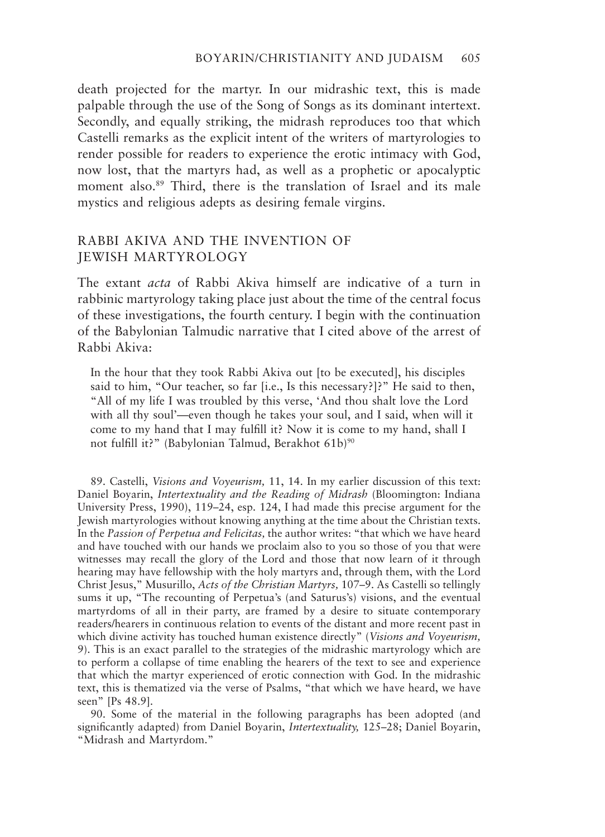death projected for the martyr. In our midrashic text, this is made palpable through the use of the Song of Songs as its dominant intertext. Secondly, and equally striking, the midrash reproduces too that which Castelli remarks as the explicit intent of the writers of martyrologies to render possible for readers to experience the erotic intimacy with God, now lost, that the martyrs had, as well as a prophetic or apocalyptic moment also.<sup>89</sup> Third, there is the translation of Israel and its male mystics and religious adepts as desiring female virgins.

## RABBI AKIVA AND THE INVENTION OF JEWISH MARTYROLOGY

The extant *acta* of Rabbi Akiva himself are indicative of a turn in rabbinic martyrology taking place just about the time of the central focus of these investigations, the fourth century. I begin with the continuation of the Babylonian Talmudic narrative that I cited above of the arrest of Rabbi Akiva:

In the hour that they took Rabbi Akiva out [to be executed], his disciples said to him, "Our teacher, so far [i.e., Is this necessary?]?" He said to then, "All of my life I was troubled by this verse, 'And thou shalt love the Lord with all thy soul'—even though he takes your soul, and I said, when will it come to my hand that I may fulfill it? Now it is come to my hand, shall I not fulfill it?" (Babylonian Talmud, Berakhot 61b)<sup>90</sup>

89. Castelli, *Visions and Voyeurism,* 11, 14. In my earlier discussion of this text: Daniel Boyarin, *Intertextuality and the Reading of Midrash* (Bloomington: Indiana University Press, 1990), 119–24, esp. 124, I had made this precise argument for the Jewish martyrologies without knowing anything at the time about the Christian texts. In the *Passion of Perpetua and Felicitas,* the author writes: "that which we have heard and have touched with our hands we proclaim also to you so those of you that were witnesses may recall the glory of the Lord and those that now learn of it through hearing may have fellowship with the holy martyrs and, through them, with the Lord Christ Jesus," Musurillo, *Acts of the Christian Martyrs,* 107–9. As Castelli so tellingly sums it up, "The recounting of Perpetua's (and Saturus's) visions, and the eventual martyrdoms of all in their party, are framed by a desire to situate contemporary readers/hearers in continuous relation to events of the distant and more recent past in which divine activity has touched human existence directly" (*Visions and Voyeurism,* 9). This is an exact parallel to the strategies of the midrashic martyrology which are to perform a collapse of time enabling the hearers of the text to see and experience that which the martyr experienced of erotic connection with God. In the midrashic text, this is thematized via the verse of Psalms, "that which we have heard, we have seen" [Ps 48.9].

90. Some of the material in the following paragraphs has been adopted (and significantly adapted) from Daniel Boyarin, *Intertextuality,* 125–28; Daniel Boyarin, "Midrash and Martyrdom."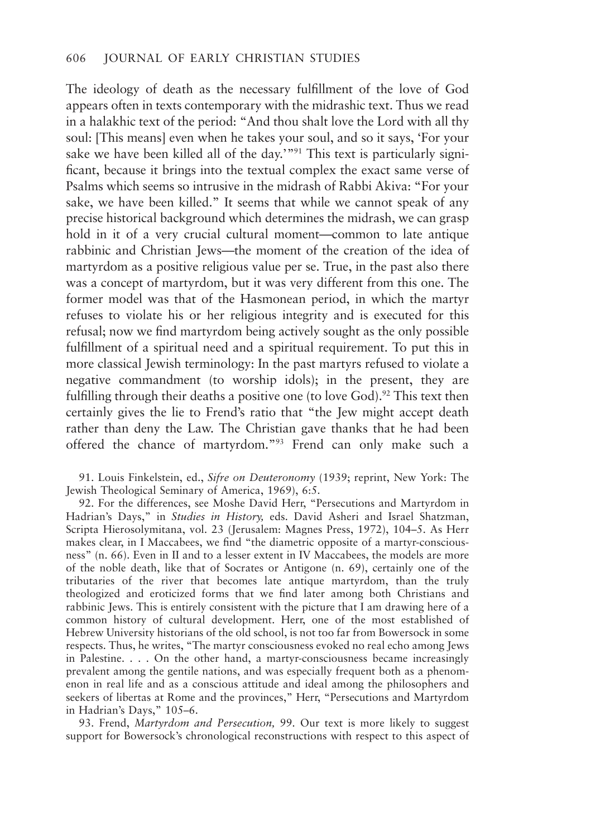The ideology of death as the necessary fulfillment of the love of God appears often in texts contemporary with the midrashic text. Thus we read in a halakhic text of the period: "And thou shalt love the Lord with all thy soul: [This means] even when he takes your soul, and so it says, 'For your sake we have been killed all of the day.'"91 This text is particularly significant, because it brings into the textual complex the exact same verse of Psalms which seems so intrusive in the midrash of Rabbi Akiva: "For your sake, we have been killed." It seems that while we cannot speak of any precise historical background which determines the midrash, we can grasp hold in it of a very crucial cultural moment—common to late antique rabbinic and Christian Jews—the moment of the creation of the idea of martyrdom as a positive religious value per se. True, in the past also there was a concept of martyrdom, but it was very different from this one. The former model was that of the Hasmonean period, in which the martyr refuses to violate his or her religious integrity and is executed for this refusal; now we find martyrdom being actively sought as the only possible fulfillment of a spiritual need and a spiritual requirement. To put this in more classical Jewish terminology: In the past martyrs refused to violate a negative commandment (to worship idols); in the present, they are fulfilling through their deaths a positive one (to love God).<sup>92</sup> This text then certainly gives the lie to Frend's ratio that "the Jew might accept death rather than deny the Law. The Christian gave thanks that he had been offered the chance of martyrdom."93 Frend can only make such a

91. Louis Finkelstein, ed., *Sifre on Deuteronomy* (1939; reprint, New York: The Jewish Theological Seminary of America, 1969), 6:5.

92. For the differences, see Moshe David Herr, "Persecutions and Martyrdom in Hadrian's Days," in *Studies in History,* eds. David Asheri and Israel Shatzman, Scripta Hierosolymitana, vol. 23 (Jerusalem: Magnes Press, 1972), 104–5. As Herr makes clear, in I Maccabees, we find "the diametric opposite of a martyr-consciousness" (n. 66). Even in II and to a lesser extent in IV Maccabees, the models are more of the noble death, like that of Socrates or Antigone (n. 69), certainly one of the tributaries of the river that becomes late antique martyrdom, than the truly theologized and eroticized forms that we find later among both Christians and rabbinic Jews. This is entirely consistent with the picture that I am drawing here of a common history of cultural development. Herr, one of the most established of Hebrew University historians of the old school, is not too far from Bowersock in some respects. Thus, he writes, "The martyr consciousness evoked no real echo among Jews in Palestine. . . . On the other hand, a martyr-consciousness became increasingly prevalent among the gentile nations, and was especially frequent both as a phenomenon in real life and as a conscious attitude and ideal among the philosophers and seekers of libertas at Rome and the provinces," Herr, "Persecutions and Martyrdom in Hadrian's Days," 105–6.

93. Frend, *Martyrdom and Persecution,* 99. Our text is more likely to suggest support for Bowersock's chronological reconstructions with respect to this aspect of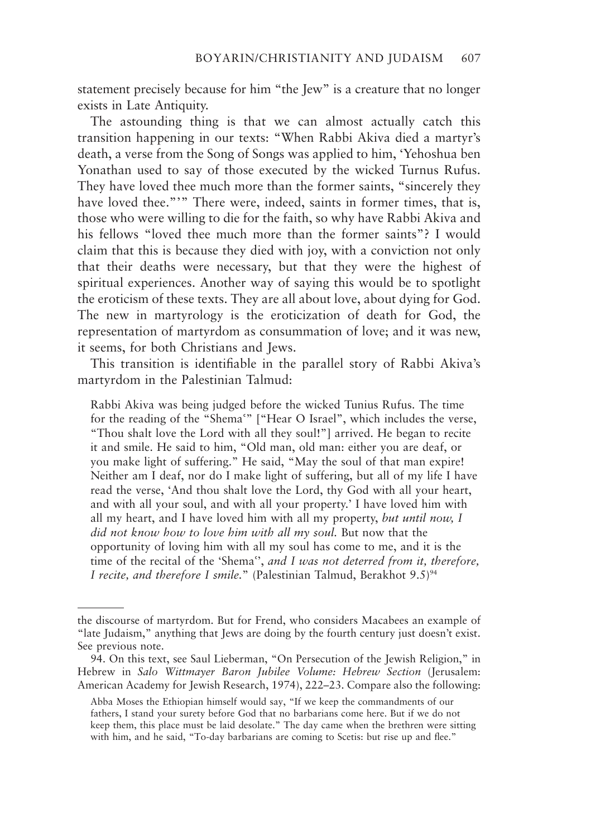statement precisely because for him "the Jew" is a creature that no longer exists in Late Antiquity.

The astounding thing is that we can almost actually catch this transition happening in our texts: "When Rabbi Akiva died a martyr's death, a verse from the Song of Songs was applied to him, 'Yehoshua ben Yonathan used to say of those executed by the wicked Turnus Rufus. They have loved thee much more than the former saints, "sincerely they have loved thee.""" There were, indeed, saints in former times, that is, those who were willing to die for the faith, so why have Rabbi Akiva and his fellows "loved thee much more than the former saints"? I would claim that this is because they died with joy, with a conviction not only that their deaths were necessary, but that they were the highest of spiritual experiences. Another way of saying this would be to spotlight the eroticism of these texts. They are all about love, about dying for God. The new in martyrology is the eroticization of death for God, the representation of martyrdom as consummation of love; and it was new, it seems, for both Christians and Jews.

This transition is identifiable in the parallel story of Rabbi Akiva's martyrdom in the Palestinian Talmud:

Rabbi Akiva was being judged before the wicked Tunius Rufus. The time for the reading of the "Shema" ["Hear O Israel", which includes the verse, "Thou shalt love the Lord with all they soul!"] arrived. He began to recite it and smile. He said to him, "Old man, old man: either you are deaf, or you make light of suffering." He said, "May the soul of that man expire! Neither am I deaf, nor do I make light of suffering, but all of my life I have read the verse, 'And thou shalt love the Lord, thy God with all your heart, and with all your soul, and with all your property.' I have loved him with all my heart, and I have loved him with all my property, *but until now, I did not know how to love him with all my soul.* But now that the opportunity of loving him with all my soul has come to me, and it is the time of the recital of the 'Shema'', and I was not deterred from it, therefore, *I recite, and therefore I smile.*" (Palestinian Talmud, Berakhot 9.5)<sup>94</sup>

the discourse of martyrdom. But for Frend, who considers Macabees an example of "late Judaism," anything that Jews are doing by the fourth century just doesn't exist. See previous note.

<sup>94.</sup> On this text, see Saul Lieberman, "On Persecution of the Jewish Religion," in Hebrew in *Salo Wittmayer Baron Jubilee Volume: Hebrew Section* (Jerusalem: American Academy for Jewish Research, 1974), 222–23. Compare also the following:

Abba Moses the Ethiopian himself would say, "If we keep the commandments of our fathers, I stand your surety before God that no barbarians come here. But if we do not keep them, this place must be laid desolate." The day came when the brethren were sitting with him, and he said, "To-day barbarians are coming to Scetis: but rise up and flee."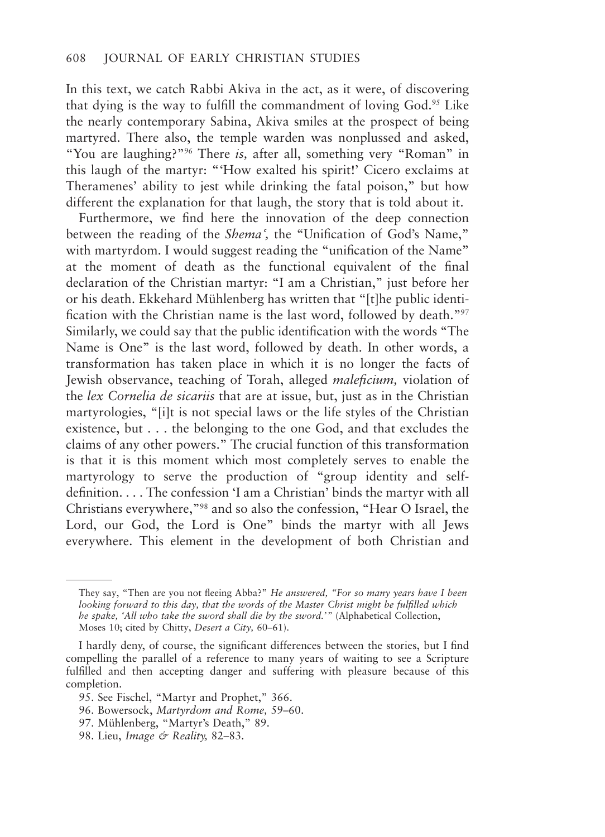In this text, we catch Rabbi Akiva in the act, as it were, of discovering that dying is the way to fulfill the commandment of loving God.95 Like the nearly contemporary Sabina, Akiva smiles at the prospect of being martyred. There also, the temple warden was nonplussed and asked, "You are laughing?"96 There *is,* after all, something very "Roman" in this laugh of the martyr: "'How exalted his spirit!' Cicero exclaims at Theramenes' ability to jest while drinking the fatal poison," but how different the explanation for that laugh, the story that is told about it.

Furthermore, we find here the innovation of the deep connection between the reading of the *Shema*<sup>'</sup>, the "Unification of God's Name," with martyrdom. I would suggest reading the "unification of the Name" at the moment of death as the functional equivalent of the final declaration of the Christian martyr: "I am a Christian," just before her or his death. Ekkehard Mühlenberg has written that "[t]he public identification with the Christian name is the last word, followed by death."97 Similarly, we could say that the public identification with the words "The Name is One" is the last word, followed by death. In other words, a transformation has taken place in which it is no longer the facts of Jewish observance, teaching of Torah, alleged *maleficium,* violation of the *lex Cornelia de sicariis* that are at issue, but, just as in the Christian martyrologies, "[i]t is not special laws or the life styles of the Christian existence, but . . . the belonging to the one God, and that excludes the claims of any other powers." The crucial function of this transformation is that it is this moment which most completely serves to enable the martyrology to serve the production of "group identity and selfdefinition. . . . The confession 'I am a Christian' binds the martyr with all Christians everywhere,"98 and so also the confession, "Hear O Israel, the Lord, our God, the Lord is One" binds the martyr with all Jews everywhere. This element in the development of both Christian and

They say, "Then are you not fleeing Abba?" *He answered, "For so many years have I been looking forward to this day, that the words of the Master Christ might be fulfilled which he spake, 'All who take the sword shall die by the sword.'"* (Alphabetical Collection, Moses 10; cited by Chitty, *Desert a City,* 60–61).

I hardly deny, of course, the significant differences between the stories, but I find compelling the parallel of a reference to many years of waiting to see a Scripture fulfilled and then accepting danger and suffering with pleasure because of this completion.

<sup>95.</sup> See Fischel, "Martyr and Prophet," 366.

<sup>96.</sup> Bowersock, *Martyrdom and Rome,* 59–60.

<sup>97.</sup> Mühlenberg, "Martyr's Death," 89.

<sup>98.</sup> Lieu, *Image & Reality,* 82–83.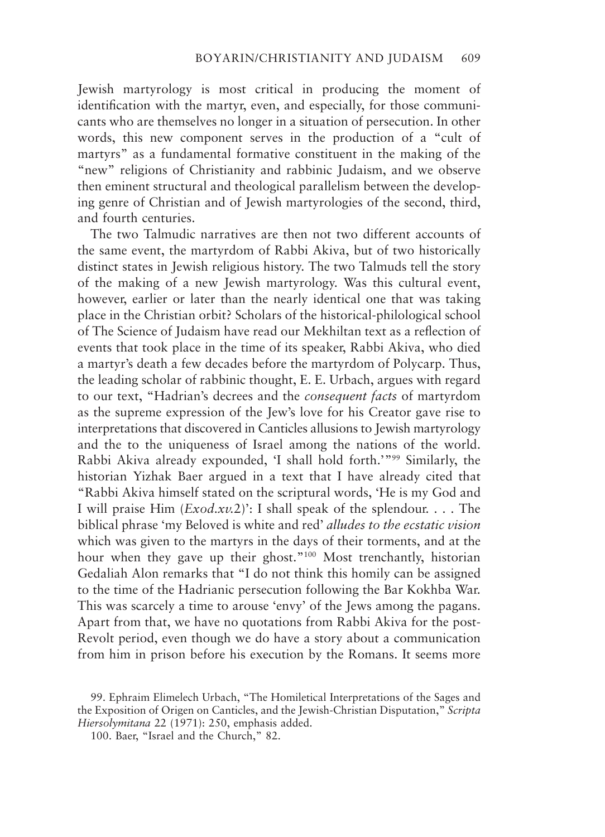Jewish martyrology is most critical in producing the moment of identification with the martyr, even, and especially, for those communicants who are themselves no longer in a situation of persecution. In other words, this new component serves in the production of a "cult of martyrs" as a fundamental formative constituent in the making of the "new" religions of Christianity and rabbinic Judaism, and we observe then eminent structural and theological parallelism between the developing genre of Christian and of Jewish martyrologies of the second, third, and fourth centuries.

The two Talmudic narratives are then not two different accounts of the same event, the martyrdom of Rabbi Akiva, but of two historically distinct states in Jewish religious history. The two Talmuds tell the story of the making of a new Jewish martyrology. Was this cultural event, however, earlier or later than the nearly identical one that was taking place in the Christian orbit? Scholars of the historical-philological school of The Science of Judaism have read our Mekhiltan text as a reflection of events that took place in the time of its speaker, Rabbi Akiva, who died a martyr's death a few decades before the martyrdom of Polycarp. Thus, the leading scholar of rabbinic thought, E. E. Urbach, argues with regard to our text, "Hadrian's decrees and the *consequent facts* of martyrdom as the supreme expression of the Jew's love for his Creator gave rise to interpretations that discovered in Canticles allusions to Jewish martyrology and the to the uniqueness of Israel among the nations of the world. Rabbi Akiva already expounded, 'I shall hold forth.'"99 Similarly, the historian Yizhak Baer argued in a text that I have already cited that "Rabbi Akiva himself stated on the scriptural words, 'He is my God and I will praise Him (*Exod.xv.*2)': I shall speak of the splendour. . . . The biblical phrase 'my Beloved is white and red' *alludes to the ecstatic vision* which was given to the martyrs in the days of their torments, and at the hour when they gave up their ghost."<sup>100</sup> Most trenchantly, historian Gedaliah Alon remarks that "I do not think this homily can be assigned to the time of the Hadrianic persecution following the Bar Kokhba War. This was scarcely a time to arouse 'envy' of the Jews among the pagans. Apart from that, we have no quotations from Rabbi Akiva for the post-Revolt period, even though we do have a story about a communication from him in prison before his execution by the Romans. It seems more

<sup>99.</sup> Ephraim Elimelech Urbach, "The Homiletical Interpretations of the Sages and the Exposition of Origen on Canticles, and the Jewish-Christian Disputation," *Scripta Hiersolymitana* 22 (1971): 250, emphasis added.

<sup>100.</sup> Baer, "Israel and the Church," 82.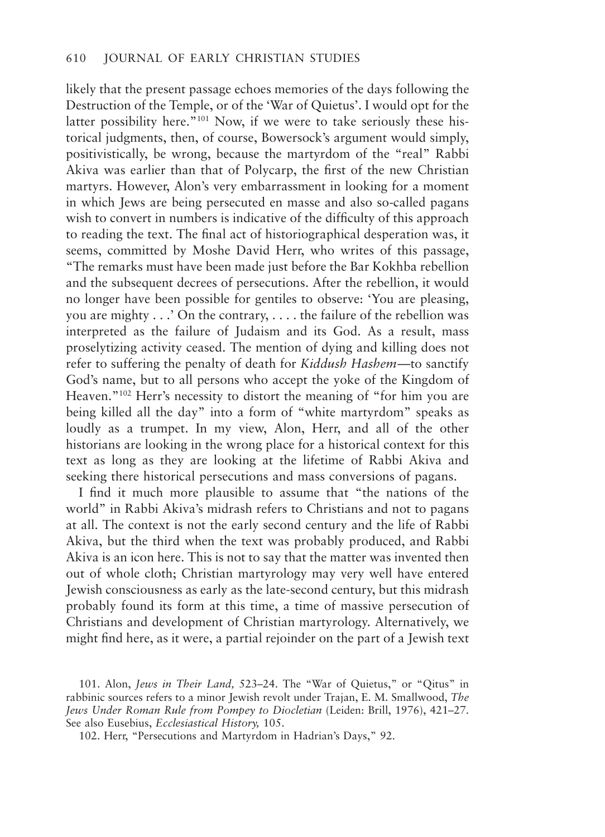likely that the present passage echoes memories of the days following the Destruction of the Temple, or of the 'War of Quietus'. I would opt for the latter possibility here."<sup>101</sup> Now, if we were to take seriously these historical judgments, then, of course, Bowersock's argument would simply, positivistically, be wrong, because the martyrdom of the "real" Rabbi Akiva was earlier than that of Polycarp, the first of the new Christian martyrs. However, Alon's very embarrassment in looking for a moment in which Jews are being persecuted en masse and also so-called pagans wish to convert in numbers is indicative of the difficulty of this approach to reading the text. The final act of historiographical desperation was, it seems, committed by Moshe David Herr, who writes of this passage, "The remarks must have been made just before the Bar Kokhba rebellion and the subsequent decrees of persecutions. After the rebellion, it would no longer have been possible for gentiles to observe: 'You are pleasing, you are mighty . . .' On the contrary, . . . . the failure of the rebellion was interpreted as the failure of Judaism and its God. As a result, mass proselytizing activity ceased. The mention of dying and killing does not refer to suffering the penalty of death for *Kiddush Hashem*—to sanctify God's name, but to all persons who accept the yoke of the Kingdom of Heaven."102 Herr's necessity to distort the meaning of "for him you are being killed all the day" into a form of "white martyrdom" speaks as loudly as a trumpet. In my view, Alon, Herr, and all of the other historians are looking in the wrong place for a historical context for this text as long as they are looking at the lifetime of Rabbi Akiva and seeking there historical persecutions and mass conversions of pagans.

I find it much more plausible to assume that "the nations of the world" in Rabbi Akiva's midrash refers to Christians and not to pagans at all. The context is not the early second century and the life of Rabbi Akiva, but the third when the text was probably produced, and Rabbi Akiva is an icon here. This is not to say that the matter was invented then out of whole cloth; Christian martyrology may very well have entered Jewish consciousness as early as the late-second century, but this midrash probably found its form at this time, a time of massive persecution of Christians and development of Christian martyrology. Alternatively, we might find here, as it were, a partial rejoinder on the part of a Jewish text

<sup>101.</sup> Alon, *Jews in Their Land,* 523–24. The "War of Quietus," or "Qitus" in rabbinic sources refers to a minor Jewish revolt under Trajan, E. M. Smallwood, *The Jews Under Roman Rule from Pompey to Diocletian* (Leiden: Brill, 1976), 421–27. See also Eusebius, *Ecclesiastical History,* 105.

<sup>102.</sup> Herr, "Persecutions and Martyrdom in Hadrian's Days," 92.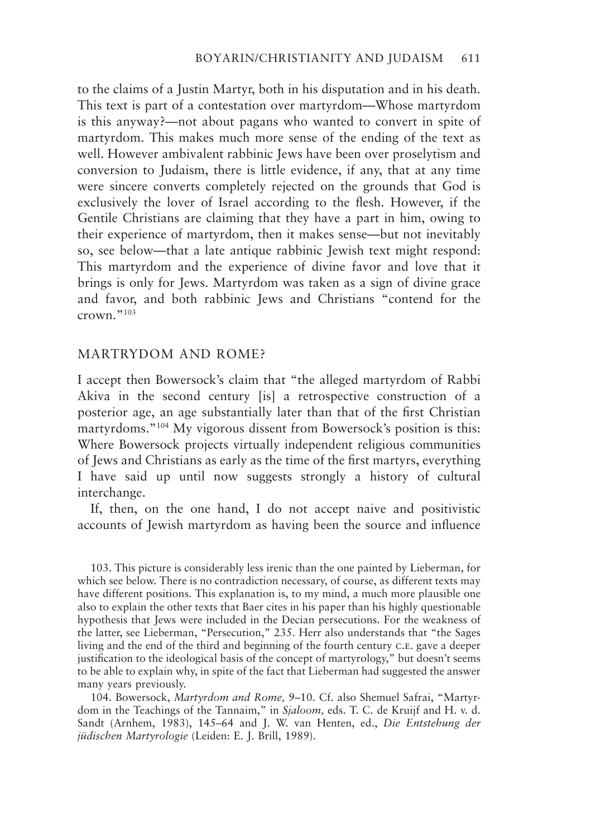to the claims of a Justin Martyr, both in his disputation and in his death. This text is part of a contestation over martyrdom—Whose martyrdom is this anyway?—not about pagans who wanted to convert in spite of martyrdom. This makes much more sense of the ending of the text as well. However ambivalent rabbinic Jews have been over proselytism and conversion to Judaism, there is little evidence, if any, that at any time were sincere converts completely rejected on the grounds that God is exclusively the lover of Israel according to the flesh. However, if the Gentile Christians are claiming that they have a part in him, owing to their experience of martyrdom, then it makes sense—but not inevitably so, see below—that a late antique rabbinic Jewish text might respond: This martyrdom and the experience of divine favor and love that it brings is only for Jews. Martyrdom was taken as a sign of divine grace and favor, and both rabbinic Jews and Christians "contend for the crown."103

## MARTRYDOM AND ROME?

I accept then Bowersock's claim that "the alleged martyrdom of Rabbi Akiva in the second century [is] a retrospective construction of a posterior age, an age substantially later than that of the first Christian martyrdoms."<sup>104</sup> My vigorous dissent from Bowersock's position is this: Where Bowersock projects virtually independent religious communities of Jews and Christians as early as the time of the first martyrs, everything I have said up until now suggests strongly a history of cultural interchange.

If, then, on the one hand, I do not accept naive and positivistic accounts of Jewish martyrdom as having been the source and influence

103. This picture is considerably less irenic than the one painted by Lieberman, for which see below. There is no contradiction necessary, of course, as different texts may have different positions. This explanation is, to my mind, a much more plausible one also to explain the other texts that Baer cites in his paper than his highly questionable hypothesis that Jews were included in the Decian persecutions. For the weakness of the latter, see Lieberman, "Persecution," 235. Herr also understands that "the Sages living and the end of the third and beginning of the fourth century C.E. gave a deeper justification to the ideological basis of the concept of martyrology," but doesn't seems to be able to explain why, in spite of the fact that Lieberman had suggested the answer many years previously.

104. Bowersock, *Martyrdom and Rome,* 9–10. Cf. also Shemuel Safrai, "Martyrdom in the Teachings of the Tannaim," in *Sjaloom,* eds. T. C. de Kruijf and H. v. d. Sandt (Arnhem, 1983), 145–64 and J. W. van Henten, ed., *Die Entstehung der jüdischen Martyrologie* (Leiden: E. J. Brill, 1989).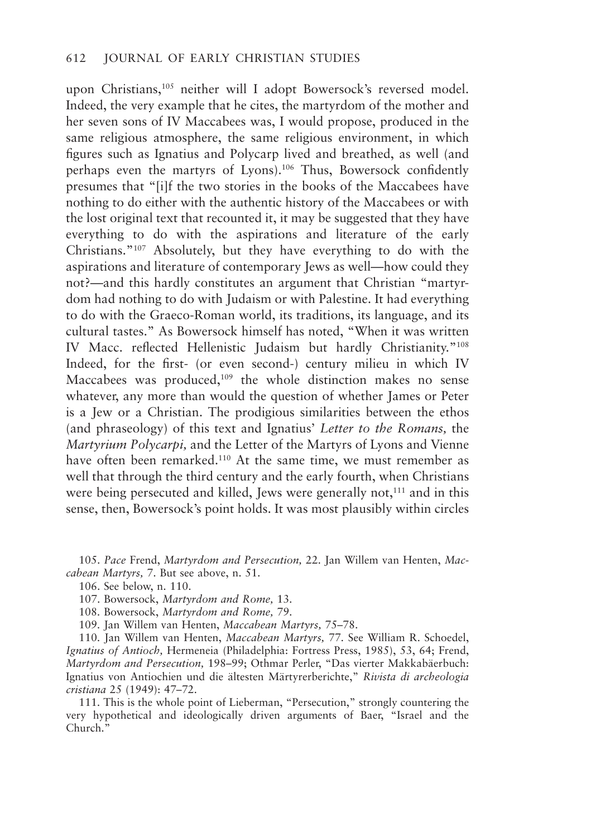upon Christians,<sup>105</sup> neither will I adopt Bowersock's reversed model. Indeed, the very example that he cites, the martyrdom of the mother and her seven sons of IV Maccabees was, I would propose, produced in the same religious atmosphere, the same religious environment, in which figures such as Ignatius and Polycarp lived and breathed, as well (and perhaps even the martyrs of Lyons).106 Thus, Bowersock confidently presumes that "[i]f the two stories in the books of the Maccabees have nothing to do either with the authentic history of the Maccabees or with the lost original text that recounted it, it may be suggested that they have everything to do with the aspirations and literature of the early Christians."107 Absolutely, but they have everything to do with the aspirations and literature of contemporary Jews as well—how could they not?—and this hardly constitutes an argument that Christian "martyrdom had nothing to do with Judaism or with Palestine. It had everything to do with the Graeco-Roman world, its traditions, its language, and its cultural tastes." As Bowersock himself has noted, "When it was written IV Macc. reflected Hellenistic Judaism but hardly Christianity."108 Indeed, for the first- (or even second-) century milieu in which IV Maccabees was produced,<sup>109</sup> the whole distinction makes no sense whatever, any more than would the question of whether James or Peter is a Jew or a Christian. The prodigious similarities between the ethos (and phraseology) of this text and Ignatius' *Letter to the Romans,* the *Martyrium Polycarpi,* and the Letter of the Martyrs of Lyons and Vienne have often been remarked.<sup>110</sup> At the same time, we must remember as well that through the third century and the early fourth, when Christians were being persecuted and killed, Jews were generally not, $111$  and in this sense, then, Bowersock's point holds. It was most plausibly within circles

105. *Pace* Frend, *Martyrdom and Persecution,* 22. Jan Willem van Henten, *Maccabean Martyrs,* 7. But see above, n. 51.

106. See below, n. 110.

107. Bowersock, *Martyrdom and Rome,* 13.

108. Bowersock, *Martyrdom and Rome,* 79.

109. Jan Willem van Henten, *Maccabean Martyrs,* 75–78.

110. Jan Willem van Henten, *Maccabean Martyrs,* 77. See William R. Schoedel, *Ignatius of Antioch,* Hermeneia (Philadelphia: Fortress Press, 1985), 53, 64; Frend, *Martyrdom and Persecution,* 198–99; Othmar Perler, "Das vierter Makkabäerbuch: Ignatius von Antiochien und die ältesten Märtyrerberichte," *Rivista di archeologia cristiana* 25 (1949): 47–72.

111. This is the whole point of Lieberman, "Persecution," strongly countering the very hypothetical and ideologically driven arguments of Baer, "Israel and the Church."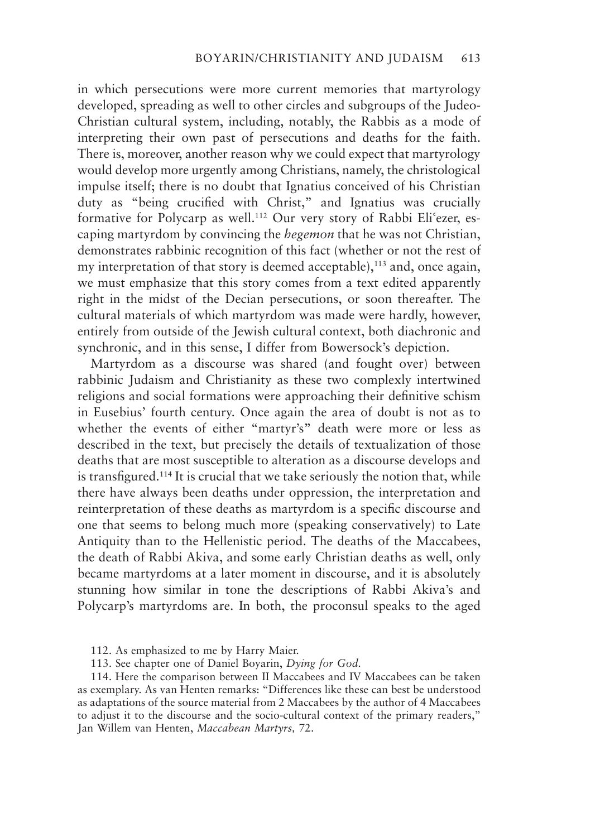in which persecutions were more current memories that martyrology developed, spreading as well to other circles and subgroups of the Judeo-Christian cultural system, including, notably, the Rabbis as a mode of interpreting their own past of persecutions and deaths for the faith. There is, moreover, another reason why we could expect that martyrology would develop more urgently among Christians, namely, the christological impulse itself; there is no doubt that Ignatius conceived of his Christian duty as "being crucified with Christ," and Ignatius was crucially formative for Polycarp as well.<sup>112</sup> Our very story of Rabbi Eli'ezer, escaping martyrdom by convincing the *hegemon* that he was not Christian, demonstrates rabbinic recognition of this fact (whether or not the rest of my interpretation of that story is deemed acceptable), $113$  and, once again, we must emphasize that this story comes from a text edited apparently right in the midst of the Decian persecutions, or soon thereafter. The cultural materials of which martyrdom was made were hardly, however, entirely from outside of the Jewish cultural context, both diachronic and synchronic, and in this sense, I differ from Bowersock's depiction.

Martyrdom as a discourse was shared (and fought over) between rabbinic Judaism and Christianity as these two complexly intertwined religions and social formations were approaching their definitive schism in Eusebius' fourth century. Once again the area of doubt is not as to whether the events of either "martyr's" death were more or less as described in the text, but precisely the details of textualization of those deaths that are most susceptible to alteration as a discourse develops and is transfigured.<sup>114</sup> It is crucial that we take seriously the notion that, while there have always been deaths under oppression, the interpretation and reinterpretation of these deaths as martyrdom is a specific discourse and one that seems to belong much more (speaking conservatively) to Late Antiquity than to the Hellenistic period. The deaths of the Maccabees, the death of Rabbi Akiva, and some early Christian deaths as well, only became martyrdoms at a later moment in discourse, and it is absolutely stunning how similar in tone the descriptions of Rabbi Akiva's and Polycarp's martyrdoms are. In both, the proconsul speaks to the aged

114. Here the comparison between II Maccabees and IV Maccabees can be taken as exemplary. As van Henten remarks: "Differences like these can best be understood as adaptations of the source material from 2 Maccabees by the author of 4 Maccabees to adjust it to the discourse and the socio-cultural context of the primary readers," Jan Willem van Henten, *Maccabean Martyrs,* 72.

<sup>112.</sup> As emphasized to me by Harry Maier.

<sup>113.</sup> See chapter one of Daniel Boyarin, *Dying for God.*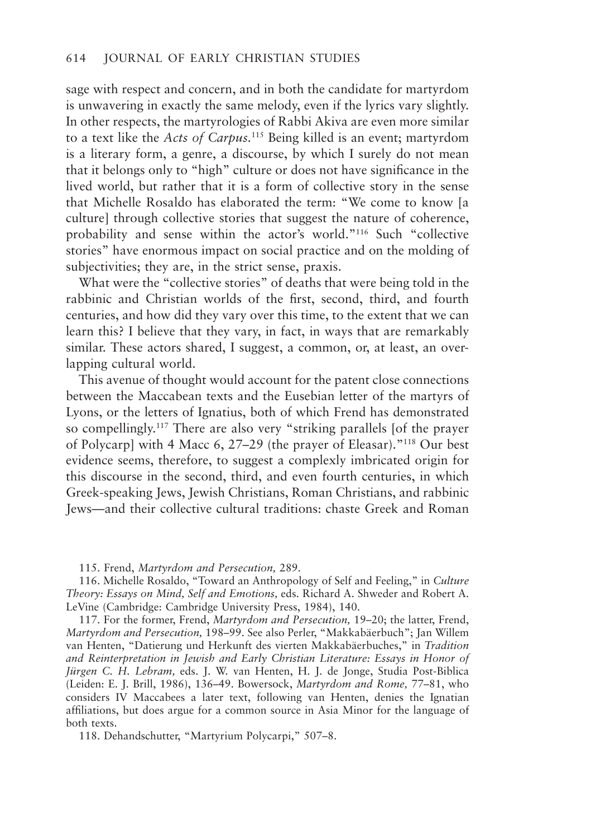sage with respect and concern, and in both the candidate for martyrdom is unwavering in exactly the same melody, even if the lyrics vary slightly. In other respects, the martyrologies of Rabbi Akiva are even more similar to a text like the *Acts of Carpus.*115 Being killed is an event; martyrdom is a literary form, a genre, a discourse, by which I surely do not mean that it belongs only to "high" culture or does not have significance in the lived world, but rather that it is a form of collective story in the sense that Michelle Rosaldo has elaborated the term: "We come to know [a culture] through collective stories that suggest the nature of coherence, probability and sense within the actor's world."116 Such "collective stories" have enormous impact on social practice and on the molding of subjectivities; they are, in the strict sense, praxis.

What were the "collective stories" of deaths that were being told in the rabbinic and Christian worlds of the first, second, third, and fourth centuries, and how did they vary over this time, to the extent that we can learn this? I believe that they vary, in fact, in ways that are remarkably similar. These actors shared, I suggest, a common, or, at least, an overlapping cultural world.

This avenue of thought would account for the patent close connections between the Maccabean texts and the Eusebian letter of the martyrs of Lyons, or the letters of Ignatius, both of which Frend has demonstrated so compellingly.117 There are also very "striking parallels [of the prayer of Polycarp] with 4 Macc 6, 27–29 (the prayer of Eleasar)."118 Our best evidence seems, therefore, to suggest a complexly imbricated origin for this discourse in the second, third, and even fourth centuries, in which Greek-speaking Jews, Jewish Christians, Roman Christians, and rabbinic Jews—and their collective cultural traditions: chaste Greek and Roman

115. Frend, *Martyrdom and Persecution,* 289.

116. Michelle Rosaldo, "Toward an Anthropology of Self and Feeling," in *Culture Theory: Essays on Mind, Self and Emotions,* eds. Richard A. Shweder and Robert A. LeVine (Cambridge: Cambridge University Press, 1984), 140.

117. For the former, Frend, *Martyrdom and Persecution,* 19–20; the latter, Frend, *Martyrdom and Persecution,* 198–99. See also Perler, "Makkabäerbuch"; Jan Willem van Henten, "Datierung und Herkunft des vierten Makkabäerbuches," in *Tradition and Reinterpretation in Jewish and Early Christian Literature: Essays in Honor of Jürgen C. H. Lebram,* eds. J. W. van Henten, H. J. de Jonge, Studia Post-Biblica (Leiden: E. J. Brill, 1986), 136–49. Bowersock, *Martyrdom and Rome,* 77–81, who considers IV Maccabees a later text, following van Henten, denies the Ignatian affiliations, but does argue for a common source in Asia Minor for the language of both texts.

118. Dehandschutter, "Martyrium Polycarpi," 507–8.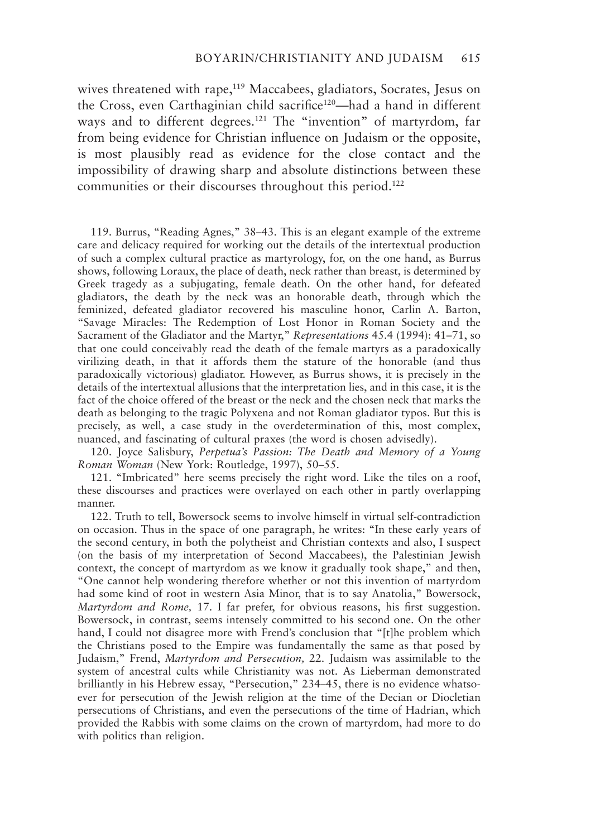wives threatened with rape,<sup>119</sup> Maccabees, gladiators, Socrates, Jesus on the Cross, even Carthaginian child sacrifice<sup>120</sup>—had a hand in different ways and to different degrees.<sup>121</sup> The "invention" of martyrdom, far from being evidence for Christian influence on Judaism or the opposite, is most plausibly read as evidence for the close contact and the impossibility of drawing sharp and absolute distinctions between these communities or their discourses throughout this period.<sup>122</sup>

119. Burrus, "Reading Agnes," 38–43. This is an elegant example of the extreme care and delicacy required for working out the details of the intertextual production of such a complex cultural practice as martyrology, for, on the one hand, as Burrus shows, following Loraux, the place of death, neck rather than breast, is determined by Greek tragedy as a subjugating, female death. On the other hand, for defeated gladiators, the death by the neck was an honorable death, through which the feminized, defeated gladiator recovered his masculine honor, Carlin A. Barton, "Savage Miracles: The Redemption of Lost Honor in Roman Society and the Sacrament of the Gladiator and the Martyr," *Representations* 45.4 (1994): 41–71, so that one could conceivably read the death of the female martyrs as a paradoxically virilizing death, in that it affords them the stature of the honorable (and thus paradoxically victorious) gladiator. However, as Burrus shows, it is precisely in the details of the intertextual allusions that the interpretation lies, and in this case, it is the fact of the choice offered of the breast or the neck and the chosen neck that marks the death as belonging to the tragic Polyxena and not Roman gladiator typos. But this is precisely, as well, a case study in the overdetermination of this, most complex, nuanced, and fascinating of cultural praxes (the word is chosen advisedly).

120. Joyce Salisbury, *Perpetua's Passion: The Death and Memory of a Young Roman Woman* (New York: Routledge, 1997), 50–55.

121. "Imbricated" here seems precisely the right word. Like the tiles on a roof, these discourses and practices were overlayed on each other in partly overlapping manner.

122. Truth to tell, Bowersock seems to involve himself in virtual self-contradiction on occasion. Thus in the space of one paragraph, he writes: "In these early years of the second century, in both the polytheist and Christian contexts and also, I suspect (on the basis of my interpretation of Second Maccabees), the Palestinian Jewish context, the concept of martyrdom as we know it gradually took shape," and then, "One cannot help wondering therefore whether or not this invention of martyrdom had some kind of root in western Asia Minor, that is to say Anatolia," Bowersock, *Martyrdom and Rome,* 17. I far prefer, for obvious reasons, his first suggestion. Bowersock, in contrast, seems intensely committed to his second one. On the other hand, I could not disagree more with Frend's conclusion that "[t]he problem which the Christians posed to the Empire was fundamentally the same as that posed by Judaism," Frend, *Martyrdom and Persecution,* 22. Judaism was assimilable to the system of ancestral cults while Christianity was not. As Lieberman demonstrated brilliantly in his Hebrew essay, "Persecution," 234–45, there is no evidence whatsoever for persecution of the Jewish religion at the time of the Decian or Diocletian persecutions of Christians, and even the persecutions of the time of Hadrian, which provided the Rabbis with some claims on the crown of martyrdom, had more to do with politics than religion.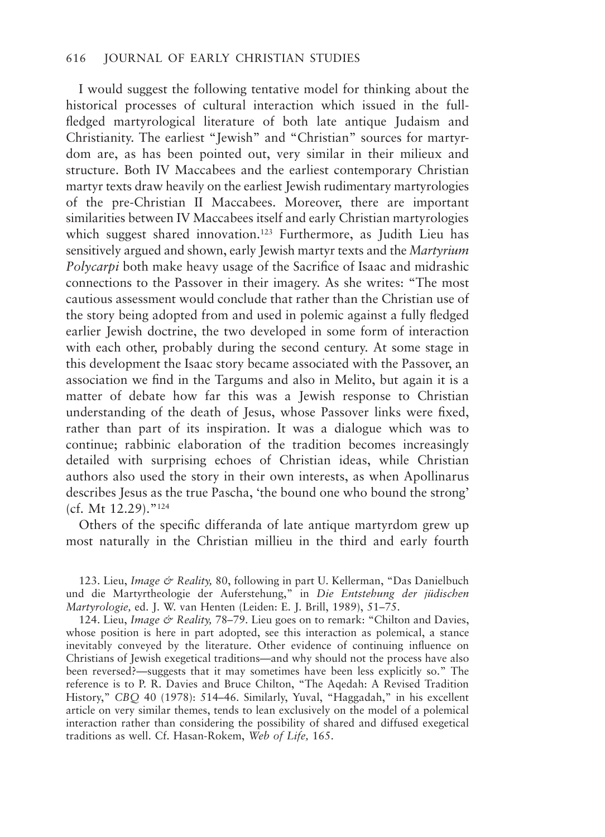I would suggest the following tentative model for thinking about the historical processes of cultural interaction which issued in the fullfledged martyrological literature of both late antique Judaism and Christianity. The earliest "Jewish" and "Christian" sources for martyrdom are, as has been pointed out, very similar in their milieux and structure. Both IV Maccabees and the earliest contemporary Christian martyr texts draw heavily on the earliest Jewish rudimentary martyrologies of the pre-Christian II Maccabees. Moreover, there are important similarities between IV Maccabees itself and early Christian martyrologies which suggest shared innovation.<sup>123</sup> Furthermore, as Judith Lieu has sensitively argued and shown, early Jewish martyr texts and the *Martyrium Polycarpi* both make heavy usage of the Sacrifice of Isaac and midrashic connections to the Passover in their imagery. As she writes: "The most cautious assessment would conclude that rather than the Christian use of the story being adopted from and used in polemic against a fully fledged earlier Jewish doctrine, the two developed in some form of interaction with each other, probably during the second century. At some stage in this development the Isaac story became associated with the Passover, an association we find in the Targums and also in Melito, but again it is a matter of debate how far this was a Jewish response to Christian understanding of the death of Jesus, whose Passover links were fixed, rather than part of its inspiration. It was a dialogue which was to continue; rabbinic elaboration of the tradition becomes increasingly detailed with surprising echoes of Christian ideas, while Christian authors also used the story in their own interests, as when Apollinarus describes Jesus as the true Pascha, 'the bound one who bound the strong' (cf. Mt 12.29)."124

Others of the specific differanda of late antique martyrdom grew up most naturally in the Christian millieu in the third and early fourth

123. Lieu, *Image & Reality,* 80, following in part U. Kellerman, "Das Danielbuch und die Martyrtheologie der Auferstehung," in *Die Entstehung der jüdischen Martyrologie,* ed. J. W. van Henten (Leiden: E. J. Brill, 1989), 51–75.

124. Lieu, *Image & Reality,* 78–79. Lieu goes on to remark: "Chilton and Davies, whose position is here in part adopted, see this interaction as polemical, a stance inevitably conveyed by the literature. Other evidence of continuing influence on Christians of Jewish exegetical traditions—and why should not the process have also been reversed?—suggests that it may sometimes have been less explicitly so." The reference is to P. R. Davies and Bruce Chilton, "The Aqedah: A Revised Tradition History," *CBQ* 40 (1978): 514–46. Similarly, Yuval, "Haggadah," in his excellent article on very similar themes, tends to lean exclusively on the model of a polemical interaction rather than considering the possibility of shared and diffused exegetical traditions as well. Cf. Hasan-Rokem, *Web of Life,* 165.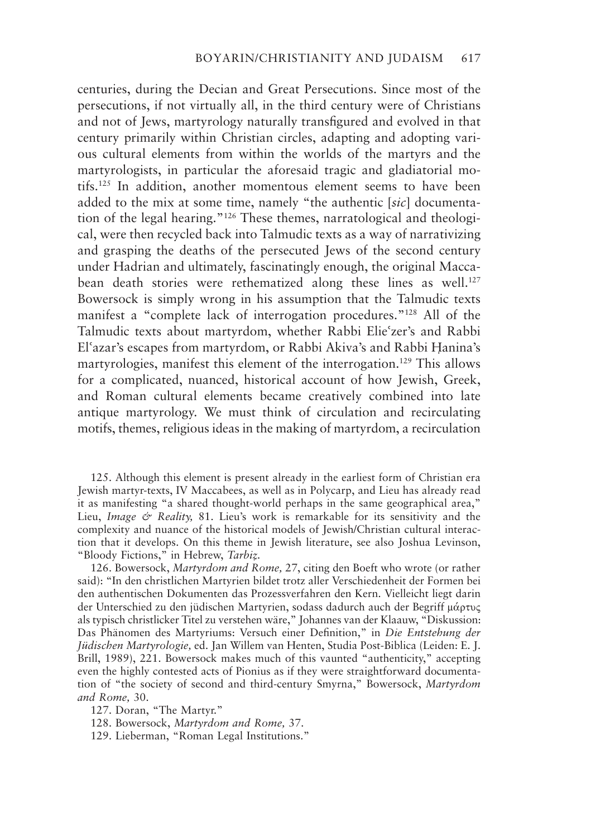centuries, during the Decian and Great Persecutions. Since most of the persecutions, if not virtually all, in the third century were of Christians and not of Jews, martyrology naturally transfigured and evolved in that century primarily within Christian circles, adapting and adopting various cultural elements from within the worlds of the martyrs and the martyrologists, in particular the aforesaid tragic and gladiatorial motifs.125 In addition, another momentous element seems to have been added to the mix at some time, namely "the authentic [*sic*] documentation of the legal hearing."126 These themes, narratological and theological, were then recycled back into Talmudic texts as a way of narrativizing and grasping the deaths of the persecuted Jews of the second century under Hadrian and ultimately, fascinatingly enough, the original Maccabean death stories were rethematized along these lines as well.<sup>127</sup> Bowersock is simply wrong in his assumption that the Talmudic texts manifest a "complete lack of interrogation procedures."128 All of the Talmudic texts about martyrdom, whether Rabbi Elie'zer's and Rabbi El'azar's escapes from martyrdom, or Rabbi Akiva's and Rabbi Hanina's martyrologies, manifest this element of the interrogation.129 This allows for a complicated, nuanced, historical account of how Jewish, Greek, and Roman cultural elements became creatively combined into late antique martyrology. We must think of circulation and recirculating motifs, themes, religious ideas in the making of martyrdom, a recirculation

125. Although this element is present already in the earliest form of Christian era Jewish martyr-texts, IV Maccabees, as well as in Polycarp, and Lieu has already read it as manifesting "a shared thought-world perhaps in the same geographical area," Lieu, *Image & Reality,* 81. Lieu's work is remarkable for its sensitivity and the complexity and nuance of the historical models of Jewish/Christian cultural interaction that it develops. On this theme in Jewish literature, see also Joshua Levinson, "Bloody Fictions," in Hebrew, *Tarbiz≥.*

126. Bowersock, *Martyrdom and Rome,* 27, citing den Boeft who wrote (or rather said): "In den christlichen Martyrien bildet trotz aller Verschiedenheit der Formen bei den authentischen Dokumenten das Prozessverfahren den Kern. Vielleicht liegt darin der Unterschied zu den jüdischen Martyrien, sodass dadurch auch der Begriff μάρτυς als typisch christlicker Titel zu verstehen wäre," Johannes van der Klaauw, "Diskussion: Das Phänomen des Martyriums: Versuch einer Definition," in *Die Entstehung der Jüdischen Martyrologie,* ed. Jan Willem van Henten, Studia Post-Biblica (Leiden: E. J. Brill, 1989), 221. Bowersock makes much of this vaunted "authenticity," accepting even the highly contested acts of Pionius as if they were straightforward documentation of "the society of second and third-century Smyrna," Bowersock, *Martyrdom and Rome,* 30.

127. Doran, "The Martyr."

128. Bowersock, *Martyrdom and Rome,* 37.

129. Lieberman, "Roman Legal Institutions."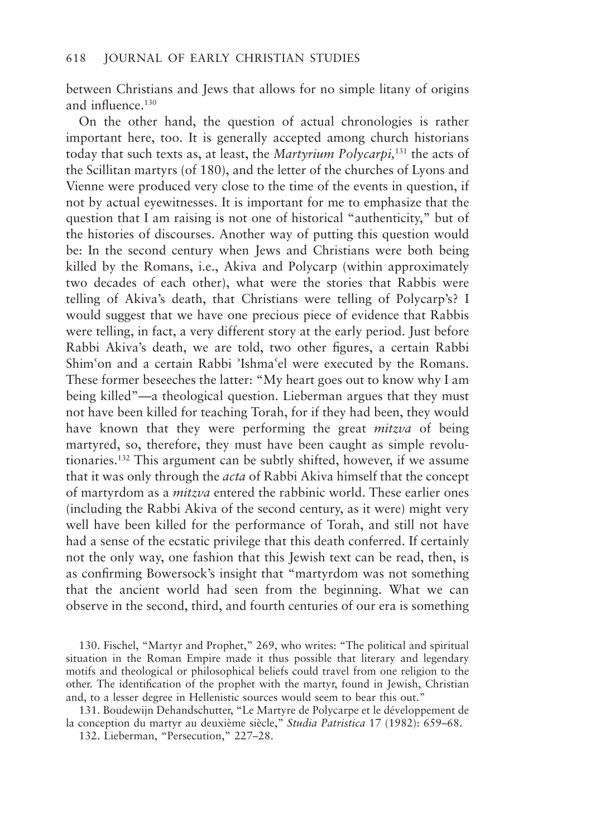between Christians and Jews that allows for no simple litany of origins and influence.<sup>130</sup>

On the other hand, the question of actual chronologies is rather important here, too. It is generally accepted among church historians today that such texts as, at least, the *Martyrium Polycarpi,*131 the acts of the Scillitan martyrs (of 180), and the letter of the churches of Lyons and Vienne were produced very close to the time of the events in question, if not by actual eyewitnesses. It is important for me to emphasize that the question that I am raising is not one of historical "authenticity," but of the histories of discourses. Another way of putting this question would be: In the second century when Jews and Christians were both being killed by the Romans, i.e., Akiva and Polycarp (within approximately two decades of each other), what were the stories that Rabbis were telling of Akiva's death, that Christians were telling of Polycarp's? I would suggest that we have one precious piece of evidence that Rabbis were telling, in fact, a very different story at the early period. Just before Rabbi Akiva's death, we are told, two other figures, a certain Rabbi Shim<sup>'</sup>on and a certain Rabbi 'Ishma'el were executed by the Romans. These former beseeches the latter: "My heart goes out to know why I am being killed"—a theological question. Lieberman argues that they must not have been killed for teaching Torah, for if they had been, they would have known that they were performing the great *mitzva* of being martyred, so, therefore, they must have been caught as simple revolutionaries.132 This argument can be subtly shifted, however, if we assume that it was only through the *acta* of Rabbi Akiva himself that the concept of martyrdom as a *mitzva* entered the rabbinic world. These earlier ones (including the Rabbi Akiva of the second century, as it were) might very well have been killed for the performance of Torah, and still not have had a sense of the ecstatic privilege that this death conferred. If certainly not the only way, one fashion that this Jewish text can be read, then, is as confirming Bowersock's insight that "martyrdom was not something that the ancient world had seen from the beginning. What we can observe in the second, third, and fourth centuries of our era is something

130. Fischel, "Martyr and Prophet," 269, who writes: "The political and spiritual situation in the Roman Empire made it thus possible that literary and legendary motifs and theological or philosophical beliefs could travel from one religion to the other. The identification of the prophet with the martyr, found in Jewish, Christian and, to a lesser degree in Hellenistic sources would seem to bear this out."

131. Boudewijn Dehandschutter, "Le Martyre de Polycarpe et le développement de la conception du martyr au deuxième siècle," *Studia Patristica* 17 (1982): 659–68.

132. Lieberman, "Persecution," 227–28.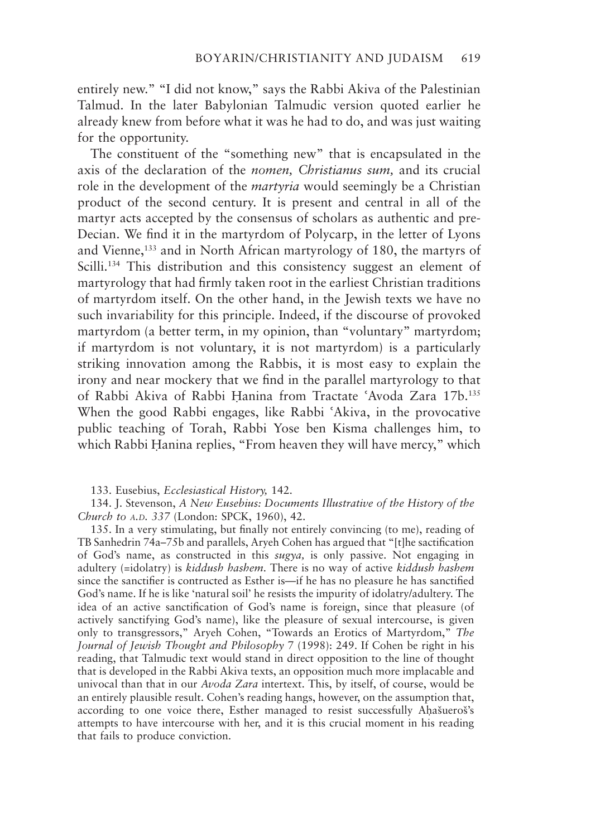entirely new." "I did not know," says the Rabbi Akiva of the Palestinian Talmud. In the later Babylonian Talmudic version quoted earlier he already knew from before what it was he had to do, and was just waiting for the opportunity.

The constituent of the "something new" that is encapsulated in the axis of the declaration of the *nomen, Christianus sum,* and its crucial role in the development of the *martyria* would seemingly be a Christian product of the second century. It is present and central in all of the martyr acts accepted by the consensus of scholars as authentic and pre-Decian. We find it in the martyrdom of Polycarp, in the letter of Lyons and Vienne,<sup>133</sup> and in North African martyrology of 180, the martyrs of Scilli.<sup>134</sup> This distribution and this consistency suggest an element of martyrology that had firmly taken root in the earliest Christian traditions of martyrdom itself. On the other hand, in the Jewish texts we have no such invariability for this principle. Indeed, if the discourse of provoked martyrdom (a better term, in my opinion, than "voluntary" martyrdom; if martyrdom is not voluntary, it is not martyrdom) is a particularly striking innovation among the Rabbis, it is most easy to explain the irony and near mockery that we find in the parallel martyrology to that of Rabbi Akiva of Rabbi Hanina from Tractate 'Avoda Zara 17b.<sup>135</sup> When the good Rabbi engages, like Rabbi 'Akiva, in the provocative public teaching of Torah, Rabbi Yose ben Kisma challenges him, to which Rabbi Hanina replies, "From heaven they will have mercy," which

#### 133. Eusebius, *Ecclesiastical History,* 142.

134. J. Stevenson, *A New Eusebius: Documents Illustrative of the History of the Church to A.D. 337* (London: SPCK, 1960), 42.

135. In a very stimulating, but finally not entirely convincing (to me), reading of TB Sanhedrin 74a–75b and parallels, Aryeh Cohen has argued that "[t]he sactification of God's name, as constructed in this *sugya,* is only passive. Not engaging in adultery (=idolatry) is *kiddush hashem.* There is no way of active *kiddush hashem* since the sanctifier is contructed as Esther is—if he has no pleasure he has sanctified God's name. If he is like 'natural soil' he resists the impurity of idolatry/adultery. The idea of an active sanctification of God's name is foreign, since that pleasure (of actively sanctifying God's name), like the pleasure of sexual intercourse, is given only to transgressors," Aryeh Cohen, "Towards an Erotics of Martyrdom," *The Journal of Jewish Thought and Philosophy* 7 (1998): 249. If Cohen be right in his reading, that Talmudic text would stand in direct opposition to the line of thought that is developed in the Rabbi Akiva texts, an opposition much more implacable and univocal than that in our *Avoda Zara* intertext. This, by itself, of course, would be an entirely plausible result. Cohen's reading hangs, however, on the assumption that, according to one voice there, Esther managed to resist successfully Ahašueroš's attempts to have intercourse with her, and it is this crucial moment in his reading that fails to produce conviction.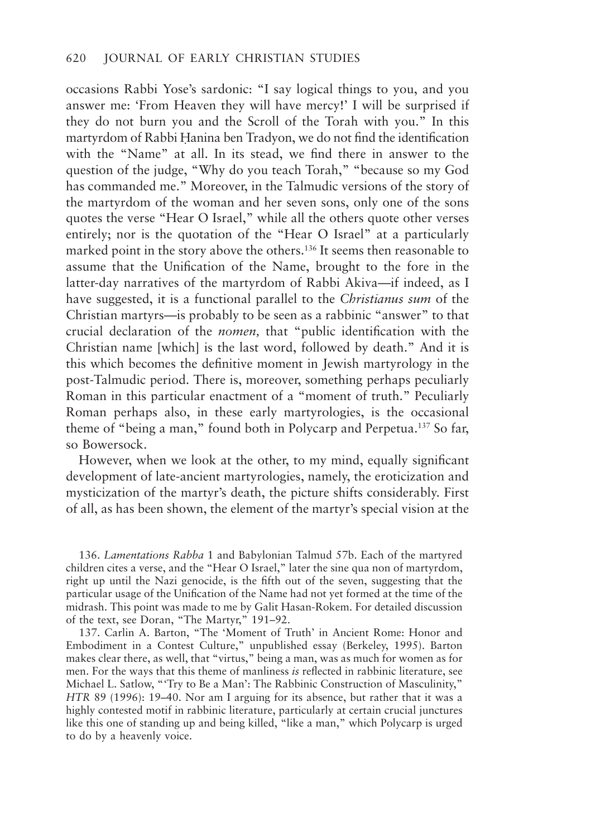occasions Rabbi Yose's sardonic: "I say logical things to you, and you answer me: 'From Heaven they will have mercy!' I will be surprised if they do not burn you and the Scroll of the Torah with you." In this martyrdom of Rabbi Hanina ben Tradyon, we do not find the identification with the "Name" at all. In its stead, we find there in answer to the question of the judge, "Why do you teach Torah," "because so my God has commanded me." Moreover, in the Talmudic versions of the story of the martyrdom of the woman and her seven sons, only one of the sons quotes the verse "Hear O Israel," while all the others quote other verses entirely; nor is the quotation of the "Hear O Israel" at a particularly marked point in the story above the others.<sup>136</sup> It seems then reasonable to assume that the Unification of the Name, brought to the fore in the latter-day narratives of the martyrdom of Rabbi Akiva—if indeed, as I have suggested, it is a functional parallel to the *Christianus sum* of the Christian martyrs—is probably to be seen as a rabbinic "answer" to that crucial declaration of the *nomen,* that "public identification with the Christian name [which] is the last word, followed by death." And it is this which becomes the definitive moment in Jewish martyrology in the post-Talmudic period. There is, moreover, something perhaps peculiarly Roman in this particular enactment of a "moment of truth." Peculiarly Roman perhaps also, in these early martyrologies, is the occasional theme of "being a man," found both in Polycarp and Perpetua.137 So far, so Bowersock.

However, when we look at the other, to my mind, equally significant development of late-ancient martyrologies, namely, the eroticization and mysticization of the martyr's death, the picture shifts considerably. First of all, as has been shown, the element of the martyr's special vision at the

136. *Lamentations Rabba* 1 and Babylonian Talmud 57b. Each of the martyred children cites a verse, and the "Hear O Israel," later the sine qua non of martyrdom, right up until the Nazi genocide, is the fifth out of the seven, suggesting that the particular usage of the Unification of the Name had not yet formed at the time of the midrash. This point was made to me by Galit Hasan-Rokem. For detailed discussion of the text, see Doran, "The Martyr," 191–92.

137. Carlin A. Barton, "The 'Moment of Truth' in Ancient Rome: Honor and Embodiment in a Contest Culture," unpublished essay (Berkeley, 1995). Barton makes clear there, as well, that "virtus," being a man, was as much for women as for men. For the ways that this theme of manliness *is* reflected in rabbinic literature, see Michael L. Satlow, "'Try to Be a Man': The Rabbinic Construction of Masculinity," *HTR* 89 (1996): 19–40. Nor am I arguing for its absence, but rather that it was a highly contested motif in rabbinic literature, particularly at certain crucial junctures like this one of standing up and being killed, "like a man," which Polycarp is urged to do by a heavenly voice.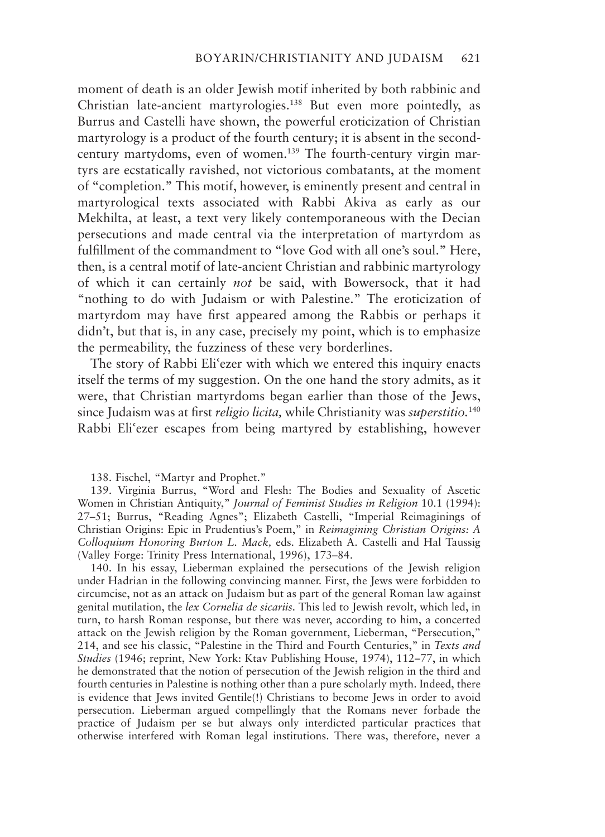moment of death is an older Jewish motif inherited by both rabbinic and Christian late-ancient martyrologies.138 But even more pointedly, as Burrus and Castelli have shown, the powerful eroticization of Christian martyrology is a product of the fourth century; it is absent in the secondcentury martydoms, even of women.139 The fourth-century virgin martyrs are ecstatically ravished, not victorious combatants, at the moment of "completion." This motif, however, is eminently present and central in martyrological texts associated with Rabbi Akiva as early as our Mekhilta, at least, a text very likely contemporaneous with the Decian persecutions and made central via the interpretation of martyrdom as fulfillment of the commandment to "love God with all one's soul." Here, then, is a central motif of late-ancient Christian and rabbinic martyrology of which it can certainly *not* be said, with Bowersock, that it had "nothing to do with Judaism or with Palestine." The eroticization of martyrdom may have first appeared among the Rabbis or perhaps it didn't, but that is, in any case, precisely my point, which is to emphasize the permeability, the fuzziness of these very borderlines.

The story of Rabbi Eli<sup>s</sup> ezer with which we entered this inquiry enacts itself the terms of my suggestion. On the one hand the story admits, as it were, that Christian martyrdoms began earlier than those of the Jews, since Judaism was at first *religio licita,* while Christianity was *superstitio.*<sup>140</sup> Rabbi Eli<sup>c</sup>ezer escapes from being martyred by establishing, however

138. Fischel, "Martyr and Prophet."

139. Virginia Burrus, "Word and Flesh: The Bodies and Sexuality of Ascetic Women in Christian Antiquity," *Journal of Feminist Studies in Religion* 10.1 (1994): 27–51; Burrus, "Reading Agnes"; Elizabeth Castelli, "Imperial Reimaginings of Christian Origins: Epic in Prudentius's Poem," in *Reimagining Christian Origins: A Colloquium Honoring Burton L. Mack,* eds. Elizabeth A. Castelli and Hal Taussig (Valley Forge: Trinity Press International, 1996), 173–84.

140. In his essay, Lieberman explained the persecutions of the Jewish religion under Hadrian in the following convincing manner. First, the Jews were forbidden to circumcise, not as an attack on Judaism but as part of the general Roman law against genital mutilation, the *lex Cornelia de sicariis.* This led to Jewish revolt, which led, in turn, to harsh Roman response, but there was never, according to him, a concerted attack on the Jewish religion by the Roman government, Lieberman, "Persecution," 214, and see his classic, "Palestine in the Third and Fourth Centuries," in *Texts and Studies* (1946; reprint, New York: Ktav Publishing House, 1974), 112–77, in which he demonstrated that the notion of persecution of the Jewish religion in the third and fourth centuries in Palestine is nothing other than a pure scholarly myth. Indeed, there is evidence that Jews invited Gentile(!) Christians to become Jews in order to avoid persecution. Lieberman argued compellingly that the Romans never forbade the practice of Judaism per se but always only interdicted particular practices that otherwise interfered with Roman legal institutions. There was, therefore, never a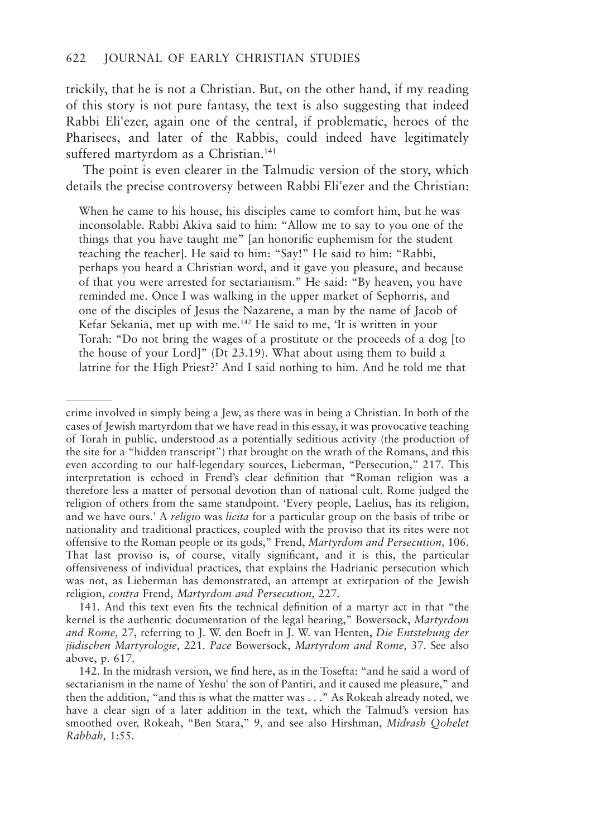trickily, that he is not a Christian. But, on the other hand, if my reading of this story is not pure fantasy, the text is also suggesting that indeed Rabbi Eli<sup>s</sup>ezer, again one of the central, if problematic, heroes of the Pharisees, and later of the Rabbis, could indeed have legitimately suffered martyrdom as a Christian.<sup>141</sup>

 The point is even clearer in the Talmudic version of the story, which details the precise controversy between Rabbi Eli<sup>c</sup>ezer and the Christian:

When he came to his house, his disciples came to comfort him, but he was inconsolable. Rabbi Akiva said to him: "Allow me to say to you one of the things that you have taught me" [an honorific euphemism for the student teaching the teacher]. He said to him: "Say!" He said to him: "Rabbi, perhaps you heard a Christian word, and it gave you pleasure, and because of that you were arrested for sectarianism." He said: "By heaven, you have reminded me. Once I was walking in the upper market of Sephorris, and one of the disciples of Jesus the Nazarene, a man by the name of Jacob of Kefar Sekania, met up with me.142 He said to me, 'It is written in your Torah: "Do not bring the wages of a prostitute or the proceeds of a dog [to the house of your Lord]" (Dt 23.19). What about using them to build a latrine for the High Priest?' And I said nothing to him. And he told me that

crime involved in simply being a Jew, as there was in being a Christian. In both of the cases of Jewish martyrdom that we have read in this essay, it was provocative teaching of Torah in public, understood as a potentially seditious activity (the production of the site for a "hidden transcript") that brought on the wrath of the Romans, and this even according to our half-legendary sources, Lieberman, "Persecution," 217. This interpretation is echoed in Frend's clear definition that "Roman religion was a therefore less a matter of personal devotion than of national cult. Rome judged the religion of others from the same standpoint. 'Every people, Laelius, has its religion, and we have ours.' A *religio* was *licita* for a particular group on the basis of tribe or nationality and traditional practices, coupled with the proviso that its rites were not offensive to the Roman people or its gods," Frend, *Martyrdom and Persecution,* 106. That last proviso is, of course, vitally significant, and it is this, the particular offensiveness of individual practices, that explains the Hadrianic persecution which was not, as Lieberman has demonstrated, an attempt at extirpation of the Jewish religion, *contra* Frend, *Martyrdom and Persecution,* 227.

<sup>141.</sup> And this text even fits the technical definition of a martyr act in that "the kernel is the authentic documentation of the legal hearing," Bowersock, *Martyrdom and Rome,* 27, referring to J. W. den Boeft in J. W. van Henten, *Die Entstehung der jüdischen Martyrologie,* 221. *Pace* Bowersock, *Martyrdom and Rome,* 37. See also above, p. 617.

<sup>142.</sup> In the midrash version, we find here, as in the Tosefta: "and he said a word of sectarianism in the name of Yeshu<sup>s</sup> the son of Pantiri, and it caused me pleasure," and then the addition, "and this is what the matter was . . ." As Rokeah already noted, we have a clear sign of a later addition in the text, which the Talmud's version has smoothed over, Rokeah, "Ben Stara," 9, and see also Hirshman, *Midrash Qohelet Rabbah,* 1:55.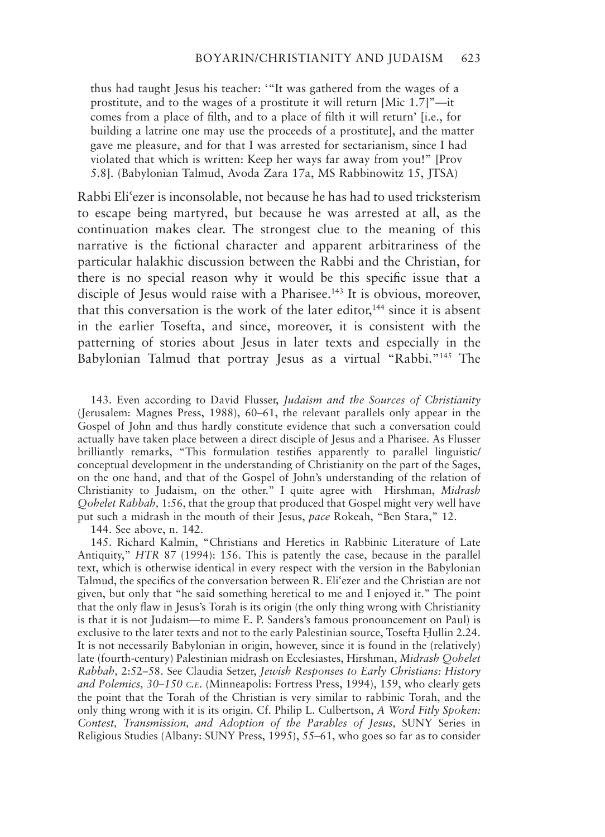thus had taught Jesus his teacher: '"It was gathered from the wages of a prostitute, and to the wages of a prostitute it will return [Mic 1.7]"—it comes from a place of filth, and to a place of filth it will return' [i.e., for building a latrine one may use the proceeds of a prostitute], and the matter gave me pleasure, and for that I was arrested for sectarianism, since I had violated that which is written: Keep her ways far away from you!" [Prov 5.8]. (Babylonian Talmud, Avoda Zara 17a, MS Rabbinowitz 15, JTSA)

Rabbi Eli`ezer is inconsolable, not because he has had to used tricksterism to escape being martyred, but because he was arrested at all, as the continuation makes clear. The strongest clue to the meaning of this narrative is the fictional character and apparent arbitrariness of the particular halakhic discussion between the Rabbi and the Christian, for there is no special reason why it would be this specific issue that a disciple of Jesus would raise with a Pharisee.<sup>143</sup> It is obvious, moreover, that this conversation is the work of the later editor, $144$  since it is absent in the earlier Tosefta, and since, moreover, it is consistent with the patterning of stories about Jesus in later texts and especially in the Babylonian Talmud that portray Jesus as a virtual "Rabbi."145 The

143. Even according to David Flusser, *Judaism and the Sources of Christianity* (Jerusalem: Magnes Press, 1988), 60–61, the relevant parallels only appear in the Gospel of John and thus hardly constitute evidence that such a conversation could actually have taken place between a direct disciple of Jesus and a Pharisee. As Flusser brilliantly remarks, "This formulation testifies apparently to parallel linguistic/ conceptual development in the understanding of Christianity on the part of the Sages, on the one hand, and that of the Gospel of John's understanding of the relation of Christianity to Judaism, on the other." I quite agree with Hirshman, *Midrash Qohelet Rabbah,* 1:56, that the group that produced that Gospel might very well have put such a midrash in the mouth of their Jesus, *pace* Rokeah, "Ben Stara," 12.

144. See above, n. 142.

145. Richard Kalmin, "Christians and Heretics in Rabbinic Literature of Late Antiquity," *HTR* 87 (1994): 156. This is patently the case, because in the parallel text, which is otherwise identical in every respect with the version in the Babylonian Talmud, the specifics of the conversation between R. Eli<sup>s</sup>ezer and the Christian are not given, but only that "he said something heretical to me and I enjoyed it." The point that the only flaw in Jesus's Torah is its origin (the only thing wrong with Christianity is that it is not Judaism—to mime E. P. Sanders's famous pronouncement on Paul) is exclusive to the later texts and not to the early Palestinian source, Tosefta Hullin 2.24. It is not necessarily Babylonian in origin, however, since it is found in the (relatively) late (fourth-century) Palestinian midrash on Ecclesiastes, Hirshman, *Midrash Qohelet Rabbah,* 2:52–58. See Claudia Setzer, *Jewish Responses to Early Christians: History and Polemics, 30–150 C.E.* (Minneapolis: Fortress Press, 1994), 159, who clearly gets the point that the Torah of the Christian is very similar to rabbinic Torah, and the only thing wrong with it is its origin. Cf. Philip L. Culbertson, *A Word Fitly Spoken: Contest, Transmission, and Adoption of the Parables of Jesus,* SUNY Series in Religious Studies (Albany: SUNY Press, 1995), 55–61, who goes so far as to consider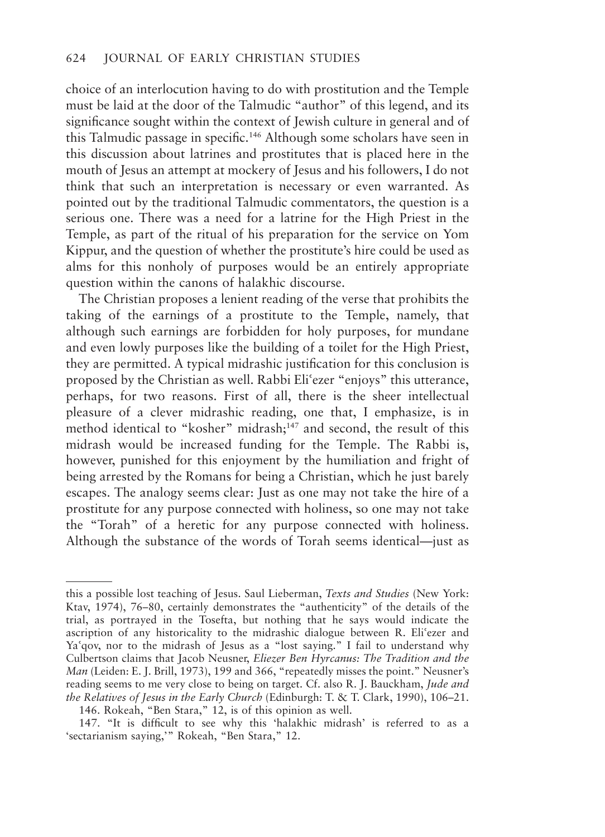choice of an interlocution having to do with prostitution and the Temple must be laid at the door of the Talmudic "author" of this legend, and its significance sought within the context of Jewish culture in general and of this Talmudic passage in specific.146 Although some scholars have seen in this discussion about latrines and prostitutes that is placed here in the mouth of Jesus an attempt at mockery of Jesus and his followers, I do not think that such an interpretation is necessary or even warranted. As pointed out by the traditional Talmudic commentators, the question is a serious one. There was a need for a latrine for the High Priest in the Temple, as part of the ritual of his preparation for the service on Yom Kippur, and the question of whether the prostitute's hire could be used as alms for this nonholy of purposes would be an entirely appropriate question within the canons of halakhic discourse.

The Christian proposes a lenient reading of the verse that prohibits the taking of the earnings of a prostitute to the Temple, namely, that although such earnings are forbidden for holy purposes, for mundane and even lowly purposes like the building of a toilet for the High Priest, they are permitted. A typical midrashic justification for this conclusion is proposed by the Christian as well. Rabbi Eli'ezer "enjoys" this utterance, perhaps, for two reasons. First of all, there is the sheer intellectual pleasure of a clever midrashic reading, one that, I emphasize, is in method identical to "kosher" midrash;<sup>147</sup> and second, the result of this midrash would be increased funding for the Temple. The Rabbi is, however, punished for this enjoyment by the humiliation and fright of being arrested by the Romans for being a Christian, which he just barely escapes. The analogy seems clear: Just as one may not take the hire of a prostitute for any purpose connected with holiness, so one may not take the "Torah" of a heretic for any purpose connected with holiness. Although the substance of the words of Torah seems identical—just as

this a possible lost teaching of Jesus. Saul Lieberman, *Texts and Studies* (New York: Ktav, 1974), 76–80, certainly demonstrates the "authenticity" of the details of the trial, as portrayed in the Tosefta, but nothing that he says would indicate the ascription of any historicality to the midrashic dialogue between R. Eli<sup> $\epsilon$ </sup>ezer and Ya'qov, nor to the midrash of Jesus as a "lost saying." I fail to understand why Culbertson claims that Jacob Neusner, *Eliezer Ben Hyrcanus: The Tradition and the Man* (Leiden: E. J. Brill, 1973), 199 and 366, "repeatedly misses the point." Neusner's reading seems to me very close to being on target. Cf. also R. J. Bauckham, *Jude and the Relatives of Jesus in the Early Church* (Edinburgh: T. & T. Clark, 1990), 106–21. 146. Rokeah, "Ben Stara," 12, is of this opinion as well.

<sup>147. &</sup>quot;It is difficult to see why this 'halakhic midrash' is referred to as a 'sectarianism saying,'" Rokeah, "Ben Stara," 12.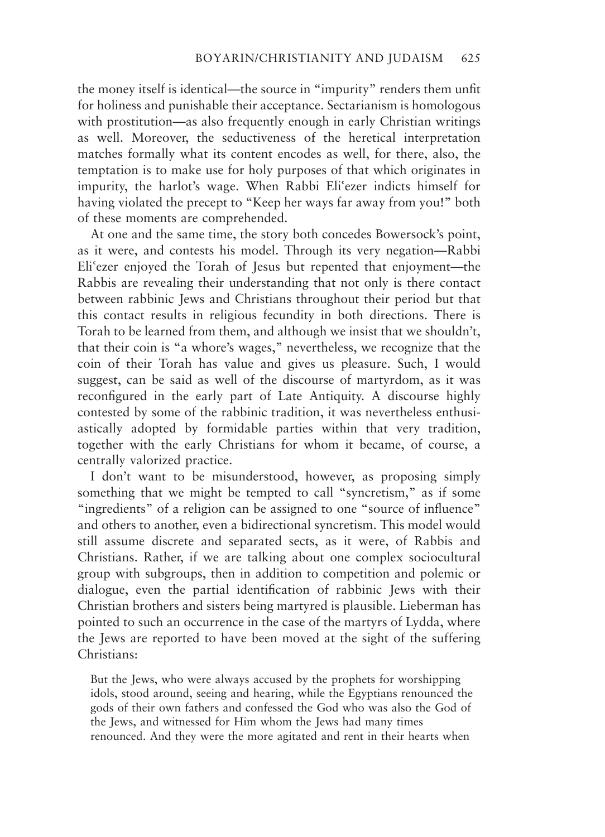the money itself is identical—the source in "impurity" renders them unfit for holiness and punishable their acceptance. Sectarianism is homologous with prostitution—as also frequently enough in early Christian writings as well. Moreover, the seductiveness of the heretical interpretation matches formally what its content encodes as well, for there, also, the temptation is to make use for holy purposes of that which originates in impurity, the harlot's wage. When Rabbi Eli'ezer indicts himself for having violated the precept to "Keep her ways far away from you!" both of these moments are comprehended.

At one and the same time, the story both concedes Bowersock's point, as it were, and contests his model. Through its very negation—Rabbi Eli<sup>'</sup>ezer enjoyed the Torah of Jesus but repented that enjoyment—the Rabbis are revealing their understanding that not only is there contact between rabbinic Jews and Christians throughout their period but that this contact results in religious fecundity in both directions. There is Torah to be learned from them, and although we insist that we shouldn't, that their coin is "a whore's wages," nevertheless, we recognize that the coin of their Torah has value and gives us pleasure. Such, I would suggest, can be said as well of the discourse of martyrdom, as it was reconfigured in the early part of Late Antiquity. A discourse highly contested by some of the rabbinic tradition, it was nevertheless enthusiastically adopted by formidable parties within that very tradition, together with the early Christians for whom it became, of course, a centrally valorized practice.

I don't want to be misunderstood, however, as proposing simply something that we might be tempted to call "syncretism," as if some "ingredients" of a religion can be assigned to one "source of influence" and others to another, even a bidirectional syncretism. This model would still assume discrete and separated sects, as it were, of Rabbis and Christians. Rather, if we are talking about one complex sociocultural group with subgroups, then in addition to competition and polemic or dialogue, even the partial identification of rabbinic Jews with their Christian brothers and sisters being martyred is plausible. Lieberman has pointed to such an occurrence in the case of the martyrs of Lydda, where the Jews are reported to have been moved at the sight of the suffering Christians:

But the Jews, who were always accused by the prophets for worshipping idols, stood around, seeing and hearing, while the Egyptians renounced the gods of their own fathers and confessed the God who was also the God of the Jews, and witnessed for Him whom the Jews had many times renounced. And they were the more agitated and rent in their hearts when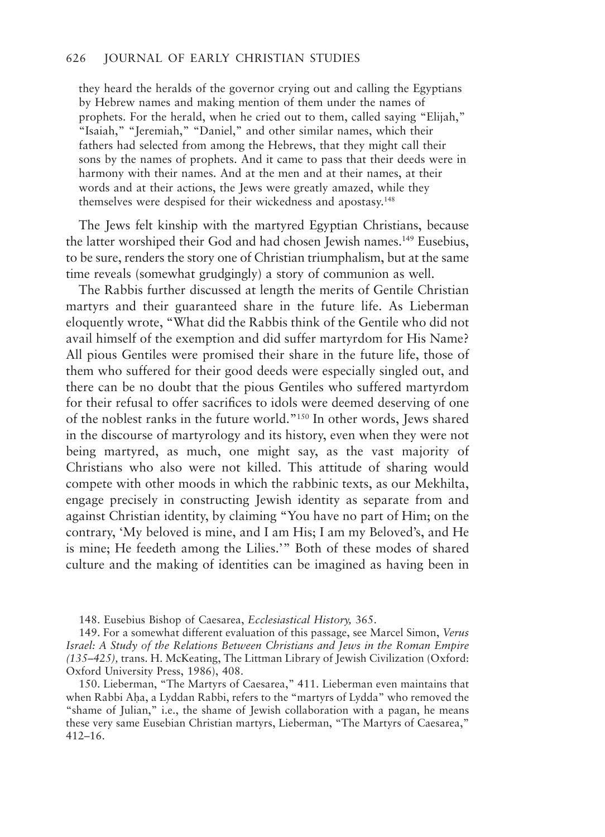they heard the heralds of the governor crying out and calling the Egyptians by Hebrew names and making mention of them under the names of prophets. For the herald, when he cried out to them, called saying "Elijah," "Isaiah," "Jeremiah," "Daniel," and other similar names, which their fathers had selected from among the Hebrews, that they might call their sons by the names of prophets. And it came to pass that their deeds were in harmony with their names. And at the men and at their names, at their words and at their actions, the Jews were greatly amazed, while they themselves were despised for their wickedness and apostasy.148

The Jews felt kinship with the martyred Egyptian Christians, because the latter worshiped their God and had chosen Jewish names.<sup>149</sup> Eusebius, to be sure, renders the story one of Christian triumphalism, but at the same time reveals (somewhat grudgingly) a story of communion as well.

The Rabbis further discussed at length the merits of Gentile Christian martyrs and their guaranteed share in the future life. As Lieberman eloquently wrote, "What did the Rabbis think of the Gentile who did not avail himself of the exemption and did suffer martyrdom for His Name? All pious Gentiles were promised their share in the future life, those of them who suffered for their good deeds were especially singled out, and there can be no doubt that the pious Gentiles who suffered martyrdom for their refusal to offer sacrifices to idols were deemed deserving of one of the noblest ranks in the future world."150 In other words, Jews shared in the discourse of martyrology and its history, even when they were not being martyred, as much, one might say, as the vast majority of Christians who also were not killed. This attitude of sharing would compete with other moods in which the rabbinic texts, as our Mekhilta, engage precisely in constructing Jewish identity as separate from and against Christian identity, by claiming "You have no part of Him; on the contrary, 'My beloved is mine, and I am His; I am my Beloved's, and He is mine; He feedeth among the Lilies.'" Both of these modes of shared culture and the making of identities can be imagined as having been in

150. Lieberman, "The Martyrs of Caesarea," 411. Lieberman even maintains that when Rabbi Aḥa, a Lyddan Rabbi, refers to the "martyrs of Lydda" who removed the "shame of Julian," i.e., the shame of Jewish collaboration with a pagan, he means these very same Eusebian Christian martyrs, Lieberman, "The Martyrs of Caesarea," 412–16.

<sup>148.</sup> Eusebius Bishop of Caesarea, *Ecclesiastical History,* 365.

<sup>149.</sup> For a somewhat different evaluation of this passage, see Marcel Simon, *Verus Israel: A Study of the Relations Between Christians and Jews in the Roman Empire (135–425),* trans. H. McKeating, The Littman Library of Jewish Civilization (Oxford: Oxford University Press, 1986), 408.